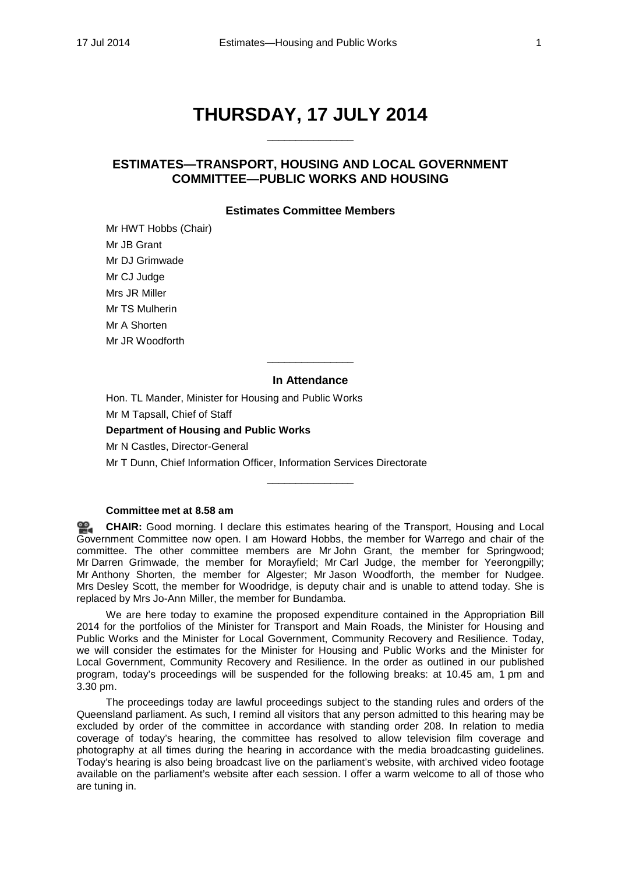# **THURSDAY, 17 JULY 2014**

\_\_\_\_\_\_\_\_\_\_\_\_\_\_\_

# **ESTIMATES—TRANSPORT, HOUSING AND LOCAL GOVERNMENT COMMITTEE—PUBLIC WORKS AND HOUSING**

# **Estimates Committee Members**

Mr HWT Hobbs (Chair) Mr JB Grant Mr DJ Grimwade Mr CJ Judge Mrs JR Miller Mr TS Mulherin Mr A Shorten Mr JR Woodforth

# **In Attendance**

\_\_\_\_\_\_\_\_\_\_\_\_\_\_\_

Hon. TL Mander, Minister for Housing and Public Works Mr M Tapsall, Chief of Staff

**Department of Housing and Public Works**

Mr N Castles, Director-General

Mr T Dunn, Chief Information Officer, Information Services Directorate

### **Committee met at 8.58 am**

**[CHAIR:](http://www.parliament.qld.gov.au/docs/find.aspx?id=0MbaTHLGC20140717_085846)** Good morning. I declare this estimates hearing of the Transport, Housing and Local ≌. Government Committee now open. I am Howard Hobbs, the member for Warrego and chair of the committee. The other committee members are Mr John Grant, the member for Springwood; Mr Darren Grimwade, the member for Morayfield; Mr Carl Judge, the member for Yeerongpilly; Mr Anthony Shorten, the member for Algester; Mr Jason Woodforth, the member for Nudgee. Mrs Desley Scott, the member for Woodridge, is deputy chair and is unable to attend today. She is replaced by Mrs Jo-Ann Miller, the member for Bundamba.

 $\overline{\phantom{a}}$  , where the contract of the contract of the contract of the contract of the contract of the contract of the contract of the contract of the contract of the contract of the contract of the contract of the contr

We are here today to examine the proposed expenditure contained in the Appropriation Bill 2014 for the portfolios of the Minister for Transport and Main Roads, the Minister for Housing and Public Works and the Minister for Local Government, Community Recovery and Resilience. Today, we will consider the estimates for the Minister for Housing and Public Works and the Minister for Local Government, Community Recovery and Resilience. In the order as outlined in our published program, today's proceedings will be suspended for the following breaks: at 10.45 am, 1 pm and 3.30 pm.

The proceedings today are lawful proceedings subject to the standing rules and orders of the Queensland parliament. As such, I remind all visitors that any person admitted to this hearing may be excluded by order of the committee in accordance with standing order 208. In relation to media coverage of today's hearing, the committee has resolved to allow television film coverage and photography at all times during the hearing in accordance with the media broadcasting guidelines. Today's hearing is also being broadcast live on the parliament's website, with archived video footage available on the parliament's website after each session. I offer a warm welcome to all of those who are tuning in.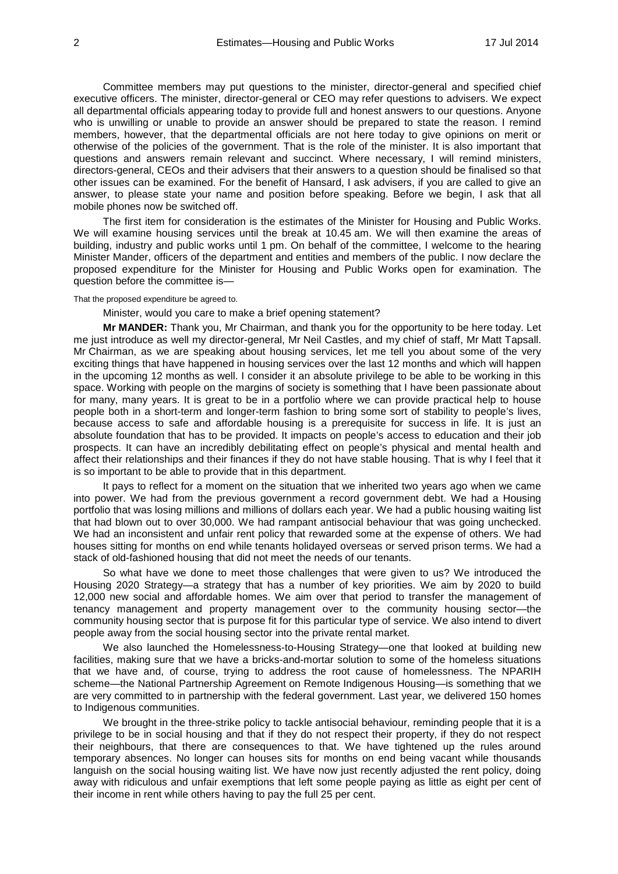Committee members may put questions to the minister, director-general and specified chief executive officers. The minister, director-general or CEO may refer questions to advisers. We expect all departmental officials appearing today to provide full and honest answers to our questions. Anyone who is unwilling or unable to provide an answer should be prepared to state the reason. I remind members, however, that the departmental officials are not here today to give opinions on merit or otherwise of the policies of the government. That is the role of the minister. It is also important that questions and answers remain relevant and succinct. Where necessary, I will remind ministers, directors-general, CEOs and their advisers that their answers to a question should be finalised so that other issues can be examined. For the benefit of Hansard, I ask advisers, if you are called to give an answer, to please state your name and position before speaking. Before we begin, I ask that all mobile phones now be switched off.

The first item for consideration is the estimates of the Minister for Housing and Public Works. We will examine housing services until the break at 10.45 am. We will then examine the areas of building, industry and public works until 1 pm. On behalf of the committee, I welcome to the hearing Minister Mander, officers of the department and entities and members of the public. I now declare the proposed expenditure for the Minister for Housing and Public Works open for examination. The question before the committee is—

#### That the proposed expenditure be agreed to.

Minister, would you care to make a brief opening statement?

**Mr MANDER:** Thank you, Mr Chairman, and thank you for the opportunity to be here today. Let me just introduce as well my director-general, Mr Neil Castles, and my chief of staff, Mr Matt Tapsall. Mr Chairman, as we are speaking about housing services, let me tell you about some of the very exciting things that have happened in housing services over the last 12 months and which will happen in the upcoming 12 months as well. I consider it an absolute privilege to be able to be working in this space. Working with people on the margins of society is something that I have been passionate about for many, many years. It is great to be in a portfolio where we can provide practical help to house people both in a short-term and longer-term fashion to bring some sort of stability to people's lives, because access to safe and affordable housing is a prerequisite for success in life. It is just an absolute foundation that has to be provided. It impacts on people's access to education and their job prospects. It can have an incredibly debilitating effect on people's physical and mental health and affect their relationships and their finances if they do not have stable housing. That is why I feel that it is so important to be able to provide that in this department.

It pays to reflect for a moment on the situation that we inherited two years ago when we came into power. We had from the previous government a record government debt. We had a Housing portfolio that was losing millions and millions of dollars each year. We had a public housing waiting list that had blown out to over 30,000. We had rampant antisocial behaviour that was going unchecked. We had an inconsistent and unfair rent policy that rewarded some at the expense of others. We had houses sitting for months on end while tenants holidayed overseas or served prison terms. We had a stack of old-fashioned housing that did not meet the needs of our tenants.

So what have we done to meet those challenges that were given to us? We introduced the Housing 2020 Strategy—a strategy that has a number of key priorities. We aim by 2020 to build 12,000 new social and affordable homes. We aim over that period to transfer the management of tenancy management and property management over to the community housing sector—the community housing sector that is purpose fit for this particular type of service. We also intend to divert people away from the social housing sector into the private rental market.

We also launched the Homelessness-to-Housing Strategy—one that looked at building new facilities, making sure that we have a bricks-and-mortar solution to some of the homeless situations that we have and, of course, trying to address the root cause of homelessness. The NPARIH scheme—the National Partnership Agreement on Remote Indigenous Housing—is something that we are very committed to in partnership with the federal government. Last year, we delivered 150 homes to Indigenous communities.

We brought in the three-strike policy to tackle antisocial behaviour, reminding people that it is a privilege to be in social housing and that if they do not respect their property, if they do not respect their neighbours, that there are consequences to that. We have tightened up the rules around temporary absences. No longer can houses sits for months on end being vacant while thousands languish on the social housing waiting list. We have now just recently adjusted the rent policy, doing away with ridiculous and unfair exemptions that left some people paying as little as eight per cent of their income in rent while others having to pay the full 25 per cent.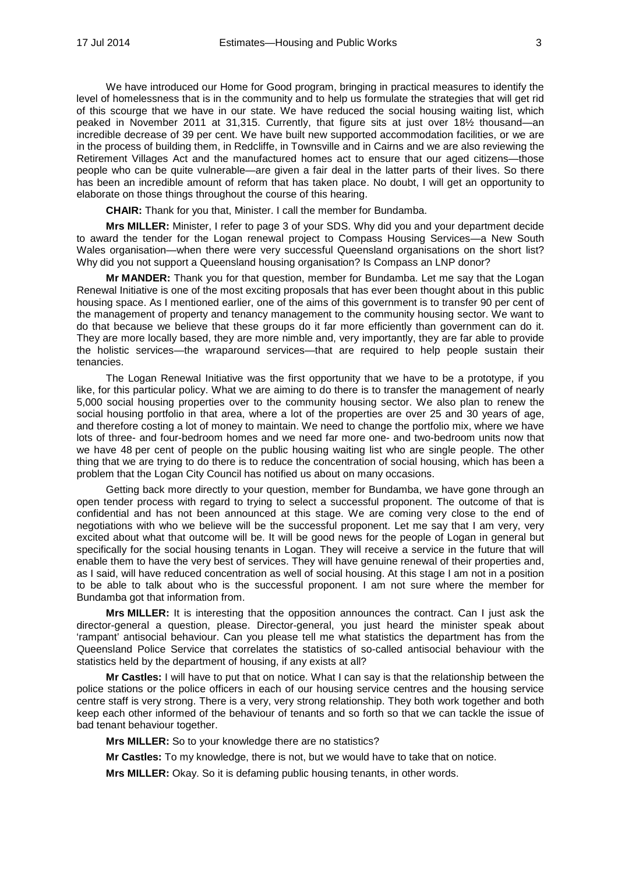We have introduced our Home for Good program, bringing in practical measures to identify the level of homelessness that is in the community and to help us formulate the strategies that will get rid of this scourge that we have in our state. We have reduced the social housing waiting list, which peaked in November 2011 at 31,315. Currently, that figure sits at just over 18½ thousand—an incredible decrease of 39 per cent. We have built new supported accommodation facilities, or we are in the process of building them, in Redcliffe, in Townsville and in Cairns and we are also reviewing the Retirement Villages Act and the manufactured homes act to ensure that our aged citizens—those people who can be quite vulnerable—are given a fair deal in the latter parts of their lives. So there has been an incredible amount of reform that has taken place. No doubt, I will get an opportunity to elaborate on those things throughout the course of this hearing.

**CHAIR:** Thank for you that, Minister. I call the member for Bundamba.

**Mrs MILLER:** Minister, I refer to page 3 of your SDS. Why did you and your department decide to award the tender for the Logan renewal project to Compass Housing Services—a New South Wales organisation—when there were very successful Queensland organisations on the short list? Why did you not support a Queensland housing organisation? Is Compass an LNP donor?

**Mr MANDER:** Thank you for that question, member for Bundamba. Let me say that the Logan Renewal Initiative is one of the most exciting proposals that has ever been thought about in this public housing space. As I mentioned earlier, one of the aims of this government is to transfer 90 per cent of the management of property and tenancy management to the community housing sector. We want to do that because we believe that these groups do it far more efficiently than government can do it. They are more locally based, they are more nimble and, very importantly, they are far able to provide the holistic services—the wraparound services—that are required to help people sustain their tenancies.

The Logan Renewal Initiative was the first opportunity that we have to be a prototype, if you like, for this particular policy. What we are aiming to do there is to transfer the management of nearly 5,000 social housing properties over to the community housing sector. We also plan to renew the social housing portfolio in that area, where a lot of the properties are over 25 and 30 years of age, and therefore costing a lot of money to maintain. We need to change the portfolio mix, where we have lots of three- and four-bedroom homes and we need far more one- and two-bedroom units now that we have 48 per cent of people on the public housing waiting list who are single people. The other thing that we are trying to do there is to reduce the concentration of social housing, which has been a problem that the Logan City Council has notified us about on many occasions.

Getting back more directly to your question, member for Bundamba, we have gone through an open tender process with regard to trying to select a successful proponent. The outcome of that is confidential and has not been announced at this stage. We are coming very close to the end of negotiations with who we believe will be the successful proponent. Let me say that I am very, very excited about what that outcome will be. It will be good news for the people of Logan in general but specifically for the social housing tenants in Logan. They will receive a service in the future that will enable them to have the very best of services. They will have genuine renewal of their properties and, as I said, will have reduced concentration as well of social housing. At this stage I am not in a position to be able to talk about who is the successful proponent. I am not sure where the member for Bundamba got that information from.

**Mrs MILLER:** It is interesting that the opposition announces the contract. Can I just ask the director-general a question, please. Director-general, you just heard the minister speak about 'rampant' antisocial behaviour. Can you please tell me what statistics the department has from the Queensland Police Service that correlates the statistics of so-called antisocial behaviour with the statistics held by the department of housing, if any exists at all?

**Mr Castles:** I will have to put that on notice. What I can say is that the relationship between the police stations or the police officers in each of our housing service centres and the housing service centre staff is very strong. There is a very, very strong relationship. They both work together and both keep each other informed of the behaviour of tenants and so forth so that we can tackle the issue of bad tenant behaviour together.

**Mrs MILLER:** So to your knowledge there are no statistics?

**Mr Castles:** To my knowledge, there is not, but we would have to take that on notice.

**Mrs MILLER:** Okay. So it is defaming public housing tenants, in other words.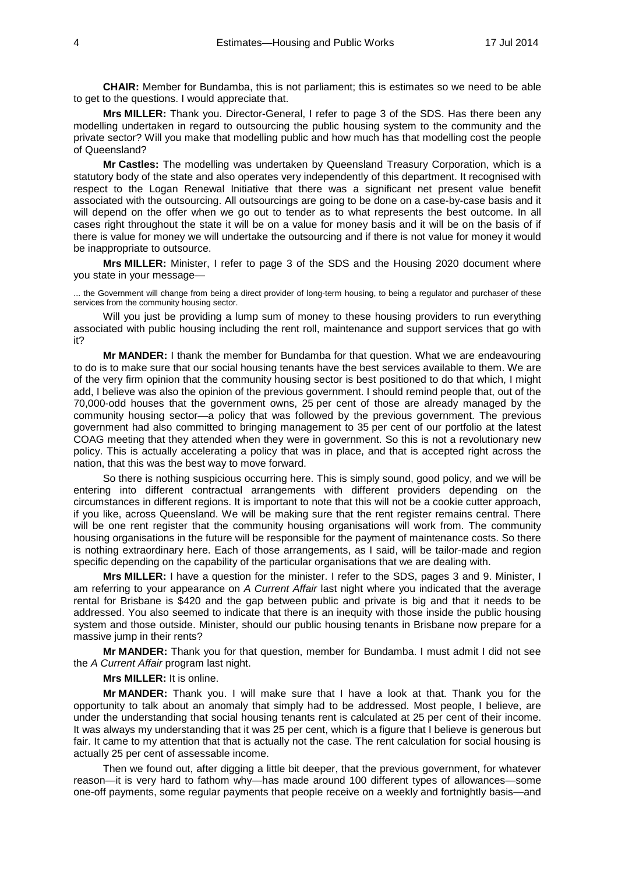**CHAIR:** Member for Bundamba, this is not parliament; this is estimates so we need to be able to get to the questions. I would appreciate that.

**Mrs MILLER:** Thank you. Director-General, I refer to page 3 of the SDS. Has there been any modelling undertaken in regard to outsourcing the public housing system to the community and the private sector? Will you make that modelling public and how much has that modelling cost the people of Queensland?

**Mr Castles:** The modelling was undertaken by Queensland Treasury Corporation, which is a statutory body of the state and also operates very independently of this department. It recognised with respect to the Logan Renewal Initiative that there was a significant net present value benefit associated with the outsourcing. All outsourcings are going to be done on a case-by-case basis and it will depend on the offer when we go out to tender as to what represents the best outcome. In all cases right throughout the state it will be on a value for money basis and it will be on the basis of if there is value for money we will undertake the outsourcing and if there is not value for money it would be inappropriate to outsource.

**Mrs MILLER:** Minister, I refer to page 3 of the SDS and the Housing 2020 document where you state in your message—

... the Government will change from being a direct provider of long-term housing, to being a regulator and purchaser of these services from the community housing sector.

Will you just be providing a lump sum of money to these housing providers to run everything associated with public housing including the rent roll, maintenance and support services that go with it?

**Mr MANDER:** I thank the member for Bundamba for that question. What we are endeavouring to do is to make sure that our social housing tenants have the best services available to them. We are of the very firm opinion that the community housing sector is best positioned to do that which, I might add, I believe was also the opinion of the previous government. I should remind people that, out of the 70,000-odd houses that the government owns, 25 per cent of those are already managed by the community housing sector—a policy that was followed by the previous government. The previous government had also committed to bringing management to 35 per cent of our portfolio at the latest COAG meeting that they attended when they were in government. So this is not a revolutionary new policy. This is actually accelerating a policy that was in place, and that is accepted right across the nation, that this was the best way to move forward.

So there is nothing suspicious occurring here. This is simply sound, good policy, and we will be entering into different contractual arrangements with different providers depending on the circumstances in different regions. It is important to note that this will not be a cookie cutter approach, if you like, across Queensland. We will be making sure that the rent register remains central. There will be one rent register that the community housing organisations will work from. The community housing organisations in the future will be responsible for the payment of maintenance costs. So there is nothing extraordinary here. Each of those arrangements, as I said, will be tailor-made and region specific depending on the capability of the particular organisations that we are dealing with.

**Mrs MILLER:** I have a question for the minister. I refer to the SDS, pages 3 and 9. Minister, I am referring to your appearance on *A Current Affair* last night where you indicated that the average rental for Brisbane is \$420 and the gap between public and private is big and that it needs to be addressed. You also seemed to indicate that there is an inequity with those inside the public housing system and those outside. Minister, should our public housing tenants in Brisbane now prepare for a massive jump in their rents?

**Mr MANDER:** Thank you for that question, member for Bundamba. I must admit I did not see the *A Current Affair* program last night.

### **Mrs MILLER:** It is online.

**Mr MANDER:** Thank you. I will make sure that I have a look at that. Thank you for the opportunity to talk about an anomaly that simply had to be addressed. Most people, I believe, are under the understanding that social housing tenants rent is calculated at 25 per cent of their income. It was always my understanding that it was 25 per cent, which is a figure that I believe is generous but fair. It came to my attention that that is actually not the case. The rent calculation for social housing is actually 25 per cent of assessable income.

Then we found out, after digging a little bit deeper, that the previous government, for whatever reason—it is very hard to fathom why—has made around 100 different types of allowances—some one-off payments, some regular payments that people receive on a weekly and fortnightly basis—and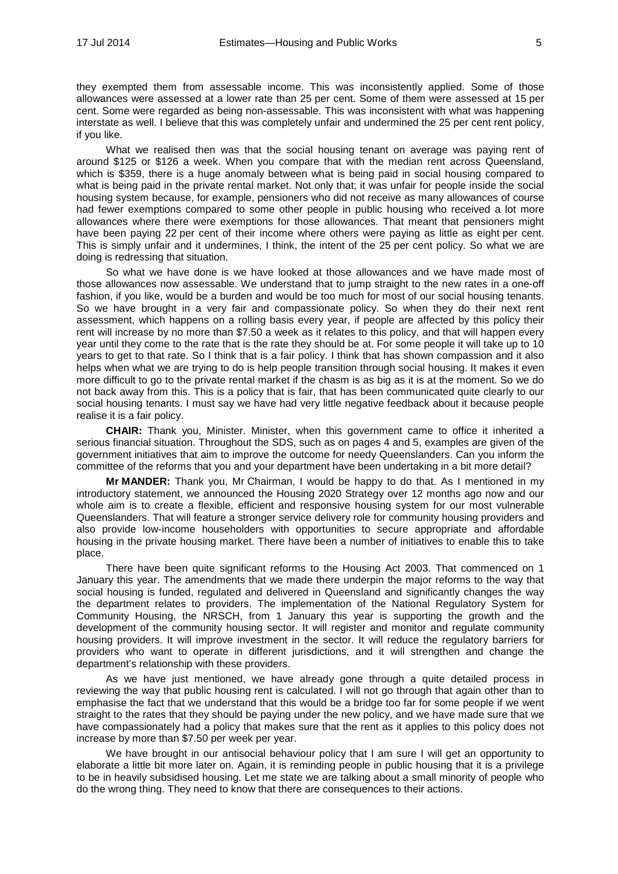they exempted them from assessable income. This was inconsistently applied. Some of those allowances were assessed at a lower rate than 25 per cent. Some of them were assessed at 15 per cent. Some were regarded as being non-assessable. This was inconsistent with what was happening interstate as well. I believe that this was completely unfair and undermined the 25 per cent rent policy, if you like.

What we realised then was that the social housing tenant on average was paying rent of around \$125 or \$126 a week. When you compare that with the median rent across Queensland, which is \$359, there is a huge anomaly between what is being paid in social housing compared to what is being paid in the private rental market. Not only that; it was unfair for people inside the social housing system because, for example, pensioners who did not receive as many allowances of course had fewer exemptions compared to some other people in public housing who received a lot more allowances where there were exemptions for those allowances. That meant that pensioners might have been paying 22 per cent of their income where others were paying as little as eight per cent. This is simply unfair and it undermines, I think, the intent of the 25 per cent policy. So what we are doing is redressing that situation.

So what we have done is we have looked at those allowances and we have made most of those allowances now assessable. We understand that to jump straight to the new rates in a one-off fashion, if you like, would be a burden and would be too much for most of our social housing tenants. So we have brought in a very fair and compassionate policy. So when they do their next rent assessment, which happens on a rolling basis every year, if people are affected by this policy their rent will increase by no more than \$7.50 a week as it relates to this policy, and that will happen every year until they come to the rate that is the rate they should be at. For some people it will take up to 10 years to get to that rate. So I think that is a fair policy. I think that has shown compassion and it also helps when what we are trying to do is help people transition through social housing. It makes it even more difficult to go to the private rental market if the chasm is as big as it is at the moment. So we do not back away from this. This is a policy that is fair, that has been communicated quite clearly to our social housing tenants. I must say we have had very little negative feedback about it because people realise it is a fair policy.

**CHAIR:** Thank you, Minister. Minister, when this government came to office it inherited a serious financial situation. Throughout the SDS, such as on pages 4 and 5, examples are given of the government initiatives that aim to improve the outcome for needy Queenslanders. Can you inform the committee of the reforms that you and your department have been undertaking in a bit more detail?

**Mr MANDER:** Thank you, Mr Chairman, I would be happy to do that. As I mentioned in my introductory statement, we announced the Housing 2020 Strategy over 12 months ago now and our whole aim is to create a flexible, efficient and responsive housing system for our most vulnerable Queenslanders. That will feature a stronger service delivery role for community housing providers and also provide low-income householders with opportunities to secure appropriate and affordable housing in the private housing market. There have been a number of initiatives to enable this to take place.

There have been quite significant reforms to the Housing Act 2003. That commenced on 1 January this year. The amendments that we made there underpin the major reforms to the way that social housing is funded, regulated and delivered in Queensland and significantly changes the way the department relates to providers. The implementation of the National Regulatory System for Community Housing, the NRSCH, from 1 January this year is supporting the growth and the development of the community housing sector. It will register and monitor and regulate community housing providers. It will improve investment in the sector. It will reduce the regulatory barriers for providers who want to operate in different jurisdictions, and it will strengthen and change the department's relationship with these providers.

As we have just mentioned, we have already gone through a quite detailed process in reviewing the way that public housing rent is calculated. I will not go through that again other than to emphasise the fact that we understand that this would be a bridge too far for some people if we went straight to the rates that they should be paying under the new policy, and we have made sure that we have compassionately had a policy that makes sure that the rent as it applies to this policy does not increase by more than \$7.50 per week per year.

We have brought in our antisocial behaviour policy that I am sure I will get an opportunity to elaborate a little bit more later on. Again, it is reminding people in public housing that it is a privilege to be in heavily subsidised housing. Let me state we are talking about a small minority of people who do the wrong thing. They need to know that there are consequences to their actions.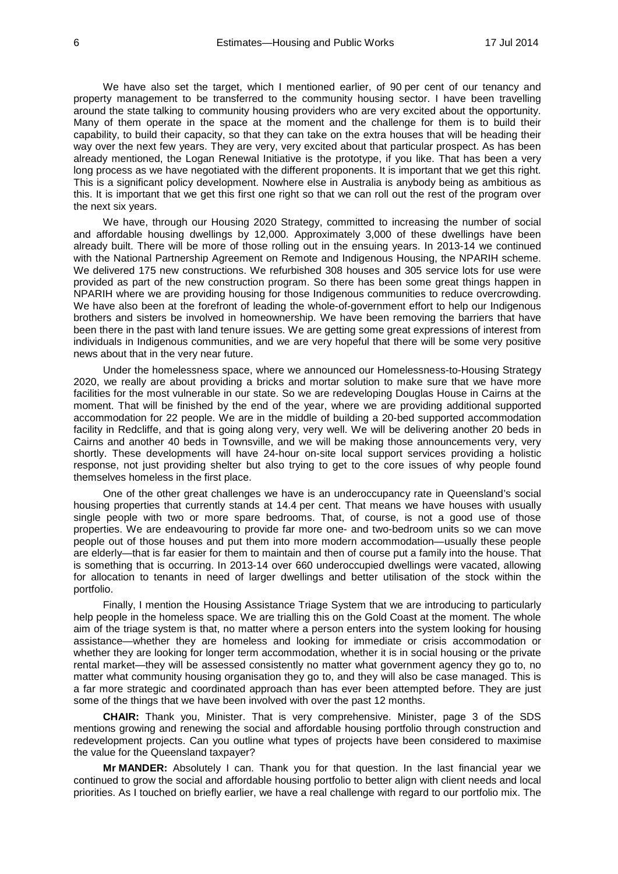We have also set the target, which I mentioned earlier, of 90 per cent of our tenancy and property management to be transferred to the community housing sector. I have been travelling around the state talking to community housing providers who are very excited about the opportunity. Many of them operate in the space at the moment and the challenge for them is to build their capability, to build their capacity, so that they can take on the extra houses that will be heading their way over the next few years. They are very, very excited about that particular prospect. As has been already mentioned, the Logan Renewal Initiative is the prototype, if you like. That has been a very long process as we have negotiated with the different proponents. It is important that we get this right. This is a significant policy development. Nowhere else in Australia is anybody being as ambitious as this. It is important that we get this first one right so that we can roll out the rest of the program over the next six years.

We have, through our Housing 2020 Strategy, committed to increasing the number of social and affordable housing dwellings by 12,000. Approximately 3,000 of these dwellings have been already built. There will be more of those rolling out in the ensuing years. In 2013-14 we continued with the National Partnership Agreement on Remote and Indigenous Housing, the NPARIH scheme. We delivered 175 new constructions. We refurbished 308 houses and 305 service lots for use were provided as part of the new construction program. So there has been some great things happen in NPARIH where we are providing housing for those Indigenous communities to reduce overcrowding. We have also been at the forefront of leading the whole-of-government effort to help our Indigenous brothers and sisters be involved in homeownership. We have been removing the barriers that have been there in the past with land tenure issues. We are getting some great expressions of interest from individuals in Indigenous communities, and we are very hopeful that there will be some very positive news about that in the very near future.

Under the homelessness space, where we announced our Homelessness-to-Housing Strategy 2020, we really are about providing a bricks and mortar solution to make sure that we have more facilities for the most vulnerable in our state. So we are redeveloping Douglas House in Cairns at the moment. That will be finished by the end of the year, where we are providing additional supported accommodation for 22 people. We are in the middle of building a 20-bed supported accommodation facility in Redcliffe, and that is going along very, very well. We will be delivering another 20 beds in Cairns and another 40 beds in Townsville, and we will be making those announcements very, very shortly. These developments will have 24-hour on-site local support services providing a holistic response, not just providing shelter but also trying to get to the core issues of why people found themselves homeless in the first place.

One of the other great challenges we have is an underoccupancy rate in Queensland's social housing properties that currently stands at 14.4 per cent. That means we have houses with usually single people with two or more spare bedrooms. That, of course, is not a good use of those properties. We are endeavouring to provide far more one- and two-bedroom units so we can move people out of those houses and put them into more modern accommodation—usually these people are elderly—that is far easier for them to maintain and then of course put a family into the house. That is something that is occurring. In 2013-14 over 660 underoccupied dwellings were vacated, allowing for allocation to tenants in need of larger dwellings and better utilisation of the stock within the portfolio.

Finally, I mention the Housing Assistance Triage System that we are introducing to particularly help people in the homeless space. We are trialling this on the Gold Coast at the moment. The whole aim of the triage system is that, no matter where a person enters into the system looking for housing assistance—whether they are homeless and looking for immediate or crisis accommodation or whether they are looking for longer term accommodation, whether it is in social housing or the private rental market—they will be assessed consistently no matter what government agency they go to, no matter what community housing organisation they go to, and they will also be case managed. This is a far more strategic and coordinated approach than has ever been attempted before. They are just some of the things that we have been involved with over the past 12 months.

**CHAIR:** Thank you, Minister. That is very comprehensive. Minister, page 3 of the SDS mentions growing and renewing the social and affordable housing portfolio through construction and redevelopment projects. Can you outline what types of projects have been considered to maximise the value for the Queensland taxpayer?

**Mr MANDER:** Absolutely I can. Thank you for that question. In the last financial year we continued to grow the social and affordable housing portfolio to better align with client needs and local priorities. As I touched on briefly earlier, we have a real challenge with regard to our portfolio mix. The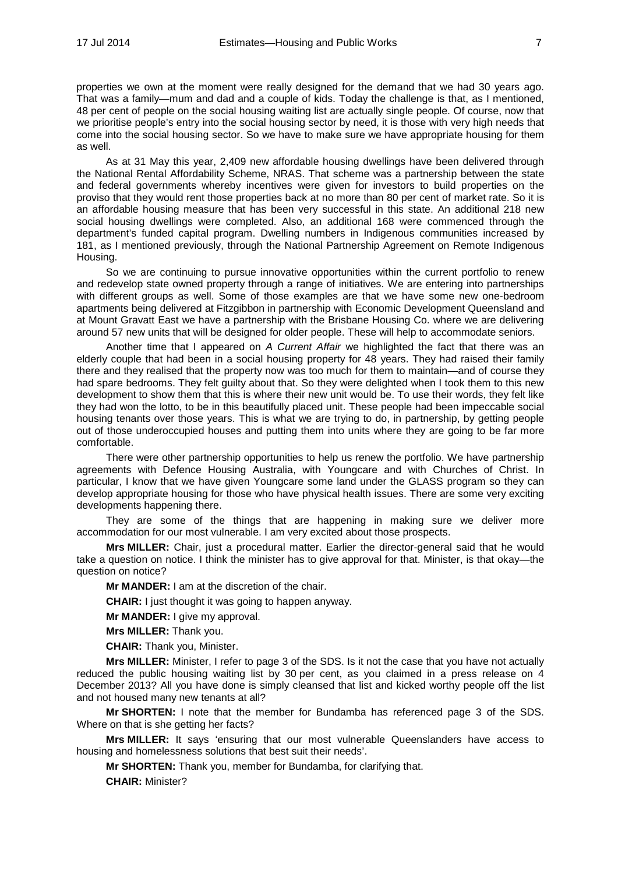properties we own at the moment were really designed for the demand that we had 30 years ago. That was a family—mum and dad and a couple of kids. Today the challenge is that, as I mentioned, 48 per cent of people on the social housing waiting list are actually single people. Of course, now that we prioritise people's entry into the social housing sector by need, it is those with very high needs that come into the social housing sector. So we have to make sure we have appropriate housing for them as well.

As at 31 May this year, 2,409 new affordable housing dwellings have been delivered through the National Rental Affordability Scheme, NRAS. That scheme was a partnership between the state and federal governments whereby incentives were given for investors to build properties on the proviso that they would rent those properties back at no more than 80 per cent of market rate. So it is an affordable housing measure that has been very successful in this state. An additional 218 new social housing dwellings were completed. Also, an additional 168 were commenced through the department's funded capital program. Dwelling numbers in Indigenous communities increased by 181, as I mentioned previously, through the National Partnership Agreement on Remote Indigenous Housing.

So we are continuing to pursue innovative opportunities within the current portfolio to renew and redevelop state owned property through a range of initiatives. We are entering into partnerships with different groups as well. Some of those examples are that we have some new one-bedroom apartments being delivered at Fitzgibbon in partnership with Economic Development Queensland and at Mount Gravatt East we have a partnership with the Brisbane Housing Co. where we are delivering around 57 new units that will be designed for older people. These will help to accommodate seniors.

Another time that I appeared on *A Current Affair* we highlighted the fact that there was an elderly couple that had been in a social housing property for 48 years. They had raised their family there and they realised that the property now was too much for them to maintain—and of course they had spare bedrooms. They felt guilty about that. So they were delighted when I took them to this new development to show them that this is where their new unit would be. To use their words, they felt like they had won the lotto, to be in this beautifully placed unit. These people had been impeccable social housing tenants over those years. This is what we are trying to do, in partnership, by getting people out of those underoccupied houses and putting them into units where they are going to be far more comfortable.

There were other partnership opportunities to help us renew the portfolio. We have partnership agreements with Defence Housing Australia, with Youngcare and with Churches of Christ. In particular, I know that we have given Youngcare some land under the GLASS program so they can develop appropriate housing for those who have physical health issues. There are some very exciting developments happening there.

They are some of the things that are happening in making sure we deliver more accommodation for our most vulnerable. I am very excited about those prospects.

**Mrs MILLER:** Chair, just a procedural matter. Earlier the director-general said that he would take a question on notice. I think the minister has to give approval for that. Minister, is that okay—the question on notice?

**Mr MANDER:** I am at the discretion of the chair.

**CHAIR:** I just thought it was going to happen anyway.

**Mr MANDER:** I give my approval.

**Mrs MILLER:** Thank you.

**CHAIR:** Thank you, Minister.

**Mrs MILLER:** Minister, I refer to page 3 of the SDS. Is it not the case that you have not actually reduced the public housing waiting list by 30 per cent, as you claimed in a press release on 4 December 2013? All you have done is simply cleansed that list and kicked worthy people off the list and not housed many new tenants at all?

**Mr SHORTEN:** I note that the member for Bundamba has referenced page 3 of the SDS. Where on that is she getting her facts?

**Mrs MILLER:** It says 'ensuring that our most vulnerable Queenslanders have access to housing and homelessness solutions that best suit their needs'.

**Mr SHORTEN:** Thank you, member for Bundamba, for clarifying that.

**CHAIR:** Minister?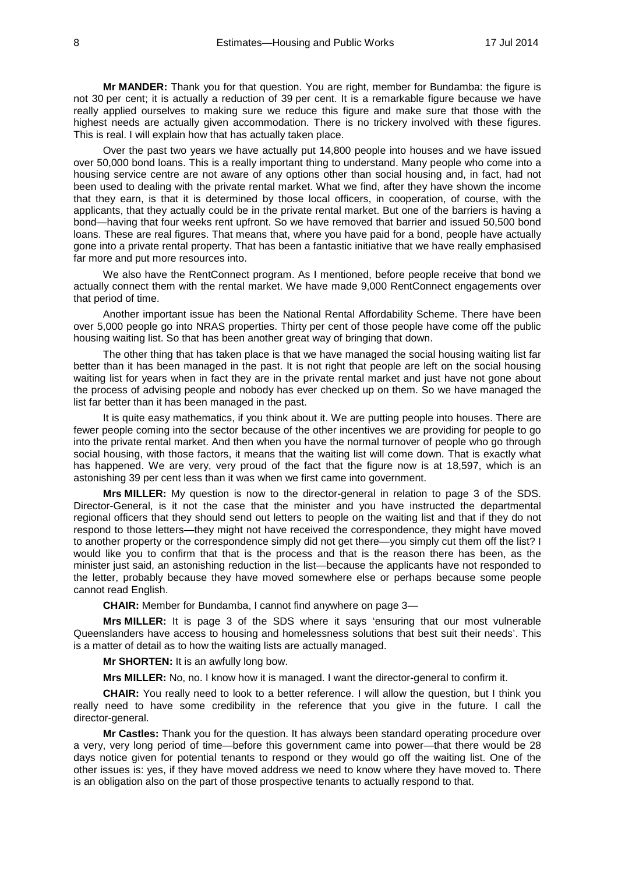**Mr MANDER:** Thank you for that question. You are right, member for Bundamba: the figure is not 30 per cent; it is actually a reduction of 39 per cent. It is a remarkable figure because we have really applied ourselves to making sure we reduce this figure and make sure that those with the highest needs are actually given accommodation. There is no trickery involved with these figures. This is real. I will explain how that has actually taken place.

Over the past two years we have actually put 14,800 people into houses and we have issued over 50,000 bond loans. This is a really important thing to understand. Many people who come into a housing service centre are not aware of any options other than social housing and, in fact, had not been used to dealing with the private rental market. What we find, after they have shown the income that they earn, is that it is determined by those local officers, in cooperation, of course, with the applicants, that they actually could be in the private rental market. But one of the barriers is having a bond—having that four weeks rent upfront. So we have removed that barrier and issued 50,500 bond loans. These are real figures. That means that, where you have paid for a bond, people have actually gone into a private rental property. That has been a fantastic initiative that we have really emphasised far more and put more resources into.

We also have the RentConnect program. As I mentioned, before people receive that bond we actually connect them with the rental market. We have made 9,000 RentConnect engagements over that period of time.

Another important issue has been the National Rental Affordability Scheme. There have been over 5,000 people go into NRAS properties. Thirty per cent of those people have come off the public housing waiting list. So that has been another great way of bringing that down.

The other thing that has taken place is that we have managed the social housing waiting list far better than it has been managed in the past. It is not right that people are left on the social housing waiting list for years when in fact they are in the private rental market and just have not gone about the process of advising people and nobody has ever checked up on them. So we have managed the list far better than it has been managed in the past.

It is quite easy mathematics, if you think about it. We are putting people into houses. There are fewer people coming into the sector because of the other incentives we are providing for people to go into the private rental market. And then when you have the normal turnover of people who go through social housing, with those factors, it means that the waiting list will come down. That is exactly what has happened. We are very, very proud of the fact that the figure now is at 18,597, which is an astonishing 39 per cent less than it was when we first came into government.

**Mrs MILLER:** My question is now to the director-general in relation to page 3 of the SDS. Director-General, is it not the case that the minister and you have instructed the departmental regional officers that they should send out letters to people on the waiting list and that if they do not respond to those letters—they might not have received the correspondence, they might have moved to another property or the correspondence simply did not get there—you simply cut them off the list? I would like you to confirm that that is the process and that is the reason there has been, as the minister just said, an astonishing reduction in the list—because the applicants have not responded to the letter, probably because they have moved somewhere else or perhaps because some people cannot read English.

**CHAIR:** Member for Bundamba, I cannot find anywhere on page 3—

**Mrs MILLER:** It is page 3 of the SDS where it says 'ensuring that our most vulnerable Queenslanders have access to housing and homelessness solutions that best suit their needs'. This is a matter of detail as to how the waiting lists are actually managed.

**Mr SHORTEN:** It is an awfully long bow.

**Mrs MILLER:** No, no. I know how it is managed. I want the director-general to confirm it.

**CHAIR:** You really need to look to a better reference. I will allow the question, but I think you really need to have some credibility in the reference that you give in the future. I call the director-general.

**Mr Castles:** Thank you for the question. It has always been standard operating procedure over a very, very long period of time—before this government came into power—that there would be 28 days notice given for potential tenants to respond or they would go off the waiting list. One of the other issues is: yes, if they have moved address we need to know where they have moved to. There is an obligation also on the part of those prospective tenants to actually respond to that.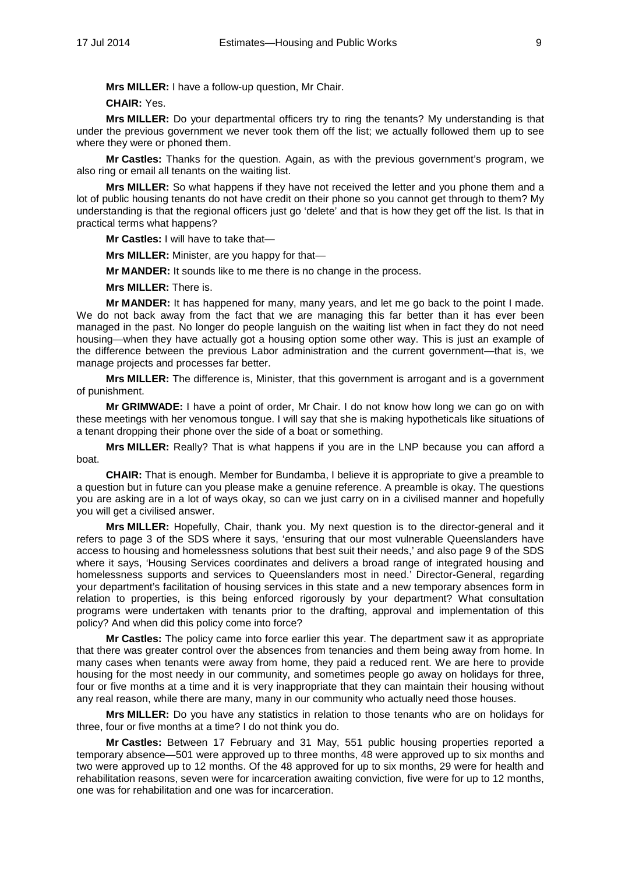**Mrs MILLER:** I have a follow-up question, Mr Chair.

**CHAIR:** Yes.

**Mrs MILLER:** Do your departmental officers try to ring the tenants? My understanding is that under the previous government we never took them off the list; we actually followed them up to see where they were or phoned them.

**Mr Castles:** Thanks for the question. Again, as with the previous government's program, we also ring or email all tenants on the waiting list.

**Mrs MILLER:** So what happens if they have not received the letter and you phone them and a lot of public housing tenants do not have credit on their phone so you cannot get through to them? My understanding is that the regional officers just go 'delete' and that is how they get off the list. Is that in practical terms what happens?

**Mr Castles:** I will have to take that—

**Mrs MILLER:** Minister, are you happy for that—

**Mr MANDER:** It sounds like to me there is no change in the process.

**Mrs MILLER:** There is.

**Mr MANDER:** It has happened for many, many years, and let me go back to the point I made. We do not back away from the fact that we are managing this far better than it has ever been managed in the past. No longer do people languish on the waiting list when in fact they do not need housing—when they have actually got a housing option some other way. This is just an example of the difference between the previous Labor administration and the current government—that is, we manage projects and processes far better.

**Mrs MILLER:** The difference is, Minister, that this government is arrogant and is a government of punishment.

**Mr GRIMWADE:** I have a point of order, Mr Chair. I do not know how long we can go on with these meetings with her venomous tongue. I will say that she is making hypotheticals like situations of a tenant dropping their phone over the side of a boat or something.

**Mrs MILLER:** Really? That is what happens if you are in the LNP because you can afford a boat.

**CHAIR:** That is enough. Member for Bundamba, I believe it is appropriate to give a preamble to a question but in future can you please make a genuine reference. A preamble is okay. The questions you are asking are in a lot of ways okay, so can we just carry on in a civilised manner and hopefully you will get a civilised answer.

**Mrs MILLER:** Hopefully, Chair, thank you. My next question is to the director-general and it refers to page 3 of the SDS where it says, 'ensuring that our most vulnerable Queenslanders have access to housing and homelessness solutions that best suit their needs,' and also page 9 of the SDS where it says, 'Housing Services coordinates and delivers a broad range of integrated housing and homelessness supports and services to Queenslanders most in need.' Director-General, regarding your department's facilitation of housing services in this state and a new temporary absences form in relation to properties, is this being enforced rigorously by your department? What consultation programs were undertaken with tenants prior to the drafting, approval and implementation of this policy? And when did this policy come into force?

**Mr Castles:** The policy came into force earlier this year. The department saw it as appropriate that there was greater control over the absences from tenancies and them being away from home. In many cases when tenants were away from home, they paid a reduced rent. We are here to provide housing for the most needy in our community, and sometimes people go away on holidays for three, four or five months at a time and it is very inappropriate that they can maintain their housing without any real reason, while there are many, many in our community who actually need those houses.

**Mrs MILLER:** Do you have any statistics in relation to those tenants who are on holidays for three, four or five months at a time? I do not think you do.

**Mr Castles:** Between 17 February and 31 May, 551 public housing properties reported a temporary absence—501 were approved up to three months, 48 were approved up to six months and two were approved up to 12 months. Of the 48 approved for up to six months, 29 were for health and rehabilitation reasons, seven were for incarceration awaiting conviction, five were for up to 12 months, one was for rehabilitation and one was for incarceration.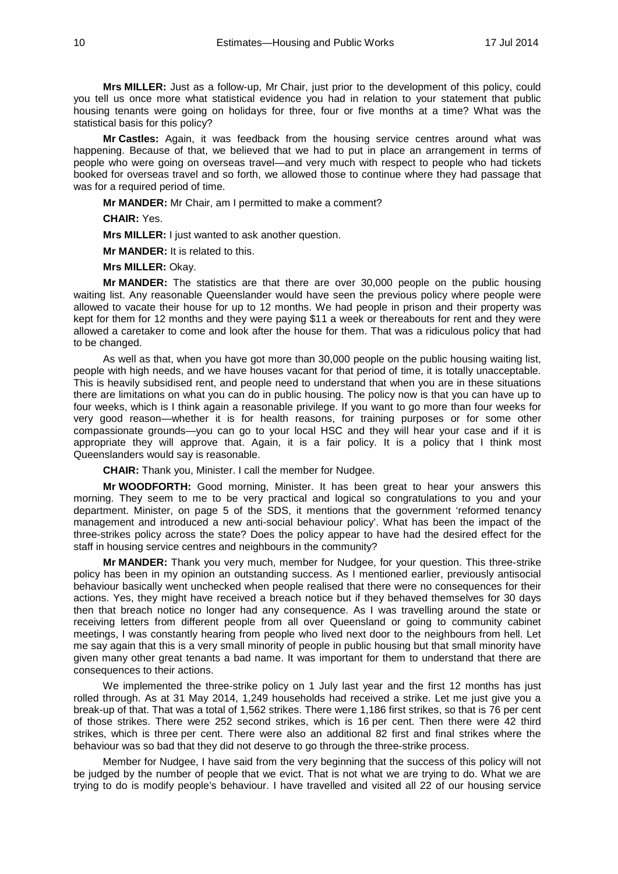**Mrs MILLER:** Just as a follow-up, Mr Chair, just prior to the development of this policy, could you tell us once more what statistical evidence you had in relation to your statement that public housing tenants were going on holidays for three, four or five months at a time? What was the statistical basis for this policy?

**Mr Castles:** Again, it was feedback from the housing service centres around what was happening. Because of that, we believed that we had to put in place an arrangement in terms of people who were going on overseas travel—and very much with respect to people who had tickets booked for overseas travel and so forth, we allowed those to continue where they had passage that was for a required period of time.

**Mr MANDER:** Mr Chair, am I permitted to make a comment?

**CHAIR:** Yes.

**Mrs MILLER:** I just wanted to ask another question.

**Mr MANDER:** It is related to this.

**Mrs MILLER:** Okay.

**Mr MANDER:** The statistics are that there are over 30,000 people on the public housing waiting list. Any reasonable Queenslander would have seen the previous policy where people were allowed to vacate their house for up to 12 months. We had people in prison and their property was kept for them for 12 months and they were paying \$11 a week or thereabouts for rent and they were allowed a caretaker to come and look after the house for them. That was a ridiculous policy that had to be changed.

As well as that, when you have got more than 30,000 people on the public housing waiting list, people with high needs, and we have houses vacant for that period of time, it is totally unacceptable. This is heavily subsidised rent, and people need to understand that when you are in these situations there are limitations on what you can do in public housing. The policy now is that you can have up to four weeks, which is I think again a reasonable privilege. If you want to go more than four weeks for very good reason—whether it is for health reasons, for training purposes or for some other compassionate grounds—you can go to your local HSC and they will hear your case and if it is appropriate they will approve that. Again, it is a fair policy. It is a policy that I think most Queenslanders would say is reasonable.

**CHAIR:** Thank you, Minister. I call the member for Nudgee.

**Mr WOODFORTH:** Good morning, Minister. It has been great to hear your answers this morning. They seem to me to be very practical and logical so congratulations to you and your department. Minister, on page 5 of the SDS, it mentions that the government 'reformed tenancy management and introduced a new anti-social behaviour policy'. What has been the impact of the three-strikes policy across the state? Does the policy appear to have had the desired effect for the staff in housing service centres and neighbours in the community?

**Mr MANDER:** Thank you very much, member for Nudgee, for your question. This three-strike policy has been in my opinion an outstanding success. As I mentioned earlier, previously antisocial behaviour basically went unchecked when people realised that there were no consequences for their actions. Yes, they might have received a breach notice but if they behaved themselves for 30 days then that breach notice no longer had any consequence. As I was travelling around the state or receiving letters from different people from all over Queensland or going to community cabinet meetings, I was constantly hearing from people who lived next door to the neighbours from hell. Let me say again that this is a very small minority of people in public housing but that small minority have given many other great tenants a bad name. It was important for them to understand that there are consequences to their actions.

We implemented the three-strike policy on 1 July last year and the first 12 months has just rolled through. As at 31 May 2014, 1,249 households had received a strike. Let me just give you a break-up of that. That was a total of 1,562 strikes. There were 1,186 first strikes, so that is 76 per cent of those strikes. There were 252 second strikes, which is 16 per cent. Then there were 42 third strikes, which is three per cent. There were also an additional 82 first and final strikes where the behaviour was so bad that they did not deserve to go through the three-strike process.

Member for Nudgee, I have said from the very beginning that the success of this policy will not be judged by the number of people that we evict. That is not what we are trying to do. What we are trying to do is modify people's behaviour. I have travelled and visited all 22 of our housing service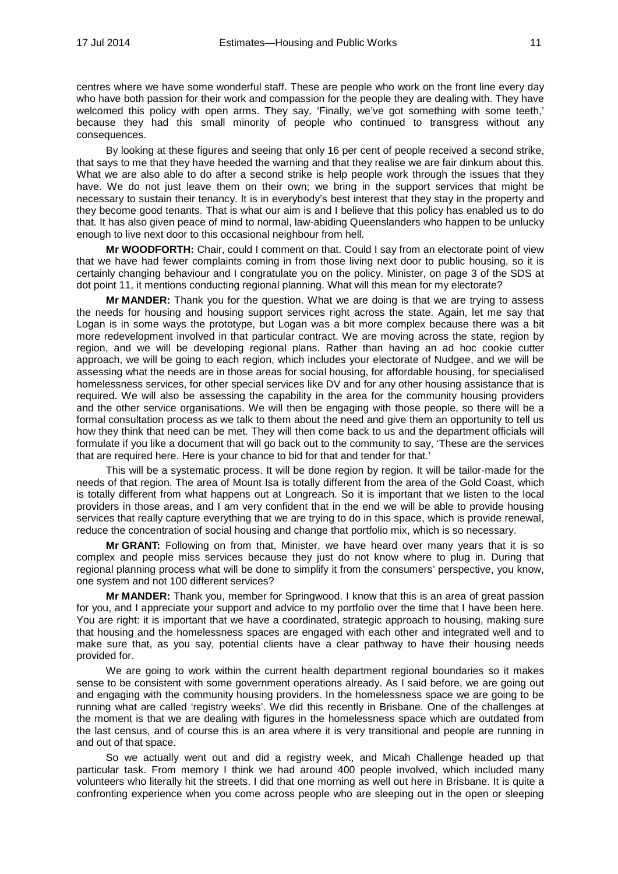centres where we have some wonderful staff. These are people who work on the front line every day who have both passion for their work and compassion for the people they are dealing with. They have welcomed this policy with open arms. They say, 'Finally, we've got something with some teeth,' because they had this small minority of people who continued to transgress without any consequences.

By looking at these figures and seeing that only 16 per cent of people received a second strike, that says to me that they have heeded the warning and that they realise we are fair dinkum about this. What we are also able to do after a second strike is help people work through the issues that they have. We do not just leave them on their own; we bring in the support services that might be necessary to sustain their tenancy. It is in everybody's best interest that they stay in the property and they become good tenants. That is what our aim is and I believe that this policy has enabled us to do that. It has also given peace of mind to normal, law-abiding Queenslanders who happen to be unlucky enough to live next door to this occasional neighbour from hell.

**Mr WOODFORTH:** Chair, could I comment on that. Could I say from an electorate point of view that we have had fewer complaints coming in from those living next door to public housing, so it is certainly changing behaviour and I congratulate you on the policy. Minister, on page 3 of the SDS at dot point 11, it mentions conducting regional planning. What will this mean for my electorate?

**Mr MANDER:** Thank you for the question. What we are doing is that we are trying to assess the needs for housing and housing support services right across the state. Again, let me say that Logan is in some ways the prototype, but Logan was a bit more complex because there was a bit more redevelopment involved in that particular contract. We are moving across the state, region by region, and we will be developing regional plans. Rather than having an ad hoc cookie cutter approach, we will be going to each region, which includes your electorate of Nudgee, and we will be assessing what the needs are in those areas for social housing, for affordable housing, for specialised homelessness services, for other special services like DV and for any other housing assistance that is required. We will also be assessing the capability in the area for the community housing providers and the other service organisations. We will then be engaging with those people, so there will be a formal consultation process as we talk to them about the need and give them an opportunity to tell us how they think that need can be met. They will then come back to us and the department officials will formulate if you like a document that will go back out to the community to say, 'These are the services that are required here. Here is your chance to bid for that and tender for that.'

This will be a systematic process. It will be done region by region. It will be tailor-made for the needs of that region. The area of Mount Isa is totally different from the area of the Gold Coast, which is totally different from what happens out at Longreach. So it is important that we listen to the local providers in those areas, and I am very confident that in the end we will be able to provide housing services that really capture everything that we are trying to do in this space, which is provide renewal, reduce the concentration of social housing and change that portfolio mix, which is so necessary.

**Mr GRANT:** Following on from that, Minister, we have heard over many years that it is so complex and people miss services because they just do not know where to plug in. During that regional planning process what will be done to simplify it from the consumers' perspective, you know, one system and not 100 different services?

**Mr MANDER:** Thank you, member for Springwood. I know that this is an area of great passion for you, and I appreciate your support and advice to my portfolio over the time that I have been here. You are right: it is important that we have a coordinated, strategic approach to housing, making sure that housing and the homelessness spaces are engaged with each other and integrated well and to make sure that, as you say, potential clients have a clear pathway to have their housing needs provided for.

We are going to work within the current health department regional boundaries so it makes sense to be consistent with some government operations already. As I said before, we are going out and engaging with the community housing providers. In the homelessness space we are going to be running what are called 'registry weeks'. We did this recently in Brisbane. One of the challenges at the moment is that we are dealing with figures in the homelessness space which are outdated from the last census, and of course this is an area where it is very transitional and people are running in and out of that space.

So we actually went out and did a registry week, and Micah Challenge headed up that particular task. From memory I think we had around 400 people involved, which included many volunteers who literally hit the streets. I did that one morning as well out here in Brisbane. It is quite a confronting experience when you come across people who are sleeping out in the open or sleeping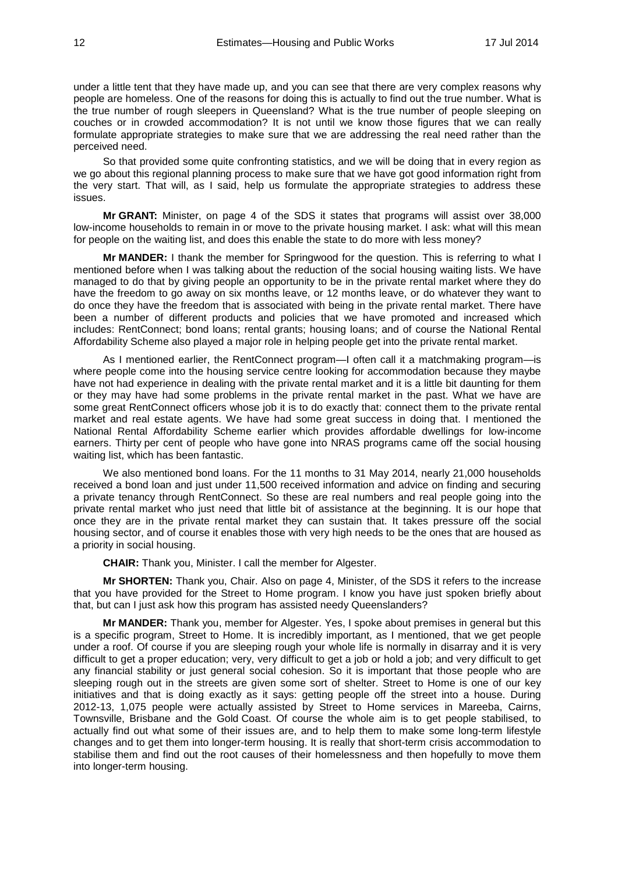under a little tent that they have made up, and you can see that there are very complex reasons why people are homeless. One of the reasons for doing this is actually to find out the true number. What is the true number of rough sleepers in Queensland? What is the true number of people sleeping on couches or in crowded accommodation? It is not until we know those figures that we can really formulate appropriate strategies to make sure that we are addressing the real need rather than the perceived need.

So that provided some quite confronting statistics, and we will be doing that in every region as we go about this regional planning process to make sure that we have got good information right from the very start. That will, as I said, help us formulate the appropriate strategies to address these issues.

**Mr GRANT:** Minister, on page 4 of the SDS it states that programs will assist over 38,000 low-income households to remain in or move to the private housing market. I ask: what will this mean for people on the waiting list, and does this enable the state to do more with less money?

**Mr MANDER:** I thank the member for Springwood for the question. This is referring to what I mentioned before when I was talking about the reduction of the social housing waiting lists. We have managed to do that by giving people an opportunity to be in the private rental market where they do have the freedom to go away on six months leave, or 12 months leave, or do whatever they want to do once they have the freedom that is associated with being in the private rental market. There have been a number of different products and policies that we have promoted and increased which includes: RentConnect; bond loans; rental grants; housing loans; and of course the National Rental Affordability Scheme also played a major role in helping people get into the private rental market.

As I mentioned earlier, the RentConnect program—I often call it a matchmaking program—is where people come into the housing service centre looking for accommodation because they maybe have not had experience in dealing with the private rental market and it is a little bit daunting for them or they may have had some problems in the private rental market in the past. What we have are some great RentConnect officers whose job it is to do exactly that: connect them to the private rental market and real estate agents. We have had some great success in doing that. I mentioned the National Rental Affordability Scheme earlier which provides affordable dwellings for low-income earners. Thirty per cent of people who have gone into NRAS programs came off the social housing waiting list, which has been fantastic.

We also mentioned bond loans. For the 11 months to 31 May 2014, nearly 21,000 households received a bond loan and just under 11,500 received information and advice on finding and securing a private tenancy through RentConnect. So these are real numbers and real people going into the private rental market who just need that little bit of assistance at the beginning. It is our hope that once they are in the private rental market they can sustain that. It takes pressure off the social housing sector, and of course it enables those with very high needs to be the ones that are housed as a priority in social housing.

**CHAIR:** Thank you, Minister. I call the member for Algester.

**Mr SHORTEN:** Thank you, Chair. Also on page 4, Minister, of the SDS it refers to the increase that you have provided for the Street to Home program. I know you have just spoken briefly about that, but can I just ask how this program has assisted needy Queenslanders?

**Mr MANDER:** Thank you, member for Algester. Yes, I spoke about premises in general but this is a specific program, Street to Home. It is incredibly important, as I mentioned, that we get people under a roof. Of course if you are sleeping rough your whole life is normally in disarray and it is very difficult to get a proper education; very, very difficult to get a job or hold a job; and very difficult to get any financial stability or just general social cohesion. So it is important that those people who are sleeping rough out in the streets are given some sort of shelter. Street to Home is one of our key initiatives and that is doing exactly as it says: getting people off the street into a house. During 2012-13, 1,075 people were actually assisted by Street to Home services in Mareeba, Cairns, Townsville, Brisbane and the Gold Coast. Of course the whole aim is to get people stabilised, to actually find out what some of their issues are, and to help them to make some long-term lifestyle changes and to get them into longer-term housing. It is really that short-term crisis accommodation to stabilise them and find out the root causes of their homelessness and then hopefully to move them into longer-term housing.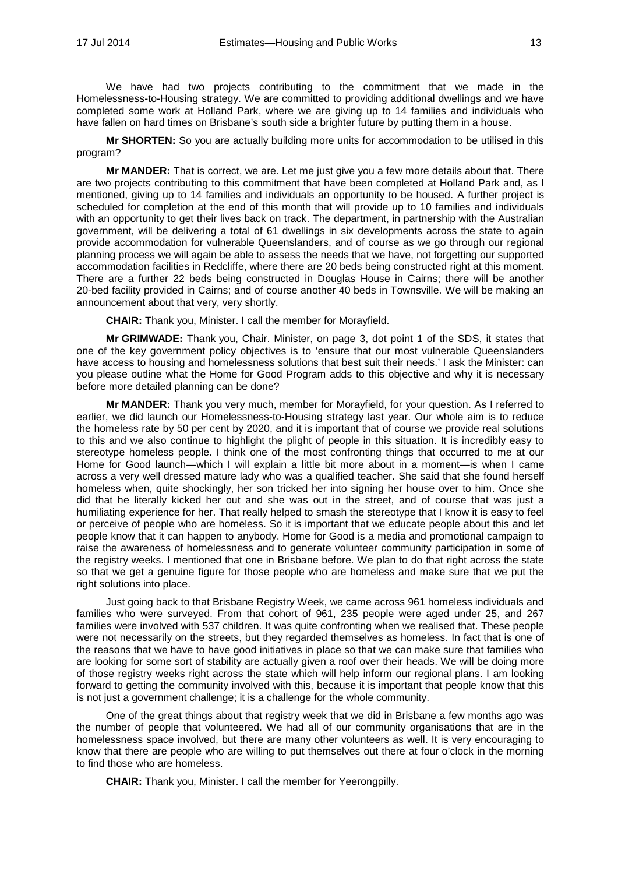We have had two projects contributing to the commitment that we made in the Homelessness-to-Housing strategy. We are committed to providing additional dwellings and we have completed some work at Holland Park, where we are giving up to 14 families and individuals who have fallen on hard times on Brisbane's south side a brighter future by putting them in a house.

**Mr SHORTEN:** So you are actually building more units for accommodation to be utilised in this program?

**Mr MANDER:** That is correct, we are. Let me just give you a few more details about that. There are two projects contributing to this commitment that have been completed at Holland Park and, as I mentioned, giving up to 14 families and individuals an opportunity to be housed. A further project is scheduled for completion at the end of this month that will provide up to 10 families and individuals with an opportunity to get their lives back on track. The department, in partnership with the Australian government, will be delivering a total of 61 dwellings in six developments across the state to again provide accommodation for vulnerable Queenslanders, and of course as we go through our regional planning process we will again be able to assess the needs that we have, not forgetting our supported accommodation facilities in Redcliffe, where there are 20 beds being constructed right at this moment. There are a further 22 beds being constructed in Douglas House in Cairns; there will be another 20-bed facility provided in Cairns; and of course another 40 beds in Townsville. We will be making an announcement about that very, very shortly.

**CHAIR:** Thank you, Minister. I call the member for Morayfield.

**Mr GRIMWADE:** Thank you, Chair. Minister, on page 3, dot point 1 of the SDS, it states that one of the key government policy objectives is to 'ensure that our most vulnerable Queenslanders have access to housing and homelessness solutions that best suit their needs.' I ask the Minister: can you please outline what the Home for Good Program adds to this objective and why it is necessary before more detailed planning can be done?

**Mr MANDER:** Thank you very much, member for Morayfield, for your question. As I referred to earlier, we did launch our Homelessness-to-Housing strategy last year. Our whole aim is to reduce the homeless rate by 50 per cent by 2020, and it is important that of course we provide real solutions to this and we also continue to highlight the plight of people in this situation. It is incredibly easy to stereotype homeless people. I think one of the most confronting things that occurred to me at our Home for Good launch—which I will explain a little bit more about in a moment—is when I came across a very well dressed mature lady who was a qualified teacher. She said that she found herself homeless when, quite shockingly, her son tricked her into signing her house over to him. Once she did that he literally kicked her out and she was out in the street, and of course that was just a humiliating experience for her. That really helped to smash the stereotype that I know it is easy to feel or perceive of people who are homeless. So it is important that we educate people about this and let people know that it can happen to anybody. Home for Good is a media and promotional campaign to raise the awareness of homelessness and to generate volunteer community participation in some of the registry weeks. I mentioned that one in Brisbane before. We plan to do that right across the state so that we get a genuine figure for those people who are homeless and make sure that we put the right solutions into place.

Just going back to that Brisbane Registry Week, we came across 961 homeless individuals and families who were surveyed. From that cohort of 961, 235 people were aged under 25, and 267 families were involved with 537 children. It was quite confronting when we realised that. These people were not necessarily on the streets, but they regarded themselves as homeless. In fact that is one of the reasons that we have to have good initiatives in place so that we can make sure that families who are looking for some sort of stability are actually given a roof over their heads. We will be doing more of those registry weeks right across the state which will help inform our regional plans. I am looking forward to getting the community involved with this, because it is important that people know that this is not just a government challenge; it is a challenge for the whole community.

One of the great things about that registry week that we did in Brisbane a few months ago was the number of people that volunteered. We had all of our community organisations that are in the homelessness space involved, but there are many other volunteers as well. It is very encouraging to know that there are people who are willing to put themselves out there at four o'clock in the morning to find those who are homeless.

**CHAIR:** Thank you, Minister. I call the member for Yeerongpilly.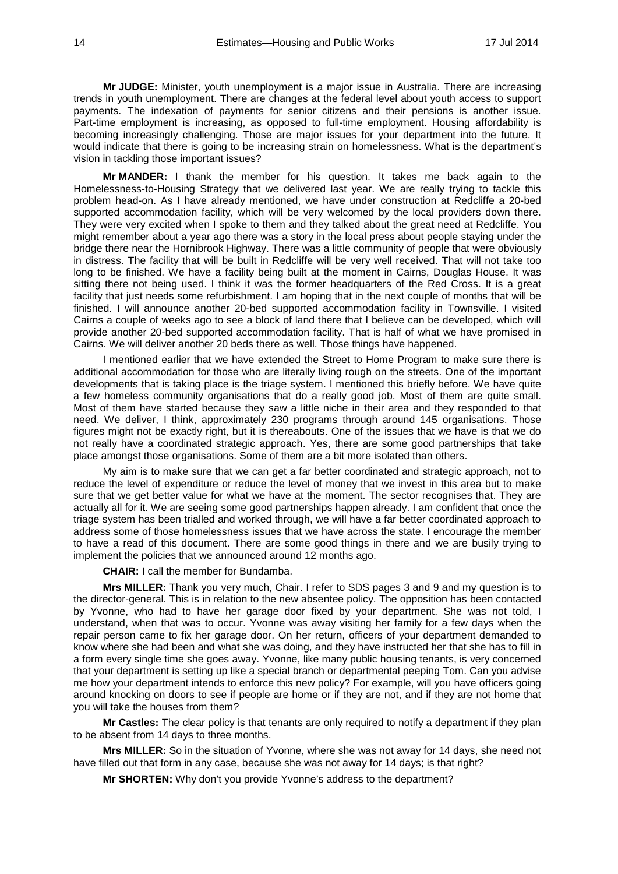**Mr JUDGE:** Minister, youth unemployment is a major issue in Australia. There are increasing trends in youth unemployment. There are changes at the federal level about youth access to support payments. The indexation of payments for senior citizens and their pensions is another issue. Part-time employment is increasing, as opposed to full-time employment. Housing affordability is becoming increasingly challenging. Those are major issues for your department into the future. It would indicate that there is going to be increasing strain on homelessness. What is the department's vision in tackling those important issues?

**Mr MANDER:** I thank the member for his question. It takes me back again to the Homelessness-to-Housing Strategy that we delivered last year. We are really trying to tackle this problem head-on. As I have already mentioned, we have under construction at Redcliffe a 20-bed supported accommodation facility, which will be very welcomed by the local providers down there. They were very excited when I spoke to them and they talked about the great need at Redcliffe. You might remember about a year ago there was a story in the local press about people staying under the bridge there near the Hornibrook Highway. There was a little community of people that were obviously in distress. The facility that will be built in Redcliffe will be very well received. That will not take too long to be finished. We have a facility being built at the moment in Cairns, Douglas House. It was sitting there not being used. I think it was the former headquarters of the Red Cross. It is a great facility that just needs some refurbishment. I am hoping that in the next couple of months that will be finished. I will announce another 20-bed supported accommodation facility in Townsville. I visited Cairns a couple of weeks ago to see a block of land there that I believe can be developed, which will provide another 20-bed supported accommodation facility. That is half of what we have promised in Cairns. We will deliver another 20 beds there as well. Those things have happened.

I mentioned earlier that we have extended the Street to Home Program to make sure there is additional accommodation for those who are literally living rough on the streets. One of the important developments that is taking place is the triage system. I mentioned this briefly before. We have quite a few homeless community organisations that do a really good job. Most of them are quite small. Most of them have started because they saw a little niche in their area and they responded to that need. We deliver, I think, approximately 230 programs through around 145 organisations. Those figures might not be exactly right, but it is thereabouts. One of the issues that we have is that we do not really have a coordinated strategic approach. Yes, there are some good partnerships that take place amongst those organisations. Some of them are a bit more isolated than others.

My aim is to make sure that we can get a far better coordinated and strategic approach, not to reduce the level of expenditure or reduce the level of money that we invest in this area but to make sure that we get better value for what we have at the moment. The sector recognises that. They are actually all for it. We are seeing some good partnerships happen already. I am confident that once the triage system has been trialled and worked through, we will have a far better coordinated approach to address some of those homelessness issues that we have across the state. I encourage the member to have a read of this document. There are some good things in there and we are busily trying to implement the policies that we announced around 12 months ago.

**CHAIR:** I call the member for Bundamba.

**Mrs MILLER:** Thank you very much, Chair. I refer to SDS pages 3 and 9 and my question is to the director-general. This is in relation to the new absentee policy. The opposition has been contacted by Yvonne, who had to have her garage door fixed by your department. She was not told, I understand, when that was to occur. Yvonne was away visiting her family for a few days when the repair person came to fix her garage door. On her return, officers of your department demanded to know where she had been and what she was doing, and they have instructed her that she has to fill in a form every single time she goes away. Yvonne, like many public housing tenants, is very concerned that your department is setting up like a special branch or departmental peeping Tom. Can you advise me how your department intends to enforce this new policy? For example, will you have officers going around knocking on doors to see if people are home or if they are not, and if they are not home that you will take the houses from them?

**Mr Castles:** The clear policy is that tenants are only required to notify a department if they plan to be absent from 14 days to three months.

**Mrs MILLER:** So in the situation of Yvonne, where she was not away for 14 days, she need not have filled out that form in any case, because she was not away for 14 days; is that right?

**Mr SHORTEN:** Why don't you provide Yvonne's address to the department?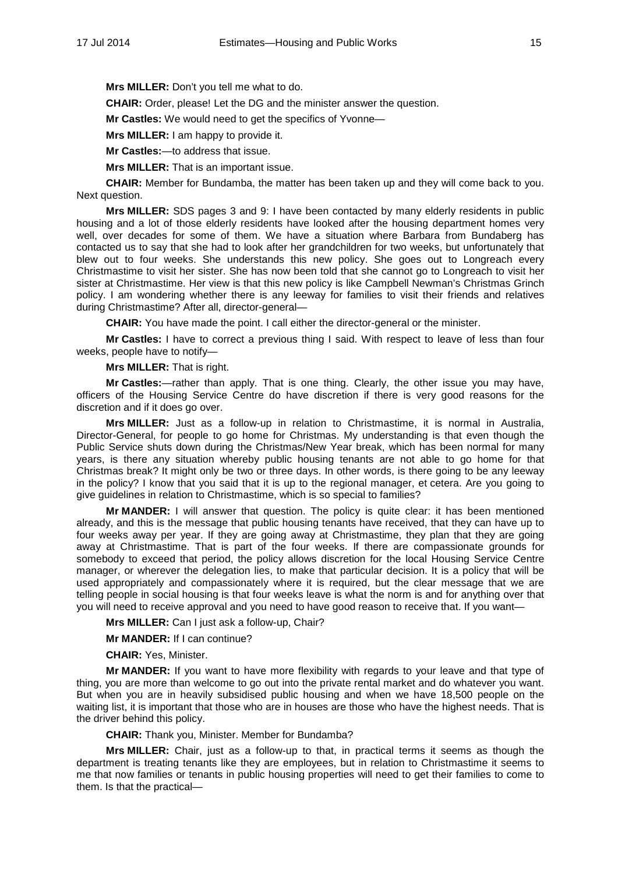**Mrs MILLER:** Don't you tell me what to do.

**CHAIR:** Order, please! Let the DG and the minister answer the question.

**Mr Castles:** We would need to get the specifics of Yvonne—

**Mrs MILLER:** I am happy to provide it.

**Mr Castles:**—to address that issue.

**Mrs MILLER:** That is an important issue.

**CHAIR:** Member for Bundamba, the matter has been taken up and they will come back to you. Next question.

**Mrs MILLER:** SDS pages 3 and 9: I have been contacted by many elderly residents in public housing and a lot of those elderly residents have looked after the housing department homes very well, over decades for some of them. We have a situation where Barbara from Bundaberg has contacted us to say that she had to look after her grandchildren for two weeks, but unfortunately that blew out to four weeks. She understands this new policy. She goes out to Longreach every Christmastime to visit her sister. She has now been told that she cannot go to Longreach to visit her sister at Christmastime. Her view is that this new policy is like Campbell Newman's Christmas Grinch policy. I am wondering whether there is any leeway for families to visit their friends and relatives during Christmastime? After all, director-general—

**CHAIR:** You have made the point. I call either the director-general or the minister.

**Mr Castles:** I have to correct a previous thing I said. With respect to leave of less than four weeks, people have to notify—

**Mrs MILLER:** That is right.

**Mr Castles:**—rather than apply. That is one thing. Clearly, the other issue you may have, officers of the Housing Service Centre do have discretion if there is very good reasons for the discretion and if it does go over.

**Mrs MILLER:** Just as a follow-up in relation to Christmastime, it is normal in Australia, Director-General, for people to go home for Christmas. My understanding is that even though the Public Service shuts down during the Christmas/New Year break, which has been normal for many years, is there any situation whereby public housing tenants are not able to go home for that Christmas break? It might only be two or three days. In other words, is there going to be any leeway in the policy? I know that you said that it is up to the regional manager, et cetera. Are you going to give guidelines in relation to Christmastime, which is so special to families?

**Mr MANDER:** I will answer that question. The policy is quite clear: it has been mentioned already, and this is the message that public housing tenants have received, that they can have up to four weeks away per year. If they are going away at Christmastime, they plan that they are going away at Christmastime. That is part of the four weeks. If there are compassionate grounds for somebody to exceed that period, the policy allows discretion for the local Housing Service Centre manager, or wherever the delegation lies, to make that particular decision. It is a policy that will be used appropriately and compassionately where it is required, but the clear message that we are telling people in social housing is that four weeks leave is what the norm is and for anything over that you will need to receive approval and you need to have good reason to receive that. If you want—

**Mrs MILLER:** Can I just ask a follow-up, Chair?

**Mr MANDER:** If I can continue?

**CHAIR:** Yes, Minister.

**Mr MANDER:** If you want to have more flexibility with regards to your leave and that type of thing, you are more than welcome to go out into the private rental market and do whatever you want. But when you are in heavily subsidised public housing and when we have 18,500 people on the waiting list, it is important that those who are in houses are those who have the highest needs. That is the driver behind this policy.

**CHAIR:** Thank you, Minister. Member for Bundamba?

**Mrs MILLER:** Chair, just as a follow-up to that, in practical terms it seems as though the department is treating tenants like they are employees, but in relation to Christmastime it seems to me that now families or tenants in public housing properties will need to get their families to come to them. Is that the practical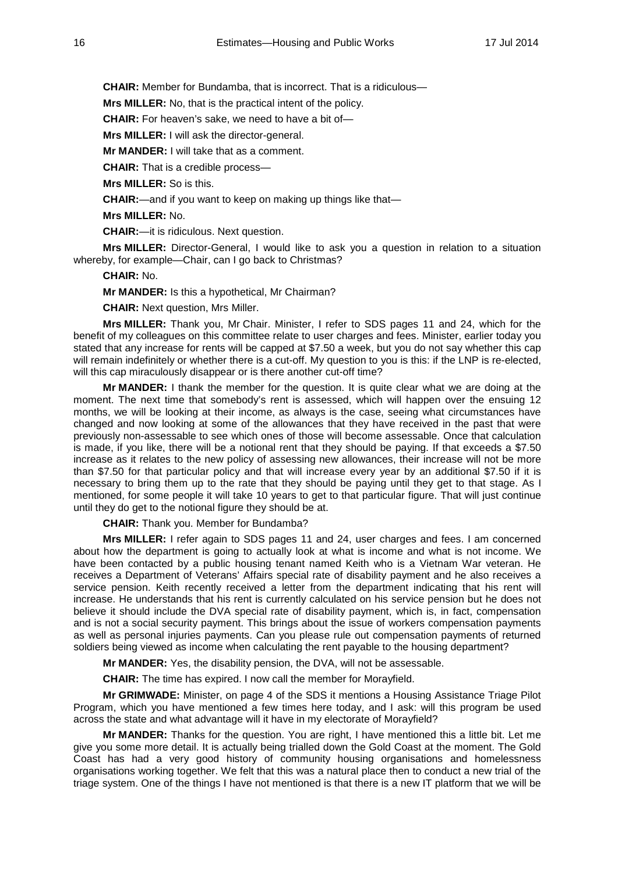**CHAIR:** Member for Bundamba, that is incorrect. That is a ridiculous—

**Mrs MILLER:** No, that is the practical intent of the policy.

**CHAIR:** For heaven's sake, we need to have a bit of—

**Mrs MILLER:** I will ask the director-general.

**Mr MANDER:** I will take that as a comment.

**CHAIR:** That is a credible process—

**Mrs MILLER:** So is this.

**CHAIR:**—and if you want to keep on making up things like that—

**Mrs MILLER:** No.

**CHAIR:**—it is ridiculous. Next question.

**Mrs MILLER:** Director-General, I would like to ask you a question in relation to a situation whereby, for example—Chair, can I go back to Christmas?

### **CHAIR:** No.

**Mr MANDER:** Is this a hypothetical, Mr Chairman?

**CHAIR:** Next question, Mrs Miller.

**Mrs MILLER:** Thank you, Mr Chair. Minister, I refer to SDS pages 11 and 24, which for the benefit of my colleagues on this committee relate to user charges and fees. Minister, earlier today you stated that any increase for rents will be capped at \$7.50 a week, but you do not say whether this cap will remain indefinitely or whether there is a cut-off. My question to you is this: if the LNP is re-elected, will this cap miraculously disappear or is there another cut-off time?

**Mr MANDER:** I thank the member for the question. It is quite clear what we are doing at the moment. The next time that somebody's rent is assessed, which will happen over the ensuing 12 months, we will be looking at their income, as always is the case, seeing what circumstances have changed and now looking at some of the allowances that they have received in the past that were previously non-assessable to see which ones of those will become assessable. Once that calculation is made, if you like, there will be a notional rent that they should be paying. If that exceeds a \$7.50 increase as it relates to the new policy of assessing new allowances, their increase will not be more than \$7.50 for that particular policy and that will increase every year by an additional \$7.50 if it is necessary to bring them up to the rate that they should be paying until they get to that stage. As I mentioned, for some people it will take 10 years to get to that particular figure. That will just continue until they do get to the notional figure they should be at.

**CHAIR:** Thank you. Member for Bundamba?

**Mrs MILLER:** I refer again to SDS pages 11 and 24, user charges and fees. I am concerned about how the department is going to actually look at what is income and what is not income. We have been contacted by a public housing tenant named Keith who is a Vietnam War veteran. He receives a Department of Veterans' Affairs special rate of disability payment and he also receives a service pension. Keith recently received a letter from the department indicating that his rent will increase. He understands that his rent is currently calculated on his service pension but he does not believe it should include the DVA special rate of disability payment, which is, in fact, compensation and is not a social security payment. This brings about the issue of workers compensation payments as well as personal injuries payments. Can you please rule out compensation payments of returned soldiers being viewed as income when calculating the rent payable to the housing department?

**Mr MANDER:** Yes, the disability pension, the DVA, will not be assessable.

**CHAIR:** The time has expired. I now call the member for Morayfield.

**Mr GRIMWADE:** Minister, on page 4 of the SDS it mentions a Housing Assistance Triage Pilot Program, which you have mentioned a few times here today, and I ask: will this program be used across the state and what advantage will it have in my electorate of Morayfield?

**Mr MANDER:** Thanks for the question. You are right, I have mentioned this a little bit. Let me give you some more detail. It is actually being trialled down the Gold Coast at the moment. The Gold Coast has had a very good history of community housing organisations and homelessness organisations working together. We felt that this was a natural place then to conduct a new trial of the triage system. One of the things I have not mentioned is that there is a new IT platform that we will be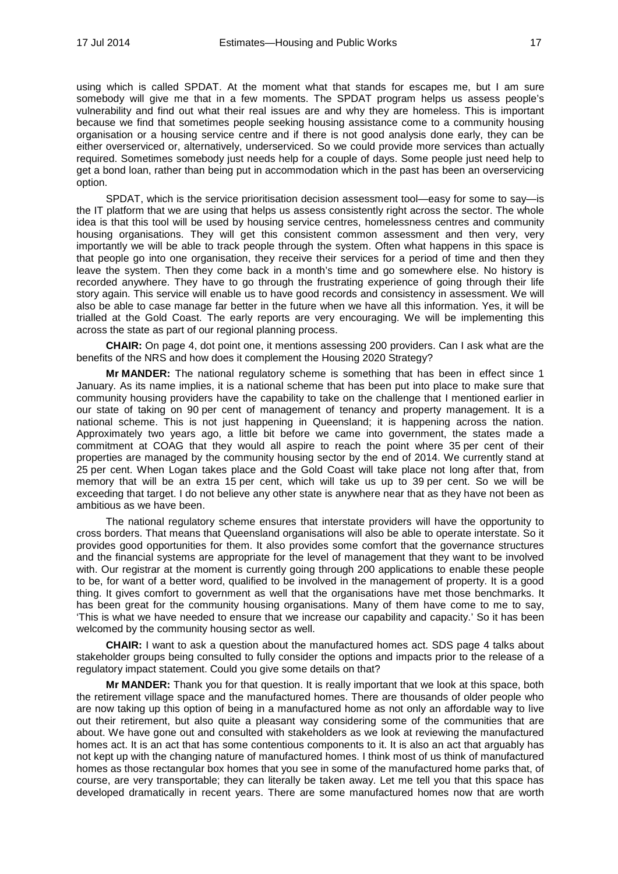using which is called SPDAT. At the moment what that stands for escapes me, but I am sure somebody will give me that in a few moments. The SPDAT program helps us assess people's vulnerability and find out what their real issues are and why they are homeless. This is important because we find that sometimes people seeking housing assistance come to a community housing organisation or a housing service centre and if there is not good analysis done early, they can be either overserviced or, alternatively, underserviced. So we could provide more services than actually required. Sometimes somebody just needs help for a couple of days. Some people just need help to get a bond loan, rather than being put in accommodation which in the past has been an overservicing option.

SPDAT, which is the service prioritisation decision assessment tool—easy for some to say—is the IT platform that we are using that helps us assess consistently right across the sector. The whole idea is that this tool will be used by housing service centres, homelessness centres and community housing organisations. They will get this consistent common assessment and then very, very importantly we will be able to track people through the system. Often what happens in this space is that people go into one organisation, they receive their services for a period of time and then they leave the system. Then they come back in a month's time and go somewhere else. No history is recorded anywhere. They have to go through the frustrating experience of going through their life story again. This service will enable us to have good records and consistency in assessment. We will also be able to case manage far better in the future when we have all this information. Yes, it will be trialled at the Gold Coast. The early reports are very encouraging. We will be implementing this across the state as part of our regional planning process.

**CHAIR:** On page 4, dot point one, it mentions assessing 200 providers. Can I ask what are the benefits of the NRS and how does it complement the Housing 2020 Strategy?

**Mr MANDER:** The national regulatory scheme is something that has been in effect since 1 January. As its name implies, it is a national scheme that has been put into place to make sure that community housing providers have the capability to take on the challenge that I mentioned earlier in our state of taking on 90 per cent of management of tenancy and property management. It is a national scheme. This is not just happening in Queensland; it is happening across the nation. Approximately two years ago, a little bit before we came into government, the states made a commitment at COAG that they would all aspire to reach the point where 35 per cent of their properties are managed by the community housing sector by the end of 2014. We currently stand at 25 per cent. When Logan takes place and the Gold Coast will take place not long after that, from memory that will be an extra 15 per cent, which will take us up to 39 per cent. So we will be exceeding that target. I do not believe any other state is anywhere near that as they have not been as ambitious as we have been.

The national regulatory scheme ensures that interstate providers will have the opportunity to cross borders. That means that Queensland organisations will also be able to operate interstate. So it provides good opportunities for them. It also provides some comfort that the governance structures and the financial systems are appropriate for the level of management that they want to be involved with. Our registrar at the moment is currently going through 200 applications to enable these people to be, for want of a better word, qualified to be involved in the management of property. It is a good thing. It gives comfort to government as well that the organisations have met those benchmarks. It has been great for the community housing organisations. Many of them have come to me to say, 'This is what we have needed to ensure that we increase our capability and capacity.' So it has been welcomed by the community housing sector as well.

**CHAIR:** I want to ask a question about the manufactured homes act. SDS page 4 talks about stakeholder groups being consulted to fully consider the options and impacts prior to the release of a regulatory impact statement. Could you give some details on that?

**Mr MANDER:** Thank you for that question. It is really important that we look at this space, both the retirement village space and the manufactured homes. There are thousands of older people who are now taking up this option of being in a manufactured home as not only an affordable way to live out their retirement, but also quite a pleasant way considering some of the communities that are about. We have gone out and consulted with stakeholders as we look at reviewing the manufactured homes act. It is an act that has some contentious components to it. It is also an act that arguably has not kept up with the changing nature of manufactured homes. I think most of us think of manufactured homes as those rectangular box homes that you see in some of the manufactured home parks that, of course, are very transportable; they can literally be taken away. Let me tell you that this space has developed dramatically in recent years. There are some manufactured homes now that are worth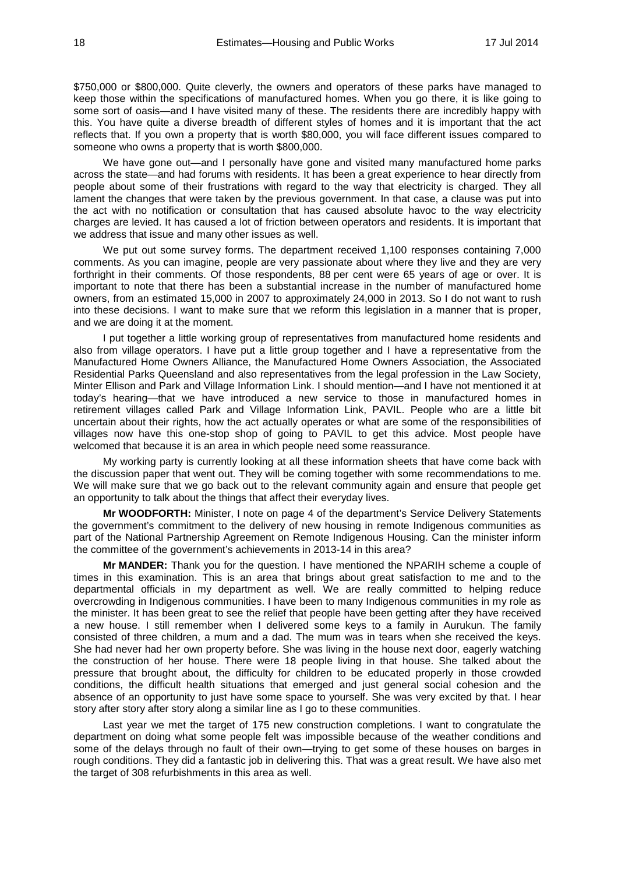\$750,000 or \$800,000. Quite cleverly, the owners and operators of these parks have managed to keep those within the specifications of manufactured homes. When you go there, it is like going to some sort of oasis—and I have visited many of these. The residents there are incredibly happy with this. You have quite a diverse breadth of different styles of homes and it is important that the act reflects that. If you own a property that is worth \$80,000, you will face different issues compared to someone who owns a property that is worth \$800,000.

We have gone out—and I personally have gone and visited many manufactured home parks across the state—and had forums with residents. It has been a great experience to hear directly from people about some of their frustrations with regard to the way that electricity is charged. They all lament the changes that were taken by the previous government. In that case, a clause was put into the act with no notification or consultation that has caused absolute havoc to the way electricity charges are levied. It has caused a lot of friction between operators and residents. It is important that we address that issue and many other issues as well.

We put out some survey forms. The department received 1,100 responses containing 7,000 comments. As you can imagine, people are very passionate about where they live and they are very forthright in their comments. Of those respondents, 88 per cent were 65 years of age or over. It is important to note that there has been a substantial increase in the number of manufactured home owners, from an estimated 15,000 in 2007 to approximately 24,000 in 2013. So I do not want to rush into these decisions. I want to make sure that we reform this legislation in a manner that is proper, and we are doing it at the moment.

I put together a little working group of representatives from manufactured home residents and also from village operators. I have put a little group together and I have a representative from the Manufactured Home Owners Alliance, the Manufactured Home Owners Association, the Associated Residential Parks Queensland and also representatives from the legal profession in the Law Society, Minter Ellison and Park and Village Information Link. I should mention—and I have not mentioned it at today's hearing—that we have introduced a new service to those in manufactured homes in retirement villages called Park and Village Information Link, PAVIL. People who are a little bit uncertain about their rights, how the act actually operates or what are some of the responsibilities of villages now have this one-stop shop of going to PAVIL to get this advice. Most people have welcomed that because it is an area in which people need some reassurance.

My working party is currently looking at all these information sheets that have come back with the discussion paper that went out. They will be coming together with some recommendations to me. We will make sure that we go back out to the relevant community again and ensure that people get an opportunity to talk about the things that affect their everyday lives.

**Mr WOODFORTH:** Minister, I note on page 4 of the department's Service Delivery Statements the government's commitment to the delivery of new housing in remote Indigenous communities as part of the National Partnership Agreement on Remote Indigenous Housing. Can the minister inform the committee of the government's achievements in 2013-14 in this area?

**Mr MANDER:** Thank you for the question. I have mentioned the NPARIH scheme a couple of times in this examination. This is an area that brings about great satisfaction to me and to the departmental officials in my department as well. We are really committed to helping reduce overcrowding in Indigenous communities. I have been to many Indigenous communities in my role as the minister. It has been great to see the relief that people have been getting after they have received a new house. I still remember when I delivered some keys to a family in Aurukun. The family consisted of three children, a mum and a dad. The mum was in tears when she received the keys. She had never had her own property before. She was living in the house next door, eagerly watching the construction of her house. There were 18 people living in that house. She talked about the pressure that brought about, the difficulty for children to be educated properly in those crowded conditions, the difficult health situations that emerged and just general social cohesion and the absence of an opportunity to just have some space to yourself. She was very excited by that. I hear story after story after story along a similar line as I go to these communities.

Last year we met the target of 175 new construction completions. I want to congratulate the department on doing what some people felt was impossible because of the weather conditions and some of the delays through no fault of their own—trying to get some of these houses on barges in rough conditions. They did a fantastic job in delivering this. That was a great result. We have also met the target of 308 refurbishments in this area as well.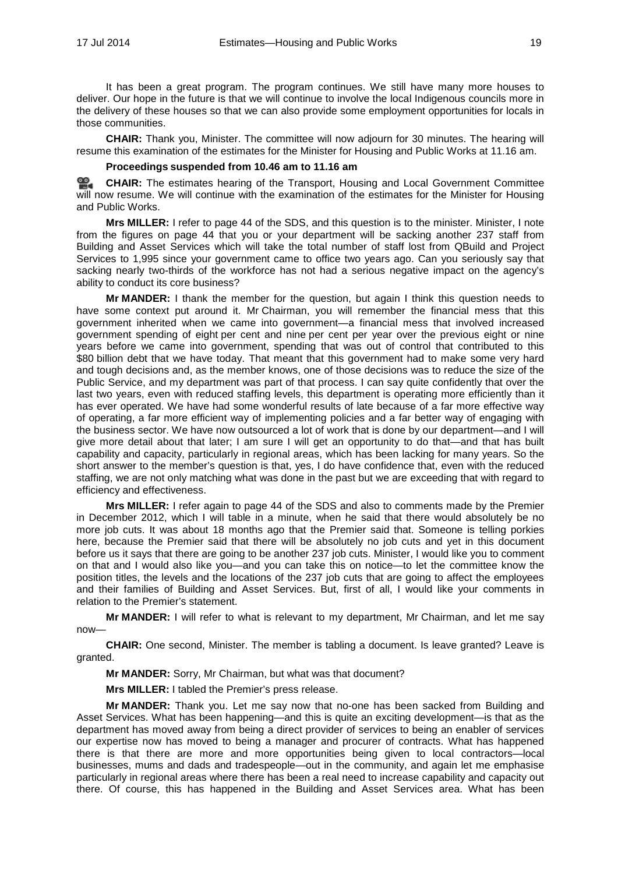It has been a great program. The program continues. We still have many more houses to deliver. Our hope in the future is that we will continue to involve the local Indigenous councils more in the delivery of these houses so that we can also provide some employment opportunities for locals in those communities.

**CHAIR:** Thank you, Minister. The committee will now adjourn for 30 minutes. The hearing will resume this examination of the estimates for the Minister for Housing and Public Works at 11.16 am.

### **Proceedings suspended from 10.46 am to 11.16 am**

≌. **[CHAIR:](http://www.parliament.qld.gov.au/docs/find.aspx?id=0MbaTHLGC20140717_111547)** The estimates hearing of the Transport, Housing and Local Government Committee will now resume. We will continue with the examination of the estimates for the Minister for Housing and Public Works.

**Mrs MILLER:** I refer to page 44 of the SDS, and this question is to the minister. Minister, I note from the figures on page 44 that you or your department will be sacking another 237 staff from Building and Asset Services which will take the total number of staff lost from QBuild and Project Services to 1,995 since your government came to office two years ago. Can you seriously say that sacking nearly two-thirds of the workforce has not had a serious negative impact on the agency's ability to conduct its core business?

**Mr MANDER:** I thank the member for the question, but again I think this question needs to have some context put around it. Mr Chairman, you will remember the financial mess that this government inherited when we came into government—a financial mess that involved increased government spending of eight per cent and nine per cent per year over the previous eight or nine years before we came into government, spending that was out of control that contributed to this \$80 billion debt that we have today. That meant that this government had to make some very hard and tough decisions and, as the member knows, one of those decisions was to reduce the size of the Public Service, and my department was part of that process. I can say quite confidently that over the last two years, even with reduced staffing levels, this department is operating more efficiently than it has ever operated. We have had some wonderful results of late because of a far more effective way of operating, a far more efficient way of implementing policies and a far better way of engaging with the business sector. We have now outsourced a lot of work that is done by our department—and I will give more detail about that later; I am sure I will get an opportunity to do that—and that has built capability and capacity, particularly in regional areas, which has been lacking for many years. So the short answer to the member's question is that, yes, I do have confidence that, even with the reduced staffing, we are not only matching what was done in the past but we are exceeding that with regard to efficiency and effectiveness.

**Mrs MILLER:** I refer again to page 44 of the SDS and also to comments made by the Premier in December 2012, which I will table in a minute, when he said that there would absolutely be no more job cuts. It was about 18 months ago that the Premier said that. Someone is telling porkies here, because the Premier said that there will be absolutely no job cuts and yet in this document before us it says that there are going to be another 237 job cuts. Minister, I would like you to comment on that and I would also like you—and you can take this on notice—to let the committee know the position titles, the levels and the locations of the 237 job cuts that are going to affect the employees and their families of Building and Asset Services. But, first of all, I would like your comments in relation to the Premier's statement.

**Mr MANDER:** I will refer to what is relevant to my department, Mr Chairman, and let me say now—

**CHAIR:** One second, Minister. The member is tabling a document. Is leave granted? Leave is granted.

**Mr MANDER:** Sorry, Mr Chairman, but what was that document?

**Mrs MILLER:** I tabled the Premier's press release.

**Mr MANDER:** Thank you. Let me say now that no-one has been sacked from Building and Asset Services. What has been happening—and this is quite an exciting development—is that as the department has moved away from being a direct provider of services to being an enabler of services our expertise now has moved to being a manager and procurer of contracts. What has happened there is that there are more and more opportunities being given to local contractors—local businesses, mums and dads and tradespeople—out in the community, and again let me emphasise particularly in regional areas where there has been a real need to increase capability and capacity out there. Of course, this has happened in the Building and Asset Services area. What has been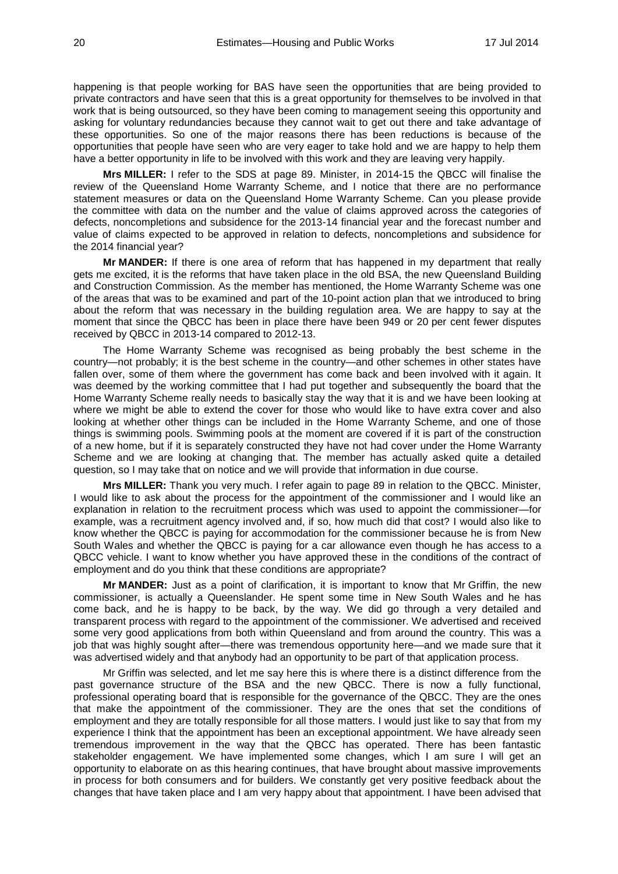happening is that people working for BAS have seen the opportunities that are being provided to private contractors and have seen that this is a great opportunity for themselves to be involved in that work that is being outsourced, so they have been coming to management seeing this opportunity and asking for voluntary redundancies because they cannot wait to get out there and take advantage of these opportunities. So one of the major reasons there has been reductions is because of the opportunities that people have seen who are very eager to take hold and we are happy to help them have a better opportunity in life to be involved with this work and they are leaving very happily.

**Mrs MILLER:** I refer to the SDS at page 89. Minister, in 2014-15 the QBCC will finalise the review of the Queensland Home Warranty Scheme, and I notice that there are no performance statement measures or data on the Queensland Home Warranty Scheme. Can you please provide the committee with data on the number and the value of claims approved across the categories of defects, noncompletions and subsidence for the 2013-14 financial year and the forecast number and value of claims expected to be approved in relation to defects, noncompletions and subsidence for the 2014 financial year?

**Mr MANDER:** If there is one area of reform that has happened in my department that really gets me excited, it is the reforms that have taken place in the old BSA, the new Queensland Building and Construction Commission. As the member has mentioned, the Home Warranty Scheme was one of the areas that was to be examined and part of the 10-point action plan that we introduced to bring about the reform that was necessary in the building regulation area. We are happy to say at the moment that since the QBCC has been in place there have been 949 or 20 per cent fewer disputes received by QBCC in 2013-14 compared to 2012-13.

The Home Warranty Scheme was recognised as being probably the best scheme in the country—not probably; it is the best scheme in the country—and other schemes in other states have fallen over, some of them where the government has come back and been involved with it again. It was deemed by the working committee that I had put together and subsequently the board that the Home Warranty Scheme really needs to basically stay the way that it is and we have been looking at where we might be able to extend the cover for those who would like to have extra cover and also looking at whether other things can be included in the Home Warranty Scheme, and one of those things is swimming pools. Swimming pools at the moment are covered if it is part of the construction of a new home, but if it is separately constructed they have not had cover under the Home Warranty Scheme and we are looking at changing that. The member has actually asked quite a detailed question, so I may take that on notice and we will provide that information in due course.

**Mrs MILLER:** Thank you very much. I refer again to page 89 in relation to the QBCC. Minister, I would like to ask about the process for the appointment of the commissioner and I would like an explanation in relation to the recruitment process which was used to appoint the commissioner—for example, was a recruitment agency involved and, if so, how much did that cost? I would also like to know whether the QBCC is paying for accommodation for the commissioner because he is from New South Wales and whether the QBCC is paying for a car allowance even though he has access to a QBCC vehicle. I want to know whether you have approved these in the conditions of the contract of employment and do you think that these conditions are appropriate?

**Mr MANDER:** Just as a point of clarification, it is important to know that Mr Griffin, the new commissioner, is actually a Queenslander. He spent some time in New South Wales and he has come back, and he is happy to be back, by the way. We did go through a very detailed and transparent process with regard to the appointment of the commissioner. We advertised and received some very good applications from both within Queensland and from around the country. This was a job that was highly sought after—there was tremendous opportunity here—and we made sure that it was advertised widely and that anybody had an opportunity to be part of that application process.

Mr Griffin was selected, and let me say here this is where there is a distinct difference from the past governance structure of the BSA and the new QBCC. There is now a fully functional, professional operating board that is responsible for the governance of the QBCC. They are the ones that make the appointment of the commissioner. They are the ones that set the conditions of employment and they are totally responsible for all those matters. I would just like to say that from my experience I think that the appointment has been an exceptional appointment. We have already seen tremendous improvement in the way that the QBCC has operated. There has been fantastic stakeholder engagement. We have implemented some changes, which I am sure I will get an opportunity to elaborate on as this hearing continues, that have brought about massive improvements in process for both consumers and for builders. We constantly get very positive feedback about the changes that have taken place and I am very happy about that appointment. I have been advised that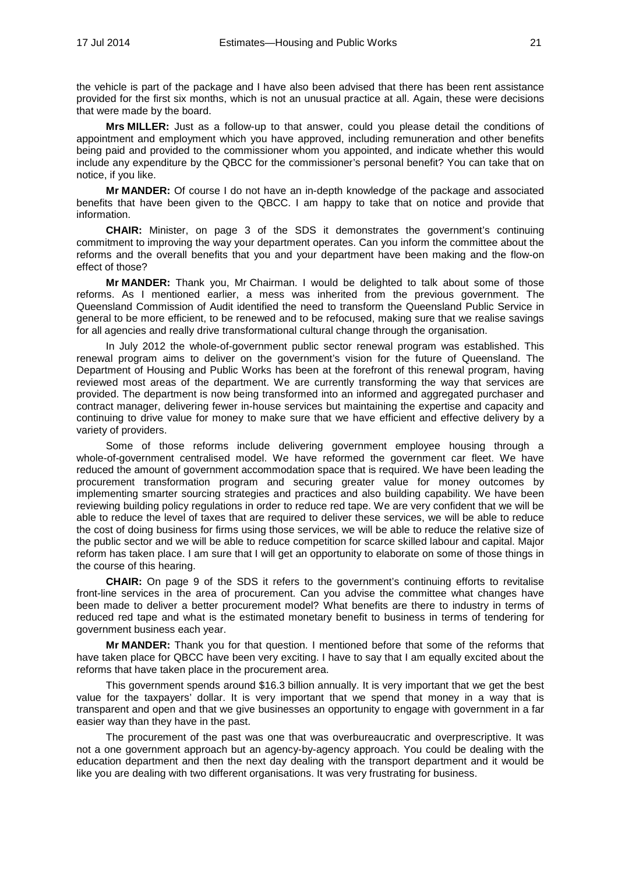the vehicle is part of the package and I have also been advised that there has been rent assistance provided for the first six months, which is not an unusual practice at all. Again, these were decisions that were made by the board.

**Mrs MILLER:** Just as a follow-up to that answer, could you please detail the conditions of appointment and employment which you have approved, including remuneration and other benefits being paid and provided to the commissioner whom you appointed, and indicate whether this would include any expenditure by the QBCC for the commissioner's personal benefit? You can take that on notice, if you like.

**Mr MANDER:** Of course I do not have an in-depth knowledge of the package and associated benefits that have been given to the QBCC. I am happy to take that on notice and provide that information.

**CHAIR:** Minister, on page 3 of the SDS it demonstrates the government's continuing commitment to improving the way your department operates. Can you inform the committee about the reforms and the overall benefits that you and your department have been making and the flow-on effect of those?

**Mr MANDER:** Thank you, Mr Chairman. I would be delighted to talk about some of those reforms. As I mentioned earlier, a mess was inherited from the previous government. The Queensland Commission of Audit identified the need to transform the Queensland Public Service in general to be more efficient, to be renewed and to be refocused, making sure that we realise savings for all agencies and really drive transformational cultural change through the organisation.

In July 2012 the whole-of-government public sector renewal program was established. This renewal program aims to deliver on the government's vision for the future of Queensland. The Department of Housing and Public Works has been at the forefront of this renewal program, having reviewed most areas of the department. We are currently transforming the way that services are provided. The department is now being transformed into an informed and aggregated purchaser and contract manager, delivering fewer in-house services but maintaining the expertise and capacity and continuing to drive value for money to make sure that we have efficient and effective delivery by a variety of providers.

Some of those reforms include delivering government employee housing through a whole-of-government centralised model. We have reformed the government car fleet. We have reduced the amount of government accommodation space that is required. We have been leading the procurement transformation program and securing greater value for money outcomes by implementing smarter sourcing strategies and practices and also building capability. We have been reviewing building policy regulations in order to reduce red tape. We are very confident that we will be able to reduce the level of taxes that are required to deliver these services, we will be able to reduce the cost of doing business for firms using those services, we will be able to reduce the relative size of the public sector and we will be able to reduce competition for scarce skilled labour and capital. Major reform has taken place. I am sure that I will get an opportunity to elaborate on some of those things in the course of this hearing.

**CHAIR:** On page 9 of the SDS it refers to the government's continuing efforts to revitalise front-line services in the area of procurement. Can you advise the committee what changes have been made to deliver a better procurement model? What benefits are there to industry in terms of reduced red tape and what is the estimated monetary benefit to business in terms of tendering for government business each year.

**Mr MANDER:** Thank you for that question. I mentioned before that some of the reforms that have taken place for QBCC have been very exciting. I have to say that I am equally excited about the reforms that have taken place in the procurement area.

This government spends around \$16.3 billion annually. It is very important that we get the best value for the taxpayers' dollar. It is very important that we spend that money in a way that is transparent and open and that we give businesses an opportunity to engage with government in a far easier way than they have in the past.

The procurement of the past was one that was overbureaucratic and overprescriptive. It was not a one government approach but an agency-by-agency approach. You could be dealing with the education department and then the next day dealing with the transport department and it would be like you are dealing with two different organisations. It was very frustrating for business.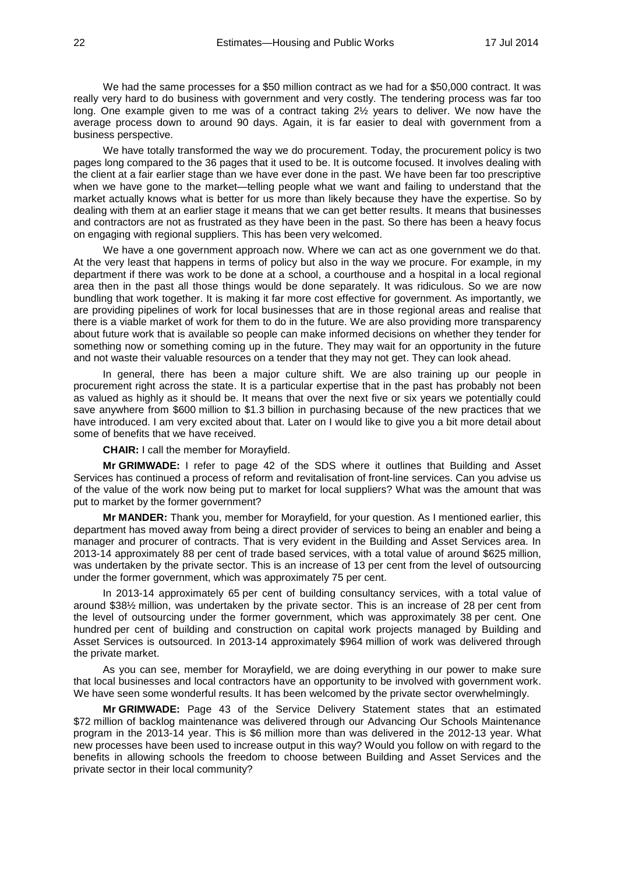We had the same processes for a \$50 million contract as we had for a \$50,000 contract. It was really very hard to do business with government and very costly. The tendering process was far too long. One example given to me was of a contract taking 2½ years to deliver. We now have the average process down to around 90 days. Again, it is far easier to deal with government from a business perspective.

We have totally transformed the way we do procurement. Today, the procurement policy is two pages long compared to the 36 pages that it used to be. It is outcome focused. It involves dealing with the client at a fair earlier stage than we have ever done in the past. We have been far too prescriptive when we have gone to the market—telling people what we want and failing to understand that the market actually knows what is better for us more than likely because they have the expertise. So by dealing with them at an earlier stage it means that we can get better results. It means that businesses and contractors are not as frustrated as they have been in the past. So there has been a heavy focus on engaging with regional suppliers. This has been very welcomed.

We have a one government approach now. Where we can act as one government we do that. At the very least that happens in terms of policy but also in the way we procure. For example, in my department if there was work to be done at a school, a courthouse and a hospital in a local regional area then in the past all those things would be done separately. It was ridiculous. So we are now bundling that work together. It is making it far more cost effective for government. As importantly, we are providing pipelines of work for local businesses that are in those regional areas and realise that there is a viable market of work for them to do in the future. We are also providing more transparency about future work that is available so people can make informed decisions on whether they tender for something now or something coming up in the future. They may wait for an opportunity in the future and not waste their valuable resources on a tender that they may not get. They can look ahead.

In general, there has been a major culture shift. We are also training up our people in procurement right across the state. It is a particular expertise that in the past has probably not been as valued as highly as it should be. It means that over the next five or six years we potentially could save anywhere from \$600 million to \$1.3 billion in purchasing because of the new practices that we have introduced. I am very excited about that. Later on I would like to give you a bit more detail about some of benefits that we have received.

**CHAIR:** I call the member for Morayfield.

**Mr GRIMWADE:** I refer to page 42 of the SDS where it outlines that Building and Asset Services has continued a process of reform and revitalisation of front-line services. Can you advise us of the value of the work now being put to market for local suppliers? What was the amount that was put to market by the former government?

**Mr MANDER:** Thank you, member for Morayfield, for your question. As I mentioned earlier, this department has moved away from being a direct provider of services to being an enabler and being a manager and procurer of contracts. That is very evident in the Building and Asset Services area. In 2013-14 approximately 88 per cent of trade based services, with a total value of around \$625 million, was undertaken by the private sector. This is an increase of 13 per cent from the level of outsourcing under the former government, which was approximately 75 per cent.

In 2013-14 approximately 65 per cent of building consultancy services, with a total value of around \$38½ million, was undertaken by the private sector. This is an increase of 28 per cent from the level of outsourcing under the former government, which was approximately 38 per cent. One hundred per cent of building and construction on capital work projects managed by Building and Asset Services is outsourced. In 2013-14 approximately \$964 million of work was delivered through the private market.

As you can see, member for Morayfield, we are doing everything in our power to make sure that local businesses and local contractors have an opportunity to be involved with government work. We have seen some wonderful results. It has been welcomed by the private sector overwhelmingly.

**Mr GRIMWADE:** Page 43 of the Service Delivery Statement states that an estimated \$72 million of backlog maintenance was delivered through our Advancing Our Schools Maintenance program in the 2013-14 year. This is \$6 million more than was delivered in the 2012-13 year. What new processes have been used to increase output in this way? Would you follow on with regard to the benefits in allowing schools the freedom to choose between Building and Asset Services and the private sector in their local community?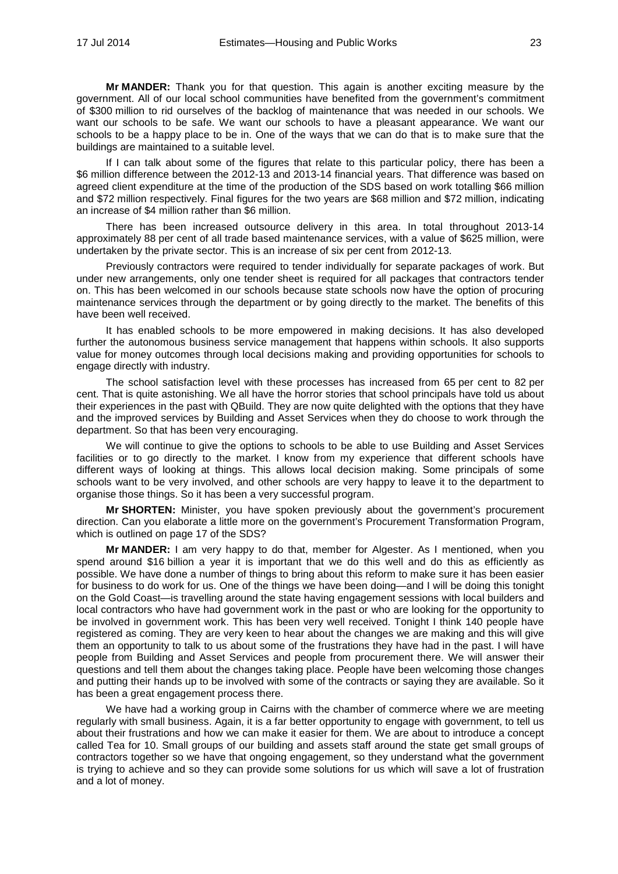**Mr MANDER:** Thank you for that question. This again is another exciting measure by the government. All of our local school communities have benefited from the government's commitment of \$300 million to rid ourselves of the backlog of maintenance that was needed in our schools. We want our schools to be safe. We want our schools to have a pleasant appearance. We want our schools to be a happy place to be in. One of the ways that we can do that is to make sure that the buildings are maintained to a suitable level.

If I can talk about some of the figures that relate to this particular policy, there has been a \$6 million difference between the 2012-13 and 2013-14 financial years. That difference was based on agreed client expenditure at the time of the production of the SDS based on work totalling \$66 million and \$72 million respectively. Final figures for the two years are \$68 million and \$72 million, indicating an increase of \$4 million rather than \$6 million.

There has been increased outsource delivery in this area. In total throughout 2013-14 approximately 88 per cent of all trade based maintenance services, with a value of \$625 million, were undertaken by the private sector. This is an increase of six per cent from 2012-13.

Previously contractors were required to tender individually for separate packages of work. But under new arrangements, only one tender sheet is required for all packages that contractors tender on. This has been welcomed in our schools because state schools now have the option of procuring maintenance services through the department or by going directly to the market. The benefits of this have been well received.

It has enabled schools to be more empowered in making decisions. It has also developed further the autonomous business service management that happens within schools. It also supports value for money outcomes through local decisions making and providing opportunities for schools to engage directly with industry.

The school satisfaction level with these processes has increased from 65 per cent to 82 per cent. That is quite astonishing. We all have the horror stories that school principals have told us about their experiences in the past with QBuild. They are now quite delighted with the options that they have and the improved services by Building and Asset Services when they do choose to work through the department. So that has been very encouraging.

We will continue to give the options to schools to be able to use Building and Asset Services facilities or to go directly to the market. I know from my experience that different schools have different ways of looking at things. This allows local decision making. Some principals of some schools want to be very involved, and other schools are very happy to leave it to the department to organise those things. So it has been a very successful program.

**Mr SHORTEN:** Minister, you have spoken previously about the government's procurement direction. Can you elaborate a little more on the government's Procurement Transformation Program, which is outlined on page 17 of the SDS?

**Mr MANDER:** I am very happy to do that, member for Algester. As I mentioned, when you spend around \$16 billion a year it is important that we do this well and do this as efficiently as possible. We have done a number of things to bring about this reform to make sure it has been easier for business to do work for us. One of the things we have been doing—and I will be doing this tonight on the Gold Coast—is travelling around the state having engagement sessions with local builders and local contractors who have had government work in the past or who are looking for the opportunity to be involved in government work. This has been very well received. Tonight I think 140 people have registered as coming. They are very keen to hear about the changes we are making and this will give them an opportunity to talk to us about some of the frustrations they have had in the past. I will have people from Building and Asset Services and people from procurement there. We will answer their questions and tell them about the changes taking place. People have been welcoming those changes and putting their hands up to be involved with some of the contracts or saying they are available. So it has been a great engagement process there.

We have had a working group in Cairns with the chamber of commerce where we are meeting regularly with small business. Again, it is a far better opportunity to engage with government, to tell us about their frustrations and how we can make it easier for them. We are about to introduce a concept called Tea for 10. Small groups of our building and assets staff around the state get small groups of contractors together so we have that ongoing engagement, so they understand what the government is trying to achieve and so they can provide some solutions for us which will save a lot of frustration and a lot of money.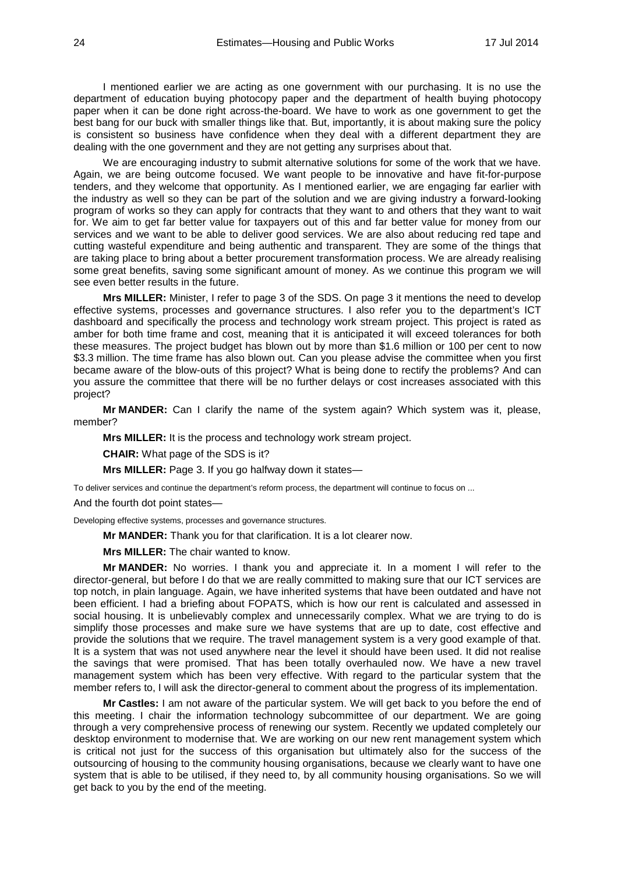I mentioned earlier we are acting as one government with our purchasing. It is no use the department of education buying photocopy paper and the department of health buying photocopy paper when it can be done right across-the-board. We have to work as one government to get the best bang for our buck with smaller things like that. But, importantly, it is about making sure the policy is consistent so business have confidence when they deal with a different department they are dealing with the one government and they are not getting any surprises about that.

We are encouraging industry to submit alternative solutions for some of the work that we have. Again, we are being outcome focused. We want people to be innovative and have fit-for-purpose tenders, and they welcome that opportunity. As I mentioned earlier, we are engaging far earlier with the industry as well so they can be part of the solution and we are giving industry a forward-looking program of works so they can apply for contracts that they want to and others that they want to wait for. We aim to get far better value for taxpayers out of this and far better value for money from our services and we want to be able to deliver good services. We are also about reducing red tape and cutting wasteful expenditure and being authentic and transparent. They are some of the things that are taking place to bring about a better procurement transformation process. We are already realising some great benefits, saving some significant amount of money. As we continue this program we will see even better results in the future.

**Mrs MILLER:** Minister, I refer to page 3 of the SDS. On page 3 it mentions the need to develop effective systems, processes and governance structures. I also refer you to the department's ICT dashboard and specifically the process and technology work stream project. This project is rated as amber for both time frame and cost, meaning that it is anticipated it will exceed tolerances for both these measures. The project budget has blown out by more than \$1.6 million or 100 per cent to now \$3.3 million. The time frame has also blown out. Can you please advise the committee when you first became aware of the blow-outs of this project? What is being done to rectify the problems? And can you assure the committee that there will be no further delays or cost increases associated with this project?

**Mr MANDER:** Can I clarify the name of the system again? Which system was it, please, member?

**Mrs MILLER:** It is the process and technology work stream project.

**CHAIR:** What page of the SDS is it?

**Mrs MILLER:** Page 3. If you go halfway down it states—

To deliver services and continue the department's reform process, the department will continue to focus on ...

And the fourth dot point states—

Developing effective systems, processes and governance structures.

**Mr MANDER:** Thank you for that clarification. It is a lot clearer now.

**Mrs MILLER:** The chair wanted to know.

**Mr MANDER:** No worries. I thank you and appreciate it. In a moment I will refer to the director-general, but before I do that we are really committed to making sure that our ICT services are top notch, in plain language. Again, we have inherited systems that have been outdated and have not been efficient. I had a briefing about FOPATS, which is how our rent is calculated and assessed in social housing. It is unbelievably complex and unnecessarily complex. What we are trying to do is simplify those processes and make sure we have systems that are up to date, cost effective and provide the solutions that we require. The travel management system is a very good example of that. It is a system that was not used anywhere near the level it should have been used. It did not realise the savings that were promised. That has been totally overhauled now. We have a new travel management system which has been very effective. With regard to the particular system that the member refers to, I will ask the director-general to comment about the progress of its implementation.

**Mr Castles:** I am not aware of the particular system. We will get back to you before the end of this meeting. I chair the information technology subcommittee of our department. We are going through a very comprehensive process of renewing our system. Recently we updated completely our desktop environment to modernise that. We are working on our new rent management system which is critical not just for the success of this organisation but ultimately also for the success of the outsourcing of housing to the community housing organisations, because we clearly want to have one system that is able to be utilised, if they need to, by all community housing organisations. So we will get back to you by the end of the meeting.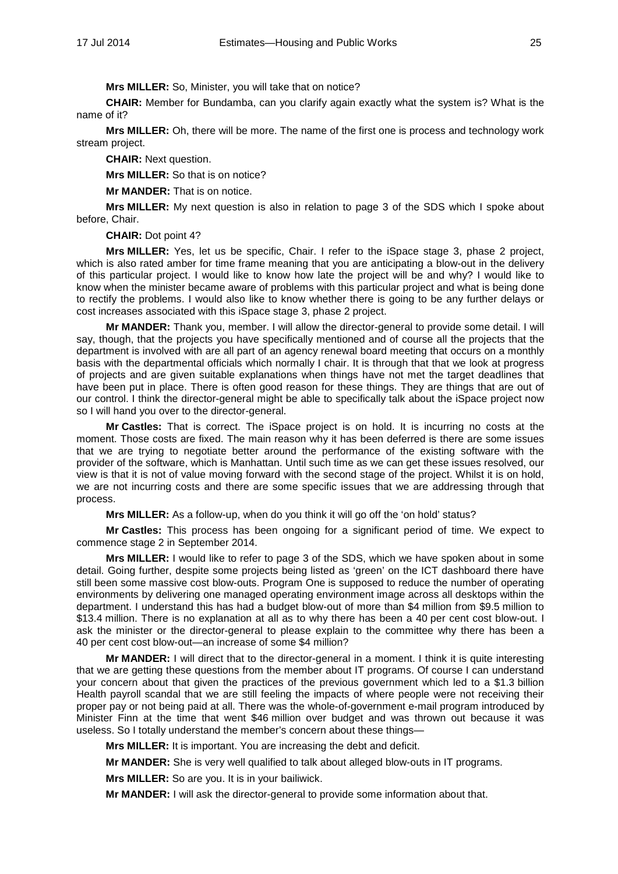**Mrs MILLER:** So, Minister, you will take that on notice?

**CHAIR:** Member for Bundamba, can you clarify again exactly what the system is? What is the name of it?

**Mrs MILLER:** Oh, there will be more. The name of the first one is process and technology work stream project.

**CHAIR:** Next question.

**Mrs MILLER:** So that is on notice?

**Mr MANDER:** That is on notice.

**Mrs MILLER:** My next question is also in relation to page 3 of the SDS which I spoke about before, Chair.

**CHAIR:** Dot point 4?

**Mrs MILLER:** Yes, let us be specific, Chair. I refer to the iSpace stage 3, phase 2 project, which is also rated amber for time frame meaning that you are anticipating a blow-out in the delivery of this particular project. I would like to know how late the project will be and why? I would like to know when the minister became aware of problems with this particular project and what is being done to rectify the problems. I would also like to know whether there is going to be any further delays or cost increases associated with this iSpace stage 3, phase 2 project.

**Mr MANDER:** Thank you, member. I will allow the director-general to provide some detail. I will say, though, that the projects you have specifically mentioned and of course all the projects that the department is involved with are all part of an agency renewal board meeting that occurs on a monthly basis with the departmental officials which normally I chair. It is through that that we look at progress of projects and are given suitable explanations when things have not met the target deadlines that have been put in place. There is often good reason for these things. They are things that are out of our control. I think the director-general might be able to specifically talk about the iSpace project now so I will hand you over to the director-general.

**Mr Castles:** That is correct. The iSpace project is on hold. It is incurring no costs at the moment. Those costs are fixed. The main reason why it has been deferred is there are some issues that we are trying to negotiate better around the performance of the existing software with the provider of the software, which is Manhattan. Until such time as we can get these issues resolved, our view is that it is not of value moving forward with the second stage of the project. Whilst it is on hold, we are not incurring costs and there are some specific issues that we are addressing through that process.

**Mrs MILLER:** As a follow-up, when do you think it will go off the 'on hold' status?

**Mr Castles:** This process has been ongoing for a significant period of time. We expect to commence stage 2 in September 2014.

**Mrs MILLER:** I would like to refer to page 3 of the SDS, which we have spoken about in some detail. Going further, despite some projects being listed as 'green' on the ICT dashboard there have still been some massive cost blow-outs. Program One is supposed to reduce the number of operating environments by delivering one managed operating environment image across all desktops within the department. I understand this has had a budget blow-out of more than \$4 million from \$9.5 million to \$13.4 million. There is no explanation at all as to why there has been a 40 per cent cost blow-out. I ask the minister or the director-general to please explain to the committee why there has been a 40 per cent cost blow-out—an increase of some \$4 million?

**Mr MANDER:** I will direct that to the director-general in a moment. I think it is quite interesting that we are getting these questions from the member about IT programs. Of course I can understand your concern about that given the practices of the previous government which led to a \$1.3 billion Health payroll scandal that we are still feeling the impacts of where people were not receiving their proper pay or not being paid at all. There was the whole-of-government e-mail program introduced by Minister Finn at the time that went \$46 million over budget and was thrown out because it was useless. So I totally understand the member's concern about these things—

**Mrs MILLER:** It is important. You are increasing the debt and deficit.

**Mr MANDER:** She is very well qualified to talk about alleged blow-outs in IT programs.

**Mrs MILLER:** So are you. It is in your bailiwick.

**Mr MANDER:** I will ask the director-general to provide some information about that.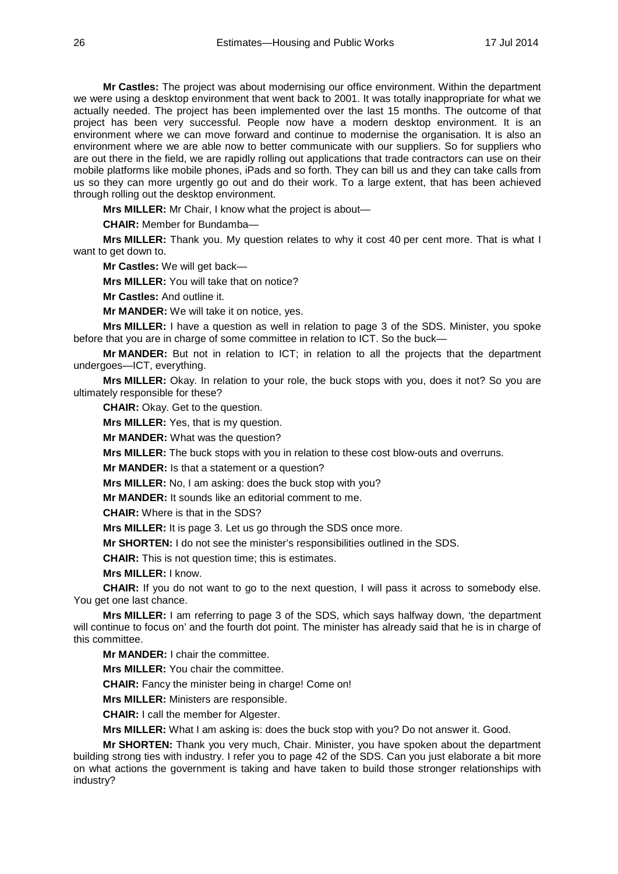**Mr Castles:** The project was about modernising our office environment. Within the department we were using a desktop environment that went back to 2001. It was totally inappropriate for what we actually needed. The project has been implemented over the last 15 months. The outcome of that project has been very successful. People now have a modern desktop environment. It is an environment where we can move forward and continue to modernise the organisation. It is also an environment where we are able now to better communicate with our suppliers. So for suppliers who are out there in the field, we are rapidly rolling out applications that trade contractors can use on their mobile platforms like mobile phones, iPads and so forth. They can bill us and they can take calls from us so they can more urgently go out and do their work. To a large extent, that has been achieved through rolling out the desktop environment.

**Mrs MILLER:** Mr Chair, I know what the project is about—

**CHAIR:** Member for Bundamba—

**Mrs MILLER:** Thank you. My question relates to why it cost 40 per cent more. That is what I want to get down to.

**Mr Castles:** We will get back—

**Mrs MILLER:** You will take that on notice?

**Mr Castles:** And outline it.

**Mr MANDER:** We will take it on notice, yes.

**Mrs MILLER:** I have a question as well in relation to page 3 of the SDS. Minister, you spoke before that you are in charge of some committee in relation to ICT. So the buck—

**Mr MANDER:** But not in relation to ICT; in relation to all the projects that the department undergoes—ICT, everything.

**Mrs MILLER:** Okay. In relation to your role, the buck stops with you, does it not? So you are ultimately responsible for these?

**CHAIR:** Okay. Get to the question.

**Mrs MILLER:** Yes, that is my question.

**Mr MANDER:** What was the question?

**Mrs MILLER:** The buck stops with you in relation to these cost blow-outs and overruns.

**Mr MANDER:** Is that a statement or a question?

**Mrs MILLER:** No, I am asking: does the buck stop with you?

**Mr MANDER:** It sounds like an editorial comment to me.

**CHAIR:** Where is that in the SDS?

**Mrs MILLER:** It is page 3. Let us go through the SDS once more.

**Mr SHORTEN:** I do not see the minister's responsibilities outlined in the SDS.

**CHAIR:** This is not question time; this is estimates.

**Mrs MILLER:** I know.

**CHAIR:** If you do not want to go to the next question, I will pass it across to somebody else. You get one last chance.

**Mrs MILLER:** I am referring to page 3 of the SDS, which says halfway down, 'the department will continue to focus on' and the fourth dot point. The minister has already said that he is in charge of this committee.

**Mr MANDER:** I chair the committee.

**Mrs MILLER:** You chair the committee.

**CHAIR:** Fancy the minister being in charge! Come on!

**Mrs MILLER:** Ministers are responsible.

**CHAIR:** I call the member for Algester.

**Mrs MILLER:** What I am asking is: does the buck stop with you? Do not answer it. Good.

**Mr SHORTEN:** Thank you very much, Chair. Minister, you have spoken about the department building strong ties with industry. I refer you to page 42 of the SDS. Can you just elaborate a bit more on what actions the government is taking and have taken to build those stronger relationships with industry?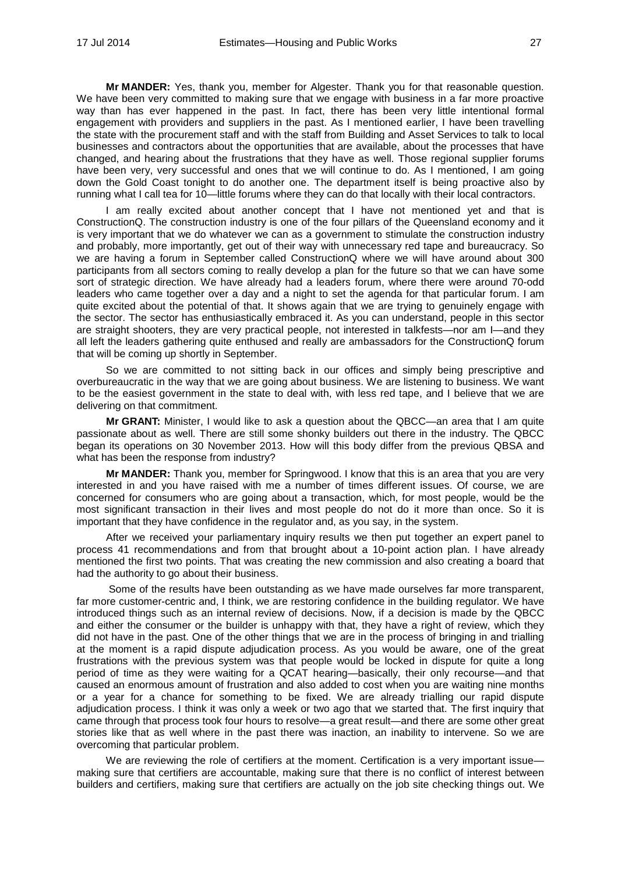**Mr MANDER:** Yes, thank you, member for Algester. Thank you for that reasonable question. We have been very committed to making sure that we engage with business in a far more proactive way than has ever happened in the past. In fact, there has been very little intentional formal engagement with providers and suppliers in the past. As I mentioned earlier, I have been travelling the state with the procurement staff and with the staff from Building and Asset Services to talk to local businesses and contractors about the opportunities that are available, about the processes that have changed, and hearing about the frustrations that they have as well. Those regional supplier forums have been very, very successful and ones that we will continue to do. As I mentioned, I am going down the Gold Coast tonight to do another one. The department itself is being proactive also by running what I call tea for 10—little forums where they can do that locally with their local contractors.

I am really excited about another concept that I have not mentioned yet and that is ConstructionQ. The construction industry is one of the four pillars of the Queensland economy and it is very important that we do whatever we can as a government to stimulate the construction industry and probably, more importantly, get out of their way with unnecessary red tape and bureaucracy. So we are having a forum in September called ConstructionQ where we will have around about 300 participants from all sectors coming to really develop a plan for the future so that we can have some sort of strategic direction. We have already had a leaders forum, where there were around 70-odd leaders who came together over a day and a night to set the agenda for that particular forum. I am quite excited about the potential of that. It shows again that we are trying to genuinely engage with the sector. The sector has enthusiastically embraced it. As you can understand, people in this sector are straight shooters, they are very practical people, not interested in talkfests—nor am I—and they all left the leaders gathering quite enthused and really are ambassadors for the ConstructionQ forum that will be coming up shortly in September.

So we are committed to not sitting back in our offices and simply being prescriptive and overbureaucratic in the way that we are going about business. We are listening to business. We want to be the easiest government in the state to deal with, with less red tape, and I believe that we are delivering on that commitment.

**Mr GRANT:** Minister, I would like to ask a question about the QBCC—an area that I am quite passionate about as well. There are still some shonky builders out there in the industry. The QBCC began its operations on 30 November 2013. How will this body differ from the previous QBSA and what has been the response from industry?

**Mr MANDER:** Thank you, member for Springwood. I know that this is an area that you are very interested in and you have raised with me a number of times different issues. Of course, we are concerned for consumers who are going about a transaction, which, for most people, would be the most significant transaction in their lives and most people do not do it more than once. So it is important that they have confidence in the regulator and, as you say, in the system.

After we received your parliamentary inquiry results we then put together an expert panel to process 41 recommendations and from that brought about a 10-point action plan. I have already mentioned the first two points. That was creating the new commission and also creating a board that had the authority to go about their business.

Some of the results have been outstanding as we have made ourselves far more transparent, far more customer-centric and, I think, we are restoring confidence in the building regulator. We have introduced things such as an internal review of decisions. Now, if a decision is made by the QBCC and either the consumer or the builder is unhappy with that, they have a right of review, which they did not have in the past. One of the other things that we are in the process of bringing in and trialling at the moment is a rapid dispute adjudication process. As you would be aware, one of the great frustrations with the previous system was that people would be locked in dispute for quite a long period of time as they were waiting for a QCAT hearing—basically, their only recourse—and that caused an enormous amount of frustration and also added to cost when you are waiting nine months or a year for a chance for something to be fixed. We are already trialling our rapid dispute adjudication process. I think it was only a week or two ago that we started that. The first inquiry that came through that process took four hours to resolve—a great result—and there are some other great stories like that as well where in the past there was inaction, an inability to intervene. So we are overcoming that particular problem.

We are reviewing the role of certifiers at the moment. Certification is a very important issue making sure that certifiers are accountable, making sure that there is no conflict of interest between builders and certifiers, making sure that certifiers are actually on the job site checking things out. We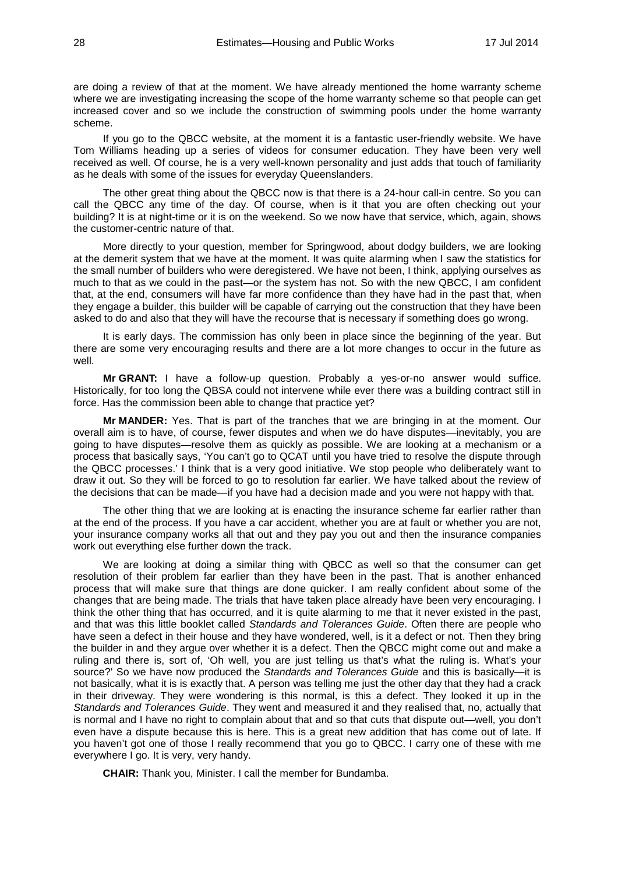are doing a review of that at the moment. We have already mentioned the home warranty scheme where we are investigating increasing the scope of the home warranty scheme so that people can get increased cover and so we include the construction of swimming pools under the home warranty scheme.

If you go to the QBCC website, at the moment it is a fantastic user-friendly website. We have Tom Williams heading up a series of videos for consumer education. They have been very well received as well. Of course, he is a very well-known personality and just adds that touch of familiarity as he deals with some of the issues for everyday Queenslanders.

The other great thing about the QBCC now is that there is a 24-hour call-in centre. So you can call the QBCC any time of the day. Of course, when is it that you are often checking out your building? It is at night-time or it is on the weekend. So we now have that service, which, again, shows the customer-centric nature of that.

More directly to your question, member for Springwood, about dodgy builders, we are looking at the demerit system that we have at the moment. It was quite alarming when I saw the statistics for the small number of builders who were deregistered. We have not been, I think, applying ourselves as much to that as we could in the past—or the system has not. So with the new QBCC, I am confident that, at the end, consumers will have far more confidence than they have had in the past that, when they engage a builder, this builder will be capable of carrying out the construction that they have been asked to do and also that they will have the recourse that is necessary if something does go wrong.

It is early days. The commission has only been in place since the beginning of the year. But there are some very encouraging results and there are a lot more changes to occur in the future as well.

**Mr GRANT:** I have a follow-up question. Probably a yes-or-no answer would suffice. Historically, for too long the QBSA could not intervene while ever there was a building contract still in force. Has the commission been able to change that practice yet?

**Mr MANDER:** Yes. That is part of the tranches that we are bringing in at the moment. Our overall aim is to have, of course, fewer disputes and when we do have disputes—inevitably, you are going to have disputes—resolve them as quickly as possible. We are looking at a mechanism or a process that basically says, 'You can't go to QCAT until you have tried to resolve the dispute through the QBCC processes.' I think that is a very good initiative. We stop people who deliberately want to draw it out. So they will be forced to go to resolution far earlier. We have talked about the review of the decisions that can be made—if you have had a decision made and you were not happy with that.

The other thing that we are looking at is enacting the insurance scheme far earlier rather than at the end of the process. If you have a car accident, whether you are at fault or whether you are not, your insurance company works all that out and they pay you out and then the insurance companies work out everything else further down the track.

We are looking at doing a similar thing with QBCC as well so that the consumer can get resolution of their problem far earlier than they have been in the past. That is another enhanced process that will make sure that things are done quicker. I am really confident about some of the changes that are being made. The trials that have taken place already have been very encouraging. I think the other thing that has occurred, and it is quite alarming to me that it never existed in the past, and that was this little booklet called *Standards and Tolerances Guide*. Often there are people who have seen a defect in their house and they have wondered, well, is it a defect or not. Then they bring the builder in and they argue over whether it is a defect. Then the QBCC might come out and make a ruling and there is, sort of, 'Oh well, you are just telling us that's what the ruling is. What's your source?' So we have now produced the *Standards and Tolerances Guide* and this is basically—it is not basically, what it is is exactly that. A person was telling me just the other day that they had a crack in their driveway. They were wondering is this normal, is this a defect. They looked it up in the *Standards and Tolerances Guide*. They went and measured it and they realised that, no, actually that is normal and I have no right to complain about that and so that cuts that dispute out—well, you don't even have a dispute because this is here. This is a great new addition that has come out of late. If you haven't got one of those I really recommend that you go to QBCC. I carry one of these with me everywhere I go. It is very, very handy.

**CHAIR:** Thank you, Minister. I call the member for Bundamba.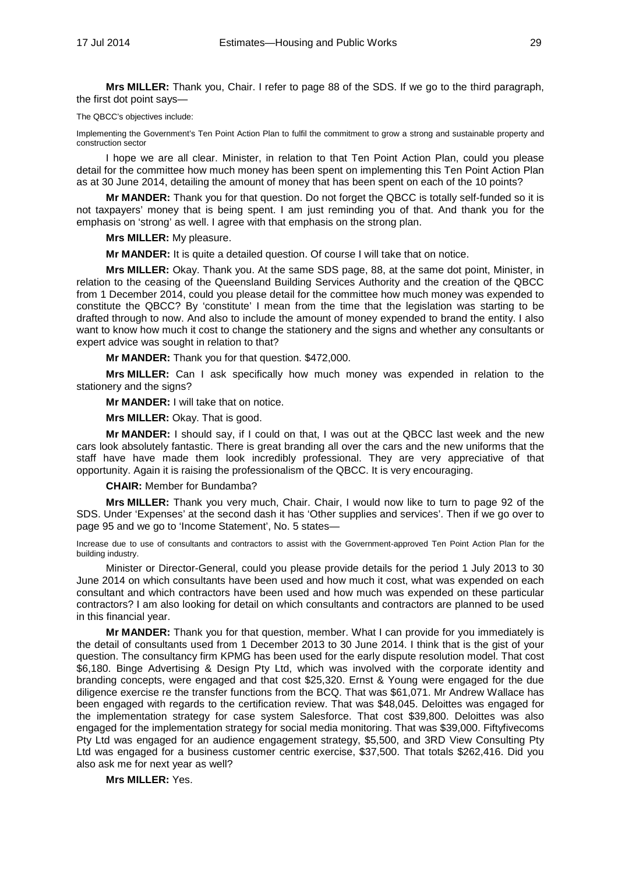**Mrs MILLER:** Thank you, Chair. I refer to page 88 of the SDS. If we go to the third paragraph, the first dot point says—

#### The QBCC's objectives include:

Implementing the Government's Ten Point Action Plan to fulfil the commitment to grow a strong and sustainable property and construction sector

I hope we are all clear. Minister, in relation to that Ten Point Action Plan, could you please detail for the committee how much money has been spent on implementing this Ten Point Action Plan as at 30 June 2014, detailing the amount of money that has been spent on each of the 10 points?

**Mr MANDER:** Thank you for that question. Do not forget the QBCC is totally self-funded so it is not taxpayers' money that is being spent. I am just reminding you of that. And thank you for the emphasis on 'strong' as well. I agree with that emphasis on the strong plan.

**Mrs MILLER:** My pleasure.

**Mr MANDER:** It is quite a detailed question. Of course I will take that on notice.

**Mrs MILLER:** Okay. Thank you. At the same SDS page, 88, at the same dot point, Minister, in relation to the ceasing of the Queensland Building Services Authority and the creation of the QBCC from 1 December 2014, could you please detail for the committee how much money was expended to constitute the QBCC? By 'constitute' I mean from the time that the legislation was starting to be drafted through to now. And also to include the amount of money expended to brand the entity. I also want to know how much it cost to change the stationery and the signs and whether any consultants or expert advice was sought in relation to that?

**Mr MANDER:** Thank you for that question. \$472,000.

**Mrs MILLER:** Can I ask specifically how much money was expended in relation to the stationery and the signs?

**Mr MANDER:** I will take that on notice.

**Mrs MILLER:** Okay. That is good.

**Mr MANDER:** I should say, if I could on that, I was out at the QBCC last week and the new cars look absolutely fantastic. There is great branding all over the cars and the new uniforms that the staff have have made them look incredibly professional. They are very appreciative of that opportunity. Again it is raising the professionalism of the QBCC. It is very encouraging.

### **CHAIR:** Member for Bundamba?

**Mrs MILLER:** Thank you very much, Chair. Chair, I would now like to turn to page 92 of the SDS. Under 'Expenses' at the second dash it has 'Other supplies and services'. Then if we go over to page 95 and we go to 'Income Statement', No. 5 states—

Increase due to use of consultants and contractors to assist with the Government-approved Ten Point Action Plan for the building industry.

Minister or Director-General, could you please provide details for the period 1 July 2013 to 30 June 2014 on which consultants have been used and how much it cost, what was expended on each consultant and which contractors have been used and how much was expended on these particular contractors? I am also looking for detail on which consultants and contractors are planned to be used in this financial year.

**Mr MANDER:** Thank you for that question, member. What I can provide for you immediately is the detail of consultants used from 1 December 2013 to 30 June 2014. I think that is the gist of your question. The consultancy firm KPMG has been used for the early dispute resolution model. That cost \$6,180. Binge Advertising & Design Pty Ltd, which was involved with the corporate identity and branding concepts, were engaged and that cost \$25,320. Ernst & Young were engaged for the due diligence exercise re the transfer functions from the BCQ. That was \$61,071. Mr Andrew Wallace has been engaged with regards to the certification review. That was \$48,045. Deloittes was engaged for the implementation strategy for case system Salesforce. That cost \$39,800. Deloittes was also engaged for the implementation strategy for social media monitoring. That was \$39,000. Fiftyfivecoms Pty Ltd was engaged for an audience engagement strategy, \$5,500, and 3RD View Consulting Pty Ltd was engaged for a business customer centric exercise, \$37,500. That totals \$262,416. Did you also ask me for next year as well?

**Mrs MILLER:** Yes.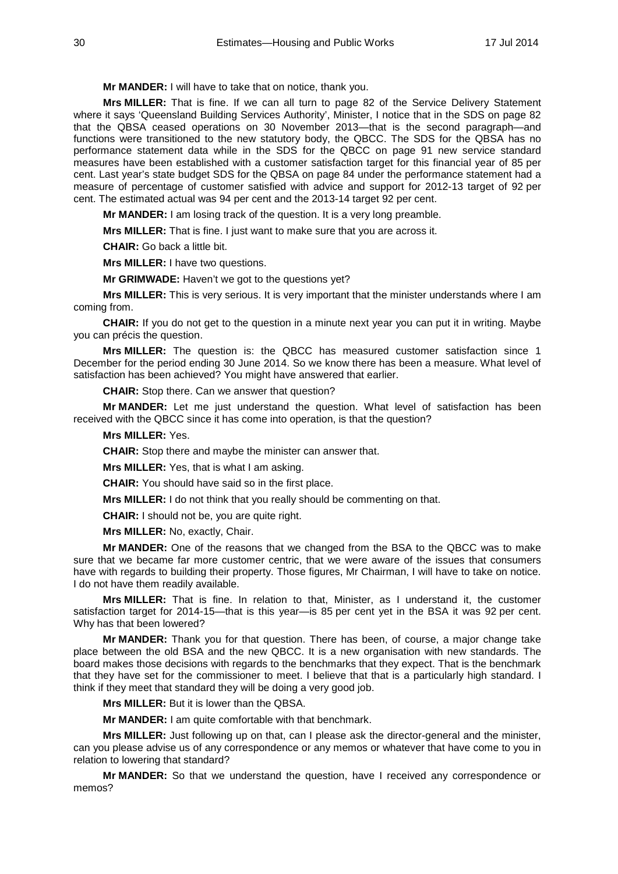**Mr MANDER:** I will have to take that on notice, thank you.

**Mrs MILLER:** That is fine. If we can all turn to page 82 of the Service Delivery Statement where it says 'Queensland Building Services Authority', Minister, I notice that in the SDS on page 82 that the QBSA ceased operations on 30 November 2013—that is the second paragraph—and functions were transitioned to the new statutory body, the QBCC. The SDS for the QBSA has no performance statement data while in the SDS for the QBCC on page 91 new service standard measures have been established with a customer satisfaction target for this financial year of 85 per cent. Last year's state budget SDS for the QBSA on page 84 under the performance statement had a measure of percentage of customer satisfied with advice and support for 2012-13 target of 92 per cent. The estimated actual was 94 per cent and the 2013-14 target 92 per cent.

**Mr MANDER:** I am losing track of the question. It is a very long preamble.

**Mrs MILLER:** That is fine. I just want to make sure that you are across it.

**CHAIR:** Go back a little bit.

**Mrs MILLER:** I have two questions.

**Mr GRIMWADE:** Haven't we got to the questions yet?

**Mrs MILLER:** This is very serious. It is very important that the minister understands where I am coming from.

**CHAIR:** If you do not get to the question in a minute next year you can put it in writing. Maybe you can précis the question.

**Mrs MILLER:** The question is: the QBCC has measured customer satisfaction since 1 December for the period ending 30 June 2014. So we know there has been a measure. What level of satisfaction has been achieved? You might have answered that earlier.

**CHAIR:** Stop there. Can we answer that question?

**Mr MANDER:** Let me just understand the question. What level of satisfaction has been received with the QBCC since it has come into operation, is that the question?

### **Mrs MILLER:** Yes.

**CHAIR:** Stop there and maybe the minister can answer that.

**Mrs MILLER:** Yes, that is what I am asking.

**CHAIR:** You should have said so in the first place.

**Mrs MILLER:** I do not think that you really should be commenting on that.

**CHAIR:** I should not be, you are quite right.

**Mrs MILLER:** No, exactly, Chair.

**Mr MANDER:** One of the reasons that we changed from the BSA to the QBCC was to make sure that we became far more customer centric, that we were aware of the issues that consumers have with regards to building their property. Those figures, Mr Chairman, I will have to take on notice. I do not have them readily available.

**Mrs MILLER:** That is fine. In relation to that, Minister, as I understand it, the customer satisfaction target for 2014-15—that is this year—is 85 per cent yet in the BSA it was 92 per cent. Why has that been lowered?

**Mr MANDER:** Thank you for that question. There has been, of course, a major change take place between the old BSA and the new QBCC. It is a new organisation with new standards. The board makes those decisions with regards to the benchmarks that they expect. That is the benchmark that they have set for the commissioner to meet. I believe that that is a particularly high standard. I think if they meet that standard they will be doing a very good job.

**Mrs MILLER:** But it is lower than the QBSA.

**Mr MANDER:** I am quite comfortable with that benchmark.

**Mrs MILLER:** Just following up on that, can I please ask the director-general and the minister, can you please advise us of any correspondence or any memos or whatever that have come to you in relation to lowering that standard?

**Mr MANDER:** So that we understand the question, have I received any correspondence or memos?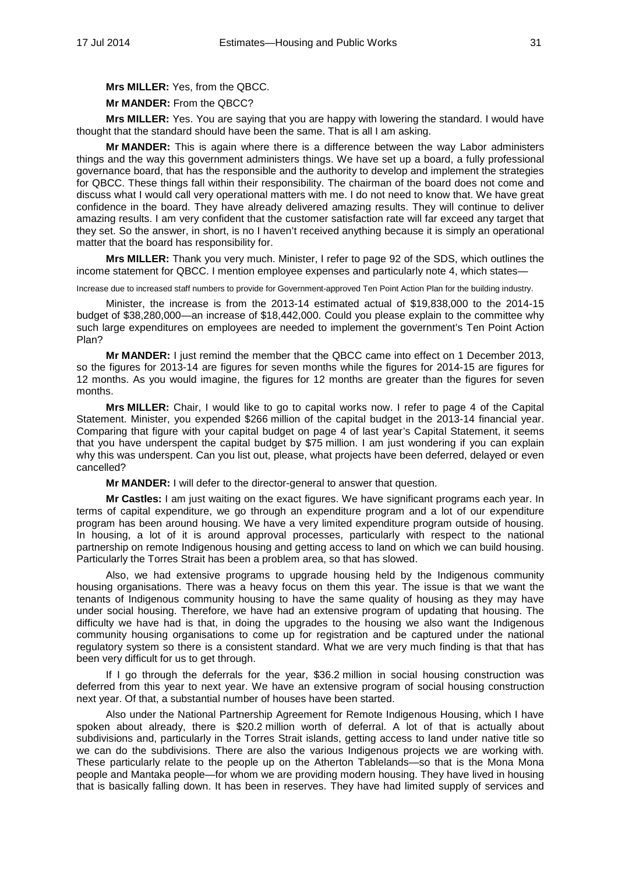**Mrs MILLER:** Yes, from the QBCC.

**Mr MANDER:** From the QBCC?

**Mrs MILLER:** Yes. You are saying that you are happy with lowering the standard. I would have thought that the standard should have been the same. That is all I am asking.

**Mr MANDER:** This is again where there is a difference between the way Labor administers things and the way this government administers things. We have set up a board, a fully professional governance board, that has the responsible and the authority to develop and implement the strategies for QBCC. These things fall within their responsibility. The chairman of the board does not come and discuss what I would call very operational matters with me. I do not need to know that. We have great confidence in the board. They have already delivered amazing results. They will continue to deliver amazing results. I am very confident that the customer satisfaction rate will far exceed any target that they set. So the answer, in short, is no I haven't received anything because it is simply an operational matter that the board has responsibility for.

**Mrs MILLER:** Thank you very much. Minister, I refer to page 92 of the SDS, which outlines the income statement for QBCC. I mention employee expenses and particularly note 4, which states—

Increase due to increased staff numbers to provide for Government-approved Ten Point Action Plan for the building industry.

Minister, the increase is from the 2013-14 estimated actual of \$19,838,000 to the 2014-15 budget of \$38,280,000—an increase of \$18,442,000. Could you please explain to the committee why such large expenditures on employees are needed to implement the government's Ten Point Action Plan?

**Mr MANDER:** I just remind the member that the QBCC came into effect on 1 December 2013, so the figures for 2013-14 are figures for seven months while the figures for 2014-15 are figures for 12 months. As you would imagine, the figures for 12 months are greater than the figures for seven months.

**Mrs MILLER:** Chair, I would like to go to capital works now. I refer to page 4 of the Capital Statement. Minister, you expended \$266 million of the capital budget in the 2013-14 financial year. Comparing that figure with your capital budget on page 4 of last year's Capital Statement, it seems that you have underspent the capital budget by \$75 million. I am just wondering if you can explain why this was underspent. Can you list out, please, what projects have been deferred, delayed or even cancelled?

**Mr MANDER:** I will defer to the director-general to answer that question.

**Mr Castles:** I am just waiting on the exact figures. We have significant programs each year. In terms of capital expenditure, we go through an expenditure program and a lot of our expenditure program has been around housing. We have a very limited expenditure program outside of housing. In housing, a lot of it is around approval processes, particularly with respect to the national partnership on remote Indigenous housing and getting access to land on which we can build housing. Particularly the Torres Strait has been a problem area, so that has slowed.

Also, we had extensive programs to upgrade housing held by the Indigenous community housing organisations. There was a heavy focus on them this year. The issue is that we want the tenants of Indigenous community housing to have the same quality of housing as they may have under social housing. Therefore, we have had an extensive program of updating that housing. The difficulty we have had is that, in doing the upgrades to the housing we also want the Indigenous community housing organisations to come up for registration and be captured under the national regulatory system so there is a consistent standard. What we are very much finding is that that has been very difficult for us to get through.

If I go through the deferrals for the year, \$36.2 million in social housing construction was deferred from this year to next year. We have an extensive program of social housing construction next year. Of that, a substantial number of houses have been started.

Also under the National Partnership Agreement for Remote Indigenous Housing, which I have spoken about already, there is \$20.2 million worth of deferral. A lot of that is actually about subdivisions and, particularly in the Torres Strait islands, getting access to land under native title so we can do the subdivisions. There are also the various Indigenous projects we are working with. These particularly relate to the people up on the Atherton Tablelands—so that is the Mona Mona people and Mantaka people—for whom we are providing modern housing. They have lived in housing that is basically falling down. It has been in reserves. They have had limited supply of services and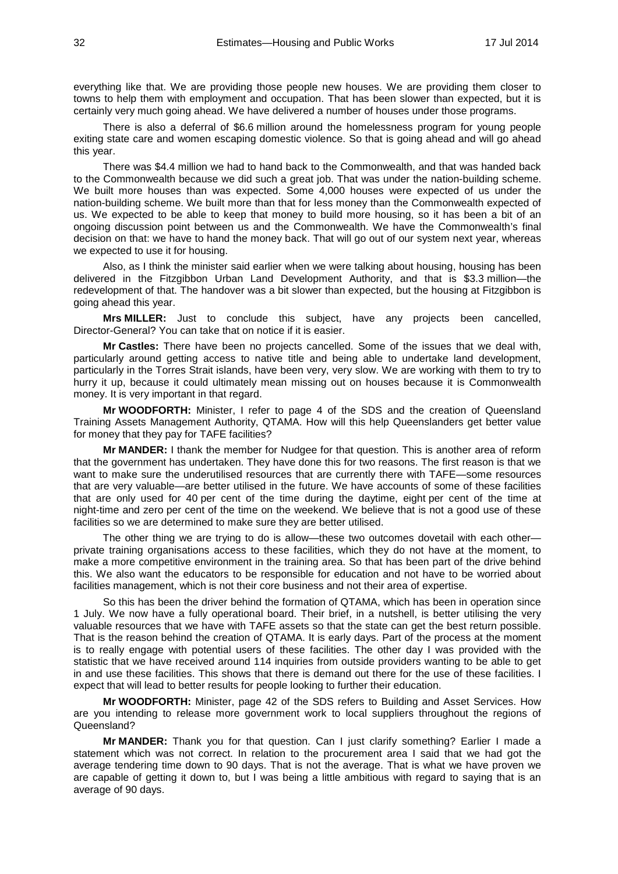everything like that. We are providing those people new houses. We are providing them closer to towns to help them with employment and occupation. That has been slower than expected, but it is certainly very much going ahead. We have delivered a number of houses under those programs.

There is also a deferral of \$6.6 million around the homelessness program for young people exiting state care and women escaping domestic violence. So that is going ahead and will go ahead this year.

There was \$4.4 million we had to hand back to the Commonwealth, and that was handed back to the Commonwealth because we did such a great job. That was under the nation-building scheme. We built more houses than was expected. Some 4,000 houses were expected of us under the nation-building scheme. We built more than that for less money than the Commonwealth expected of us. We expected to be able to keep that money to build more housing, so it has been a bit of an ongoing discussion point between us and the Commonwealth. We have the Commonwealth's final decision on that: we have to hand the money back. That will go out of our system next year, whereas we expected to use it for housing.

Also, as I think the minister said earlier when we were talking about housing, housing has been delivered in the Fitzgibbon Urban Land Development Authority, and that is \$3.3 million—the redevelopment of that. The handover was a bit slower than expected, but the housing at Fitzgibbon is going ahead this year.

**Mrs MILLER:** Just to conclude this subject, have any projects been cancelled, Director-General? You can take that on notice if it is easier.

**Mr Castles:** There have been no projects cancelled. Some of the issues that we deal with, particularly around getting access to native title and being able to undertake land development, particularly in the Torres Strait islands, have been very, very slow. We are working with them to try to hurry it up, because it could ultimately mean missing out on houses because it is Commonwealth money. It is very important in that regard.

**Mr WOODFORTH:** Minister, I refer to page 4 of the SDS and the creation of Queensland Training Assets Management Authority, QTAMA. How will this help Queenslanders get better value for money that they pay for TAFE facilities?

**Mr MANDER:** I thank the member for Nudgee for that question. This is another area of reform that the government has undertaken. They have done this for two reasons. The first reason is that we want to make sure the underutilised resources that are currently there with TAFE—some resources that are very valuable—are better utilised in the future. We have accounts of some of these facilities that are only used for 40 per cent of the time during the daytime, eight per cent of the time at night-time and zero per cent of the time on the weekend. We believe that is not a good use of these facilities so we are determined to make sure they are better utilised.

The other thing we are trying to do is allow—these two outcomes dovetail with each other private training organisations access to these facilities, which they do not have at the moment, to make a more competitive environment in the training area. So that has been part of the drive behind this. We also want the educators to be responsible for education and not have to be worried about facilities management, which is not their core business and not their area of expertise.

So this has been the driver behind the formation of QTAMA, which has been in operation since 1 July. We now have a fully operational board. Their brief, in a nutshell, is better utilising the very valuable resources that we have with TAFE assets so that the state can get the best return possible. That is the reason behind the creation of QTAMA. It is early days. Part of the process at the moment is to really engage with potential users of these facilities. The other day I was provided with the statistic that we have received around 114 inquiries from outside providers wanting to be able to get in and use these facilities. This shows that there is demand out there for the use of these facilities. I expect that will lead to better results for people looking to further their education.

**Mr WOODFORTH:** Minister, page 42 of the SDS refers to Building and Asset Services. How are you intending to release more government work to local suppliers throughout the regions of Queensland?

**Mr MANDER:** Thank you for that question. Can I just clarify something? Earlier I made a statement which was not correct. In relation to the procurement area I said that we had got the average tendering time down to 90 days. That is not the average. That is what we have proven we are capable of getting it down to, but I was being a little ambitious with regard to saying that is an average of 90 days.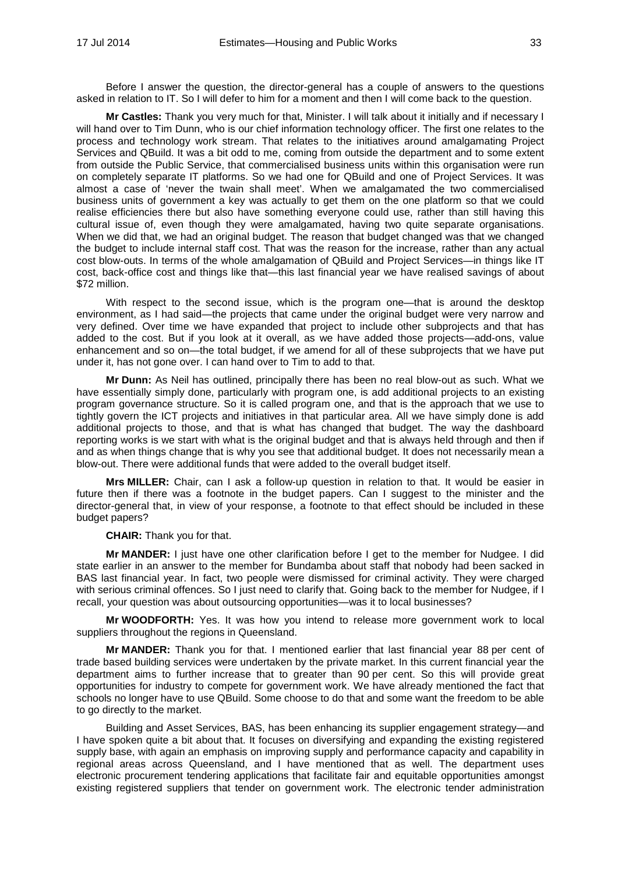Before I answer the question, the director-general has a couple of answers to the questions asked in relation to IT. So I will defer to him for a moment and then I will come back to the question.

**Mr Castles:** Thank you very much for that, Minister. I will talk about it initially and if necessary I will hand over to Tim Dunn, who is our chief information technology officer. The first one relates to the process and technology work stream. That relates to the initiatives around amalgamating Project Services and QBuild. It was a bit odd to me, coming from outside the department and to some extent from outside the Public Service, that commercialised business units within this organisation were run on completely separate IT platforms. So we had one for QBuild and one of Project Services. It was almost a case of 'never the twain shall meet'. When we amalgamated the two commercialised business units of government a key was actually to get them on the one platform so that we could realise efficiencies there but also have something everyone could use, rather than still having this cultural issue of, even though they were amalgamated, having two quite separate organisations. When we did that, we had an original budget. The reason that budget changed was that we changed the budget to include internal staff cost. That was the reason for the increase, rather than any actual cost blow-outs. In terms of the whole amalgamation of QBuild and Project Services—in things like IT cost, back-office cost and things like that—this last financial year we have realised savings of about \$72 million.

With respect to the second issue, which is the program one—that is around the desktop environment, as I had said—the projects that came under the original budget were very narrow and very defined. Over time we have expanded that project to include other subprojects and that has added to the cost. But if you look at it overall, as we have added those projects—add-ons, value enhancement and so on—the total budget, if we amend for all of these subprojects that we have put under it, has not gone over. I can hand over to Tim to add to that.

**Mr Dunn:** As Neil has outlined, principally there has been no real blow-out as such. What we have essentially simply done, particularly with program one, is add additional projects to an existing program governance structure. So it is called program one, and that is the approach that we use to tightly govern the ICT projects and initiatives in that particular area. All we have simply done is add additional projects to those, and that is what has changed that budget. The way the dashboard reporting works is we start with what is the original budget and that is always held through and then if and as when things change that is why you see that additional budget. It does not necessarily mean a blow-out. There were additional funds that were added to the overall budget itself.

**Mrs MILLER:** Chair, can I ask a follow-up question in relation to that. It would be easier in future then if there was a footnote in the budget papers. Can I suggest to the minister and the director-general that, in view of your response, a footnote to that effect should be included in these budget papers?

**CHAIR:** Thank you for that.

**Mr MANDER:** I just have one other clarification before I get to the member for Nudgee. I did state earlier in an answer to the member for Bundamba about staff that nobody had been sacked in BAS last financial year. In fact, two people were dismissed for criminal activity. They were charged with serious criminal offences. So I just need to clarify that. Going back to the member for Nudgee, if I recall, your question was about outsourcing opportunities—was it to local businesses?

**Mr WOODFORTH:** Yes. It was how you intend to release more government work to local suppliers throughout the regions in Queensland.

**Mr MANDER:** Thank you for that. I mentioned earlier that last financial year 88 per cent of trade based building services were undertaken by the private market. In this current financial year the department aims to further increase that to greater than 90 per cent. So this will provide great opportunities for industry to compete for government work. We have already mentioned the fact that schools no longer have to use QBuild. Some choose to do that and some want the freedom to be able to go directly to the market.

Building and Asset Services, BAS, has been enhancing its supplier engagement strategy—and I have spoken quite a bit about that. It focuses on diversifying and expanding the existing registered supply base, with again an emphasis on improving supply and performance capacity and capability in regional areas across Queensland, and I have mentioned that as well. The department uses electronic procurement tendering applications that facilitate fair and equitable opportunities amongst existing registered suppliers that tender on government work. The electronic tender administration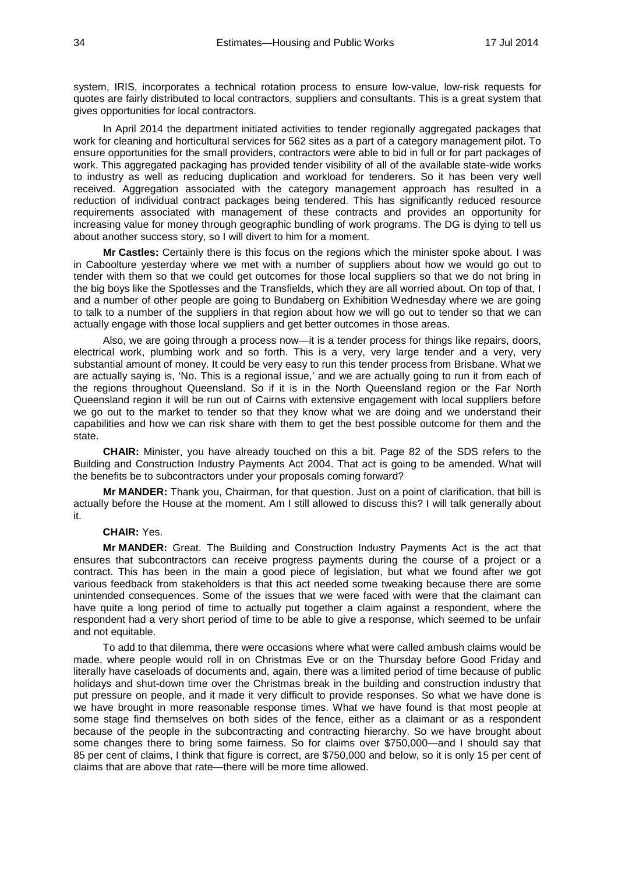system, IRIS, incorporates a technical rotation process to ensure low-value, low-risk requests for quotes are fairly distributed to local contractors, suppliers and consultants. This is a great system that gives opportunities for local contractors.

In April 2014 the department initiated activities to tender regionally aggregated packages that work for cleaning and horticultural services for 562 sites as a part of a category management pilot. To ensure opportunities for the small providers, contractors were able to bid in full or for part packages of work. This aggregated packaging has provided tender visibility of all of the available state-wide works to industry as well as reducing duplication and workload for tenderers. So it has been very well received. Aggregation associated with the category management approach has resulted in a reduction of individual contract packages being tendered. This has significantly reduced resource requirements associated with management of these contracts and provides an opportunity for increasing value for money through geographic bundling of work programs. The DG is dying to tell us about another success story, so I will divert to him for a moment.

**Mr Castles:** Certainly there is this focus on the regions which the minister spoke about. I was in Caboolture yesterday where we met with a number of suppliers about how we would go out to tender with them so that we could get outcomes for those local suppliers so that we do not bring in the big boys like the Spotlesses and the Transfields, which they are all worried about. On top of that, I and a number of other people are going to Bundaberg on Exhibition Wednesday where we are going to talk to a number of the suppliers in that region about how we will go out to tender so that we can actually engage with those local suppliers and get better outcomes in those areas.

Also, we are going through a process now—it is a tender process for things like repairs, doors, electrical work, plumbing work and so forth. This is a very, very large tender and a very, very substantial amount of money. It could be very easy to run this tender process from Brisbane. What we are actually saying is, 'No. This is a regional issue,' and we are actually going to run it from each of the regions throughout Queensland. So if it is in the North Queensland region or the Far North Queensland region it will be run out of Cairns with extensive engagement with local suppliers before we go out to the market to tender so that they know what we are doing and we understand their capabilities and how we can risk share with them to get the best possible outcome for them and the state.

**CHAIR:** Minister, you have already touched on this a bit. Page 82 of the SDS refers to the Building and Construction Industry Payments Act 2004. That act is going to be amended. What will the benefits be to subcontractors under your proposals coming forward?

**Mr MANDER:** Thank you, Chairman, for that question. Just on a point of clarification, that bill is actually before the House at the moment. Am I still allowed to discuss this? I will talk generally about it.

### **CHAIR:** Yes.

**Mr MANDER:** Great. The Building and Construction Industry Payments Act is the act that ensures that subcontractors can receive progress payments during the course of a project or a contract. This has been in the main a good piece of legislation, but what we found after we got various feedback from stakeholders is that this act needed some tweaking because there are some unintended consequences. Some of the issues that we were faced with were that the claimant can have quite a long period of time to actually put together a claim against a respondent, where the respondent had a very short period of time to be able to give a response, which seemed to be unfair and not equitable.

To add to that dilemma, there were occasions where what were called ambush claims would be made, where people would roll in on Christmas Eve or on the Thursday before Good Friday and literally have caseloads of documents and, again, there was a limited period of time because of public holidays and shut-down time over the Christmas break in the building and construction industry that put pressure on people, and it made it very difficult to provide responses. So what we have done is we have brought in more reasonable response times. What we have found is that most people at some stage find themselves on both sides of the fence, either as a claimant or as a respondent because of the people in the subcontracting and contracting hierarchy. So we have brought about some changes there to bring some fairness. So for claims over \$750,000—and I should say that 85 per cent of claims, I think that figure is correct, are \$750,000 and below, so it is only 15 per cent of claims that are above that rate—there will be more time allowed.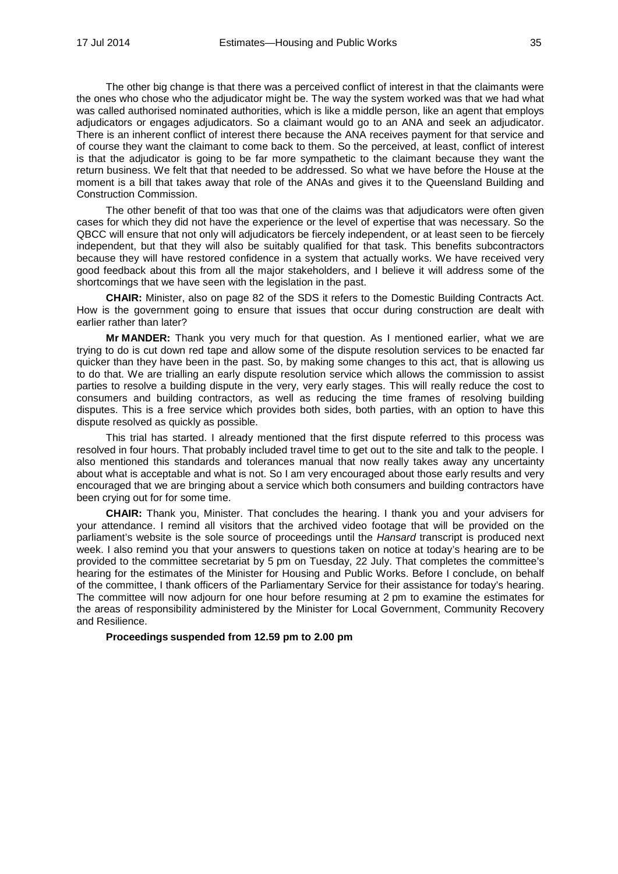The other big change is that there was a perceived conflict of interest in that the claimants were the ones who chose who the adjudicator might be. The way the system worked was that we had what was called authorised nominated authorities, which is like a middle person, like an agent that employs adjudicators or engages adjudicators. So a claimant would go to an ANA and seek an adjudicator. There is an inherent conflict of interest there because the ANA receives payment for that service and of course they want the claimant to come back to them. So the perceived, at least, conflict of interest is that the adjudicator is going to be far more sympathetic to the claimant because they want the return business. We felt that that needed to be addressed. So what we have before the House at the moment is a bill that takes away that role of the ANAs and gives it to the Queensland Building and Construction Commission.

The other benefit of that too was that one of the claims was that adjudicators were often given cases for which they did not have the experience or the level of expertise that was necessary. So the QBCC will ensure that not only will adjudicators be fiercely independent, or at least seen to be fiercely independent, but that they will also be suitably qualified for that task. This benefits subcontractors because they will have restored confidence in a system that actually works. We have received very good feedback about this from all the major stakeholders, and I believe it will address some of the shortcomings that we have seen with the legislation in the past.

**CHAIR:** Minister, also on page 82 of the SDS it refers to the Domestic Building Contracts Act. How is the government going to ensure that issues that occur during construction are dealt with earlier rather than later?

**Mr MANDER:** Thank you very much for that question. As I mentioned earlier, what we are trying to do is cut down red tape and allow some of the dispute resolution services to be enacted far quicker than they have been in the past. So, by making some changes to this act, that is allowing us to do that. We are trialling an early dispute resolution service which allows the commission to assist parties to resolve a building dispute in the very, very early stages. This will really reduce the cost to consumers and building contractors, as well as reducing the time frames of resolving building disputes. This is a free service which provides both sides, both parties, with an option to have this dispute resolved as quickly as possible.

This trial has started. I already mentioned that the first dispute referred to this process was resolved in four hours. That probably included travel time to get out to the site and talk to the people. I also mentioned this standards and tolerances manual that now really takes away any uncertainty about what is acceptable and what is not. So I am very encouraged about those early results and very encouraged that we are bringing about a service which both consumers and building contractors have been crying out for for some time.

**CHAIR:** Thank you, Minister. That concludes the hearing. I thank you and your advisers for your attendance. I remind all visitors that the archived video footage that will be provided on the parliament's website is the sole source of proceedings until the *Hansard* transcript is produced next week. I also remind you that your answers to questions taken on notice at today's hearing are to be provided to the committee secretariat by 5 pm on Tuesday, 22 July. That completes the committee's hearing for the estimates of the Minister for Housing and Public Works. Before I conclude, on behalf of the committee, I thank officers of the Parliamentary Service for their assistance for today's hearing. The committee will now adjourn for one hour before resuming at 2 pm to examine the estimates for the areas of responsibility administered by the Minister for Local Government, Community Recovery and Resilience.

**Proceedings suspended from 12.59 pm to 2.00 pm**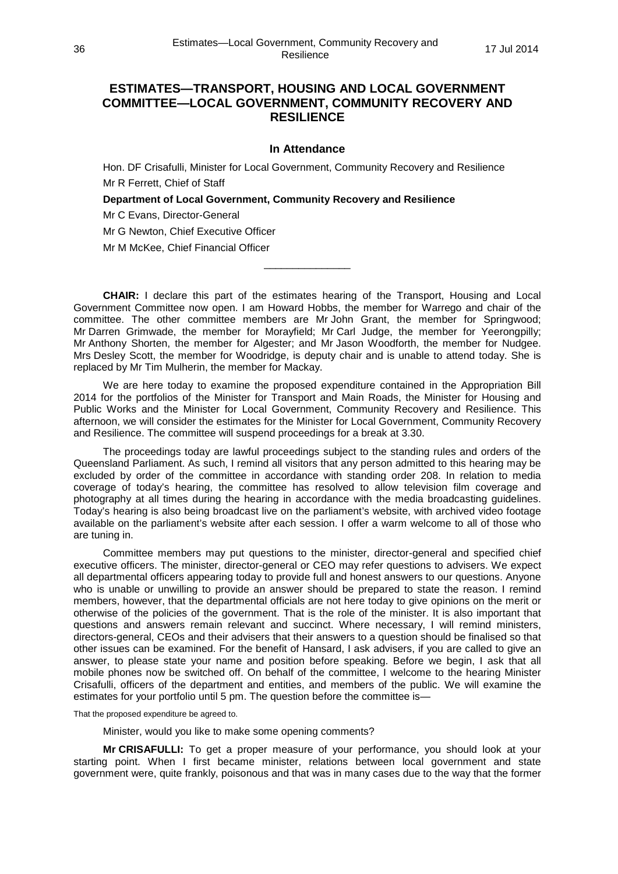# **ESTIMATES—TRANSPORT, HOUSING AND LOCAL GOVERNMENT COMMITTEE—LOCAL GOVERNMENT, COMMUNITY RECOVERY AND RESILIENCE**

### **In Attendance**

Hon. DF Crisafulli, Minister for Local Government, Community Recovery and Resilience Mr R Ferrett, Chief of Staff

**Department of Local Government, Community Recovery and Resilience** 

Mr C Evans, Director-General

Mr G Newton, Chief Executive Officer

Mr M McKee, Chief Financial Officer

**CHAIR:** I declare this part of the estimates hearing of the Transport, Housing and Local Government Committee now open. I am Howard Hobbs, the member for Warrego and chair of the committee. The other committee members are Mr John Grant, the member for Springwood; Mr Darren Grimwade, the member for Morayfield; Mr Carl Judge, the member for Yeerongpilly; Mr Anthony Shorten, the member for Algester; and Mr Jason Woodforth, the member for Nudgee. Mrs Desley Scott, the member for Woodridge, is deputy chair and is unable to attend today. She is replaced by Mr Tim Mulherin, the member for Mackay.

\_\_\_\_\_\_\_\_\_\_\_\_\_\_\_

We are here today to examine the proposed expenditure contained in the Appropriation Bill 2014 for the portfolios of the Minister for Transport and Main Roads, the Minister for Housing and Public Works and the Minister for Local Government, Community Recovery and Resilience. This afternoon, we will consider the estimates for the Minister for Local Government, Community Recovery and Resilience. The committee will suspend proceedings for a break at 3.30.

The proceedings today are lawful proceedings subject to the standing rules and orders of the Queensland Parliament. As such, I remind all visitors that any person admitted to this hearing may be excluded by order of the committee in accordance with standing order 208. In relation to media coverage of today's hearing, the committee has resolved to allow television film coverage and photography at all times during the hearing in accordance with the media broadcasting guidelines. Today's hearing is also being broadcast live on the parliament's website, with archived video footage available on the parliament's website after each session. I offer a warm welcome to all of those who are tuning in.

Committee members may put questions to the minister, director-general and specified chief executive officers. The minister, director-general or CEO may refer questions to advisers. We expect all departmental officers appearing today to provide full and honest answers to our questions. Anyone who is unable or unwilling to provide an answer should be prepared to state the reason. I remind members, however, that the departmental officials are not here today to give opinions on the merit or otherwise of the policies of the government. That is the role of the minister. It is also important that questions and answers remain relevant and succinct. Where necessary, I will remind ministers, directors-general, CEOs and their advisers that their answers to a question should be finalised so that other issues can be examined. For the benefit of Hansard, I ask advisers, if you are called to give an answer, to please state your name and position before speaking. Before we begin, I ask that all mobile phones now be switched off. On behalf of the committee, I welcome to the hearing Minister Crisafulli, officers of the department and entities, and members of the public. We will examine the estimates for your portfolio until 5 pm. The question before the committee is—

That the proposed expenditure be agreed to.

Minister, would you like to make some opening comments?

**Mr CRISAFULLI:** To get a proper measure of your performance, you should look at your starting point. When I first became minister, relations between local government and state government were, quite frankly, poisonous and that was in many cases due to the way that the former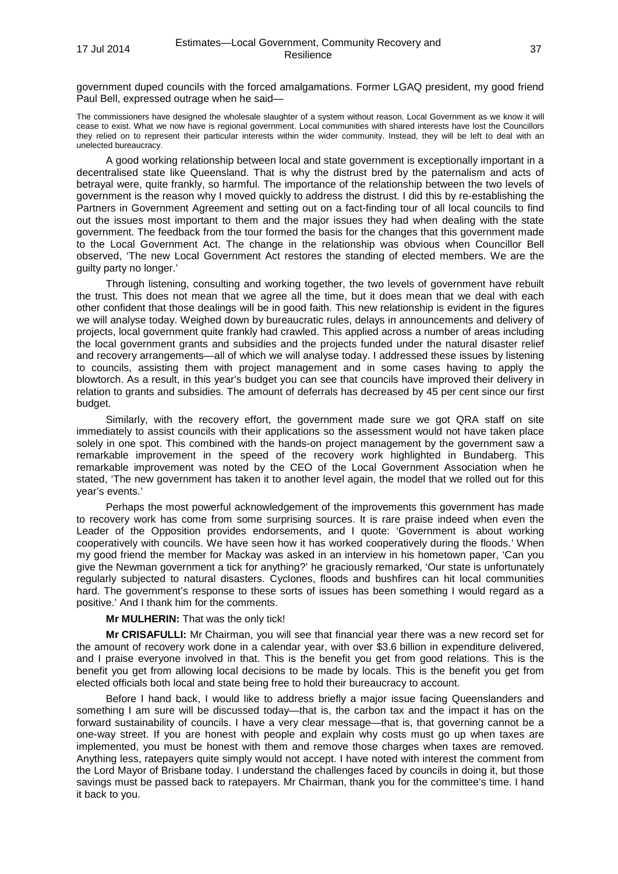government duped councils with the forced amalgamations. Former LGAQ president, my good friend Paul Bell, expressed outrage when he said—

The commissioners have designed the wholesale slaughter of a system without reason. Local Government as we know it will cease to exist. What we now have is regional government. Local communities with shared interests have lost the Councillors they relied on to represent their particular interests within the wider community. Instead, they will be left to deal with an unelected bureaucracy.

A good working relationship between local and state government is exceptionally important in a decentralised state like Queensland. That is why the distrust bred by the paternalism and acts of betrayal were, quite frankly, so harmful. The importance of the relationship between the two levels of government is the reason why I moved quickly to address the distrust. I did this by re-establishing the Partners in Government Agreement and setting out on a fact-finding tour of all local councils to find out the issues most important to them and the major issues they had when dealing with the state government. The feedback from the tour formed the basis for the changes that this government made to the Local Government Act. The change in the relationship was obvious when Councillor Bell observed, 'The new Local Government Act restores the standing of elected members. We are the guilty party no longer.'

Through listening, consulting and working together, the two levels of government have rebuilt the trust. This does not mean that we agree all the time, but it does mean that we deal with each other confident that those dealings will be in good faith. This new relationship is evident in the figures we will analyse today. Weighed down by bureaucratic rules, delays in announcements and delivery of projects, local government quite frankly had crawled. This applied across a number of areas including the local government grants and subsidies and the projects funded under the natural disaster relief and recovery arrangements—all of which we will analyse today. I addressed these issues by listening to councils, assisting them with project management and in some cases having to apply the blowtorch. As a result, in this year's budget you can see that councils have improved their delivery in relation to grants and subsidies. The amount of deferrals has decreased by 45 per cent since our first budget.

Similarly, with the recovery effort, the government made sure we got QRA staff on site immediately to assist councils with their applications so the assessment would not have taken place solely in one spot. This combined with the hands-on project management by the government saw a remarkable improvement in the speed of the recovery work highlighted in Bundaberg. This remarkable improvement was noted by the CEO of the Local Government Association when he stated, 'The new government has taken it to another level again, the model that we rolled out for this year's events.'

Perhaps the most powerful acknowledgement of the improvements this government has made to recovery work has come from some surprising sources. It is rare praise indeed when even the Leader of the Opposition provides endorsements, and I quote: 'Government is about working cooperatively with councils. We have seen how it has worked cooperatively during the floods.' When my good friend the member for Mackay was asked in an interview in his hometown paper, 'Can you give the Newman government a tick for anything?' he graciously remarked, 'Our state is unfortunately regularly subjected to natural disasters. Cyclones, floods and bushfires can hit local communities hard. The government's response to these sorts of issues has been something I would regard as a positive.' And I thank him for the comments.

### **Mr MULHERIN:** That was the only tick!

**Mr CRISAFULLI:** Mr Chairman, you will see that financial year there was a new record set for the amount of recovery work done in a calendar year, with over \$3.6 billion in expenditure delivered, and I praise everyone involved in that. This is the benefit you get from good relations. This is the benefit you get from allowing local decisions to be made by locals. This is the benefit you get from elected officials both local and state being free to hold their bureaucracy to account.

Before I hand back, I would like to address briefly a major issue facing Queenslanders and something I am sure will be discussed today—that is, the carbon tax and the impact it has on the forward sustainability of councils. I have a very clear message—that is, that governing cannot be a one-way street. If you are honest with people and explain why costs must go up when taxes are implemented, you must be honest with them and remove those charges when taxes are removed. Anything less, ratepayers quite simply would not accept. I have noted with interest the comment from the Lord Mayor of Brisbane today. I understand the challenges faced by councils in doing it, but those savings must be passed back to ratepayers. Mr Chairman, thank you for the committee's time. I hand it back to you.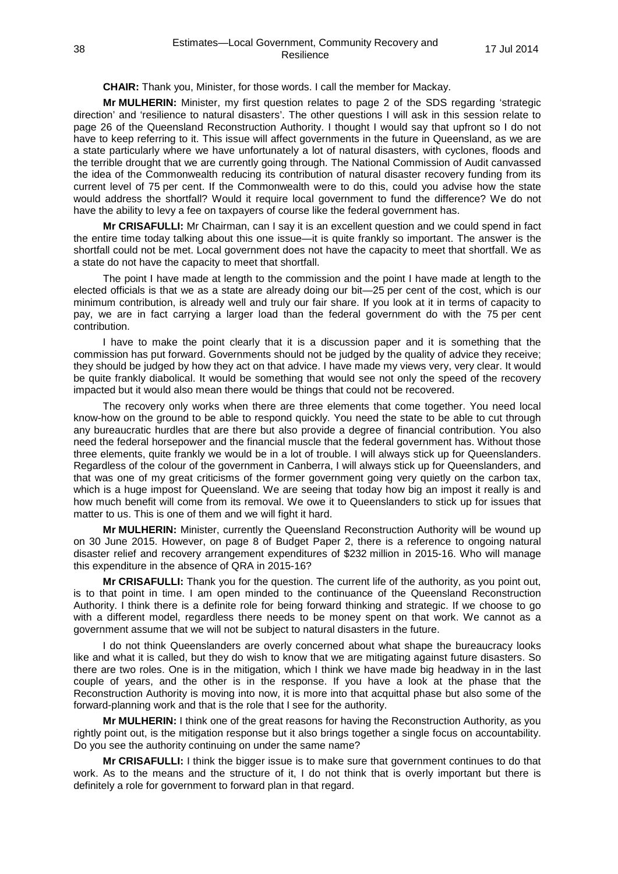**CHAIR:** Thank you, Minister, for those words. I call the member for Mackay.

**Mr MULHERIN:** Minister, my first question relates to page 2 of the SDS regarding 'strategic direction' and 'resilience to natural disasters'. The other questions I will ask in this session relate to page 26 of the Queensland Reconstruction Authority. I thought I would say that upfront so I do not have to keep referring to it. This issue will affect governments in the future in Queensland, as we are a state particularly where we have unfortunately a lot of natural disasters, with cyclones, floods and the terrible drought that we are currently going through. The National Commission of Audit canvassed the idea of the Commonwealth reducing its contribution of natural disaster recovery funding from its current level of 75 per cent. If the Commonwealth were to do this, could you advise how the state would address the shortfall? Would it require local government to fund the difference? We do not have the ability to levy a fee on taxpayers of course like the federal government has.

**Mr CRISAFULLI:** Mr Chairman, can I say it is an excellent question and we could spend in fact the entire time today talking about this one issue—it is quite frankly so important. The answer is the shortfall could not be met. Local government does not have the capacity to meet that shortfall. We as a state do not have the capacity to meet that shortfall.

The point I have made at length to the commission and the point I have made at length to the elected officials is that we as a state are already doing our bit—25 per cent of the cost, which is our minimum contribution, is already well and truly our fair share. If you look at it in terms of capacity to pay, we are in fact carrying a larger load than the federal government do with the 75 per cent contribution.

I have to make the point clearly that it is a discussion paper and it is something that the commission has put forward. Governments should not be judged by the quality of advice they receive; they should be judged by how they act on that advice. I have made my views very, very clear. It would be quite frankly diabolical. It would be something that would see not only the speed of the recovery impacted but it would also mean there would be things that could not be recovered.

The recovery only works when there are three elements that come together. You need local know-how on the ground to be able to respond quickly. You need the state to be able to cut through any bureaucratic hurdles that are there but also provide a degree of financial contribution. You also need the federal horsepower and the financial muscle that the federal government has. Without those three elements, quite frankly we would be in a lot of trouble. I will always stick up for Queenslanders. Regardless of the colour of the government in Canberra, I will always stick up for Queenslanders, and that was one of my great criticisms of the former government going very quietly on the carbon tax, which is a huge impost for Queensland. We are seeing that today how big an impost it really is and how much benefit will come from its removal. We owe it to Queenslanders to stick up for issues that matter to us. This is one of them and we will fight it hard.

**Mr MULHERIN:** Minister, currently the Queensland Reconstruction Authority will be wound up on 30 June 2015. However, on page 8 of Budget Paper 2, there is a reference to ongoing natural disaster relief and recovery arrangement expenditures of \$232 million in 2015-16. Who will manage this expenditure in the absence of QRA in 2015-16?

**Mr CRISAFULLI:** Thank you for the question. The current life of the authority, as you point out, is to that point in time. I am open minded to the continuance of the Queensland Reconstruction Authority. I think there is a definite role for being forward thinking and strategic. If we choose to go with a different model, regardless there needs to be money spent on that work. We cannot as a government assume that we will not be subject to natural disasters in the future.

I do not think Queenslanders are overly concerned about what shape the bureaucracy looks like and what it is called, but they do wish to know that we are mitigating against future disasters. So there are two roles. One is in the mitigation, which I think we have made big headway in in the last couple of years, and the other is in the response. If you have a look at the phase that the Reconstruction Authority is moving into now, it is more into that acquittal phase but also some of the forward-planning work and that is the role that I see for the authority.

**Mr MULHERIN:** I think one of the great reasons for having the Reconstruction Authority, as you rightly point out, is the mitigation response but it also brings together a single focus on accountability. Do you see the authority continuing on under the same name?

**Mr CRISAFULLI:** I think the bigger issue is to make sure that government continues to do that work. As to the means and the structure of it, I do not think that is overly important but there is definitely a role for government to forward plan in that regard.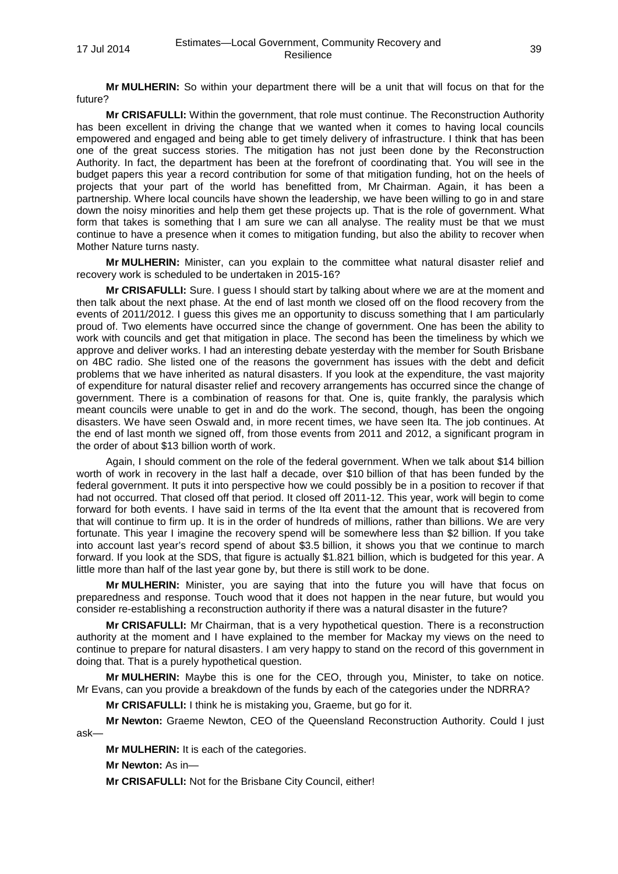**Mr MULHERIN:** So within your department there will be a unit that will focus on that for the future?

**Mr CRISAFULLI:** Within the government, that role must continue. The Reconstruction Authority has been excellent in driving the change that we wanted when it comes to having local councils empowered and engaged and being able to get timely delivery of infrastructure. I think that has been one of the great success stories. The mitigation has not just been done by the Reconstruction Authority. In fact, the department has been at the forefront of coordinating that. You will see in the budget papers this year a record contribution for some of that mitigation funding, hot on the heels of projects that your part of the world has benefitted from, Mr Chairman. Again, it has been a partnership. Where local councils have shown the leadership, we have been willing to go in and stare down the noisy minorities and help them get these projects up. That is the role of government. What form that takes is something that I am sure we can all analyse. The reality must be that we must continue to have a presence when it comes to mitigation funding, but also the ability to recover when Mother Nature turns nasty.

**Mr MULHERIN:** Minister, can you explain to the committee what natural disaster relief and recovery work is scheduled to be undertaken in 2015-16?

**Mr CRISAFULLI:** Sure. I guess I should start by talking about where we are at the moment and then talk about the next phase. At the end of last month we closed off on the flood recovery from the events of 2011/2012. I guess this gives me an opportunity to discuss something that I am particularly proud of. Two elements have occurred since the change of government. One has been the ability to work with councils and get that mitigation in place. The second has been the timeliness by which we approve and deliver works. I had an interesting debate yesterday with the member for South Brisbane on 4BC radio. She listed one of the reasons the government has issues with the debt and deficit problems that we have inherited as natural disasters. If you look at the expenditure, the vast majority of expenditure for natural disaster relief and recovery arrangements has occurred since the change of government. There is a combination of reasons for that. One is, quite frankly, the paralysis which meant councils were unable to get in and do the work. The second, though, has been the ongoing disasters. We have seen Oswald and, in more recent times, we have seen Ita. The job continues. At the end of last month we signed off, from those events from 2011 and 2012, a significant program in the order of about \$13 billion worth of work.

Again, I should comment on the role of the federal government. When we talk about \$14 billion worth of work in recovery in the last half a decade, over \$10 billion of that has been funded by the federal government. It puts it into perspective how we could possibly be in a position to recover if that had not occurred. That closed off that period. It closed off 2011-12. This year, work will begin to come forward for both events. I have said in terms of the Ita event that the amount that is recovered from that will continue to firm up. It is in the order of hundreds of millions, rather than billions. We are very fortunate. This year I imagine the recovery spend will be somewhere less than \$2 billion. If you take into account last year's record spend of about \$3.5 billion, it shows you that we continue to march forward. If you look at the SDS, that figure is actually \$1.821 billion, which is budgeted for this year. A little more than half of the last year gone by, but there is still work to be done.

**Mr MULHERIN:** Minister, you are saying that into the future you will have that focus on preparedness and response. Touch wood that it does not happen in the near future, but would you consider re-establishing a reconstruction authority if there was a natural disaster in the future?

**Mr CRISAFULLI:** Mr Chairman, that is a very hypothetical question. There is a reconstruction authority at the moment and I have explained to the member for Mackay my views on the need to continue to prepare for natural disasters. I am very happy to stand on the record of this government in doing that. That is a purely hypothetical question.

**Mr MULHERIN:** Maybe this is one for the CEO, through you, Minister, to take on notice. Mr Evans, can you provide a breakdown of the funds by each of the categories under the NDRRA?

**Mr CRISAFULLI:** I think he is mistaking you, Graeme, but go for it.

**Mr Newton:** Graeme Newton, CEO of the Queensland Reconstruction Authority. Could I just ask—

**Mr MULHERIN:** It is each of the categories.

**Mr Newton:** As in—

**Mr CRISAFULLI:** Not for the Brisbane City Council, either!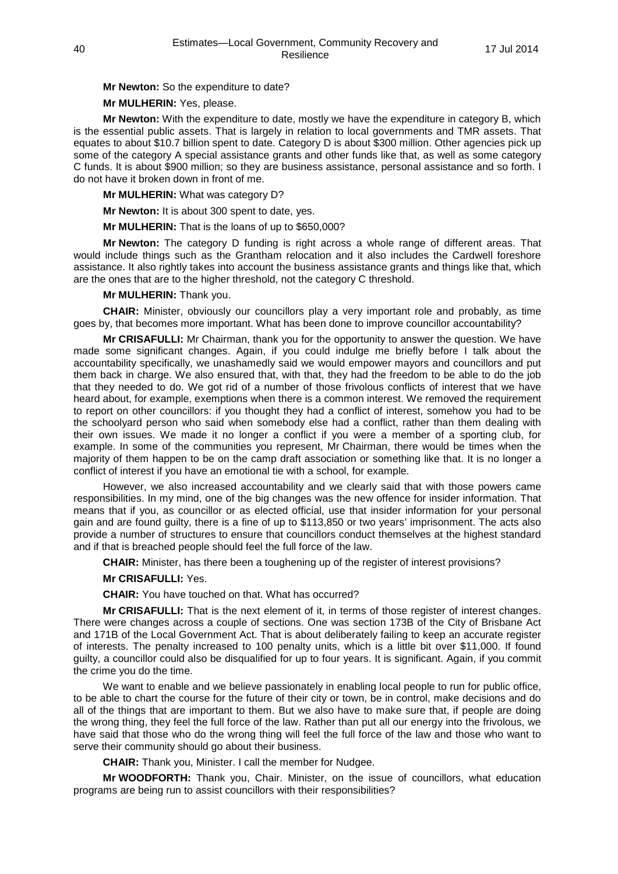**Mr Newton:** So the expenditure to date?

**Mr MULHERIN:** Yes, please.

**Mr Newton:** With the expenditure to date, mostly we have the expenditure in category B, which is the essential public assets. That is largely in relation to local governments and TMR assets. That equates to about \$10.7 billion spent to date. Category D is about \$300 million. Other agencies pick up some of the category A special assistance grants and other funds like that, as well as some category C funds. It is about \$900 million; so they are business assistance, personal assistance and so forth. I do not have it broken down in front of me.

**Mr MULHERIN:** What was category D?

**Mr Newton:** It is about 300 spent to date, yes.

**Mr MULHERIN:** That is the loans of up to \$650,000?

**Mr Newton:** The category D funding is right across a whole range of different areas. That would include things such as the Grantham relocation and it also includes the Cardwell foreshore assistance. It also rightly takes into account the business assistance grants and things like that, which are the ones that are to the higher threshold, not the category C threshold.

### **Mr MULHERIN:** Thank you.

**CHAIR:** Minister, obviously our councillors play a very important role and probably, as time goes by, that becomes more important. What has been done to improve councillor accountability?

**Mr CRISAFULLI:** Mr Chairman, thank you for the opportunity to answer the question. We have made some significant changes. Again, if you could indulge me briefly before I talk about the accountability specifically, we unashamedly said we would empower mayors and councillors and put them back in charge. We also ensured that, with that, they had the freedom to be able to do the job that they needed to do. We got rid of a number of those frivolous conflicts of interest that we have heard about, for example, exemptions when there is a common interest. We removed the requirement to report on other councillors: if you thought they had a conflict of interest, somehow you had to be the schoolyard person who said when somebody else had a conflict, rather than them dealing with their own issues. We made it no longer a conflict if you were a member of a sporting club, for example. In some of the communities you represent, Mr Chairman, there would be times when the majority of them happen to be on the camp draft association or something like that. It is no longer a conflict of interest if you have an emotional tie with a school, for example.

However, we also increased accountability and we clearly said that with those powers came responsibilities. In my mind, one of the big changes was the new offence for insider information. That means that if you, as councillor or as elected official, use that insider information for your personal gain and are found guilty, there is a fine of up to \$113,850 or two years' imprisonment. The acts also provide a number of structures to ensure that councillors conduct themselves at the highest standard and if that is breached people should feel the full force of the law.

**CHAIR:** Minister, has there been a toughening up of the register of interest provisions?

### **Mr CRISAFULLI:** Yes.

**CHAIR:** You have touched on that. What has occurred?

**Mr CRISAFULLI:** That is the next element of it, in terms of those register of interest changes. There were changes across a couple of sections. One was section 173B of the City of Brisbane Act and 171B of the Local Government Act. That is about deliberately failing to keep an accurate register of interests. The penalty increased to 100 penalty units, which is a little bit over \$11,000. If found guilty, a councillor could also be disqualified for up to four years. It is significant. Again, if you commit the crime you do the time.

We want to enable and we believe passionately in enabling local people to run for public office, to be able to chart the course for the future of their city or town, be in control, make decisions and do all of the things that are important to them. But we also have to make sure that, if people are doing the wrong thing, they feel the full force of the law. Rather than put all our energy into the frivolous, we have said that those who do the wrong thing will feel the full force of the law and those who want to serve their community should go about their business.

**CHAIR:** Thank you, Minister. I call the member for Nudgee.

**Mr WOODFORTH:** Thank you, Chair. Minister, on the issue of councillors, what education programs are being run to assist councillors with their responsibilities?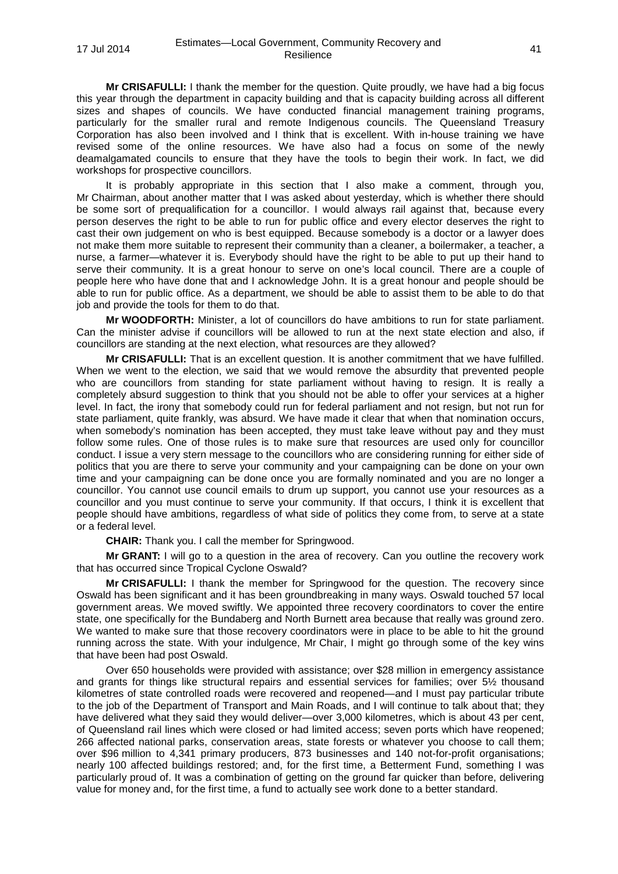**Mr CRISAFULLI:** I thank the member for the question. Quite proudly, we have had a big focus this year through the department in capacity building and that is capacity building across all different sizes and shapes of councils. We have conducted financial management training programs. particularly for the smaller rural and remote Indigenous councils. The Queensland Treasury Corporation has also been involved and I think that is excellent. With in-house training we have revised some of the online resources. We have also had a focus on some of the newly deamalgamated councils to ensure that they have the tools to begin their work. In fact, we did workshops for prospective councillors.

It is probably appropriate in this section that I also make a comment, through you, Mr Chairman, about another matter that I was asked about yesterday, which is whether there should be some sort of prequalification for a councillor. I would always rail against that, because every person deserves the right to be able to run for public office and every elector deserves the right to cast their own judgement on who is best equipped. Because somebody is a doctor or a lawyer does not make them more suitable to represent their community than a cleaner, a boilermaker, a teacher, a nurse, a farmer—whatever it is. Everybody should have the right to be able to put up their hand to serve their community. It is a great honour to serve on one's local council. There are a couple of people here who have done that and I acknowledge John. It is a great honour and people should be able to run for public office. As a department, we should be able to assist them to be able to do that job and provide the tools for them to do that.

**Mr WOODFORTH:** Minister, a lot of councillors do have ambitions to run for state parliament. Can the minister advise if councillors will be allowed to run at the next state election and also, if councillors are standing at the next election, what resources are they allowed?

**Mr CRISAFULLI:** That is an excellent question. It is another commitment that we have fulfilled. When we went to the election, we said that we would remove the absurdity that prevented people who are councillors from standing for state parliament without having to resign. It is really a completely absurd suggestion to think that you should not be able to offer your services at a higher level. In fact, the irony that somebody could run for federal parliament and not resign, but not run for state parliament, quite frankly, was absurd. We have made it clear that when that nomination occurs, when somebody's nomination has been accepted, they must take leave without pay and they must follow some rules. One of those rules is to make sure that resources are used only for councillor conduct. I issue a very stern message to the councillors who are considering running for either side of politics that you are there to serve your community and your campaigning can be done on your own time and your campaigning can be done once you are formally nominated and you are no longer a councillor. You cannot use council emails to drum up support, you cannot use your resources as a councillor and you must continue to serve your community. If that occurs, I think it is excellent that people should have ambitions, regardless of what side of politics they come from, to serve at a state or a federal level.

**CHAIR:** Thank you. I call the member for Springwood.

**Mr GRANT:** I will go to a question in the area of recovery. Can you outline the recovery work that has occurred since Tropical Cyclone Oswald?

**Mr CRISAFULLI:** I thank the member for Springwood for the question. The recovery since Oswald has been significant and it has been groundbreaking in many ways. Oswald touched 57 local government areas. We moved swiftly. We appointed three recovery coordinators to cover the entire state, one specifically for the Bundaberg and North Burnett area because that really was ground zero. We wanted to make sure that those recovery coordinators were in place to be able to hit the ground running across the state. With your indulgence, Mr Chair, I might go through some of the key wins that have been had post Oswald.

Over 650 households were provided with assistance; over \$28 million in emergency assistance and grants for things like structural repairs and essential services for families; over 5½ thousand kilometres of state controlled roads were recovered and reopened—and I must pay particular tribute to the job of the Department of Transport and Main Roads, and I will continue to talk about that; they have delivered what they said they would deliver—over 3,000 kilometres, which is about 43 per cent, of Queensland rail lines which were closed or had limited access; seven ports which have reopened; 266 affected national parks, conservation areas, state forests or whatever you choose to call them; over \$96 million to 4,341 primary producers, 873 businesses and 140 not-for-profit organisations; nearly 100 affected buildings restored; and, for the first time, a Betterment Fund, something I was particularly proud of. It was a combination of getting on the ground far quicker than before, delivering value for money and, for the first time, a fund to actually see work done to a better standard.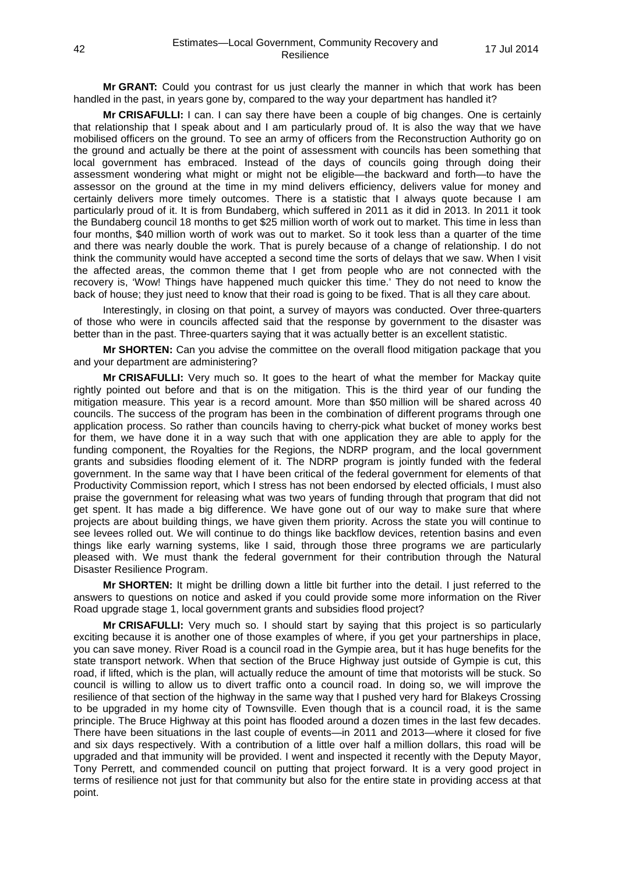**Mr GRANT:** Could you contrast for us just clearly the manner in which that work has been handled in the past, in years gone by, compared to the way your department has handled it?

**Mr CRISAFULLI:** I can. I can say there have been a couple of big changes. One is certainly that relationship that I speak about and I am particularly proud of. It is also the way that we have mobilised officers on the ground. To see an army of officers from the Reconstruction Authority go on the ground and actually be there at the point of assessment with councils has been something that local government has embraced. Instead of the days of councils going through doing their assessment wondering what might or might not be eligible—the backward and forth—to have the assessor on the ground at the time in my mind delivers efficiency, delivers value for money and certainly delivers more timely outcomes. There is a statistic that I always quote because I am particularly proud of it. It is from Bundaberg, which suffered in 2011 as it did in 2013. In 2011 it took the Bundaberg council 18 months to get \$25 million worth of work out to market. This time in less than four months, \$40 million worth of work was out to market. So it took less than a quarter of the time and there was nearly double the work. That is purely because of a change of relationship. I do not think the community would have accepted a second time the sorts of delays that we saw. When I visit the affected areas, the common theme that I get from people who are not connected with the recovery is, 'Wow! Things have happened much quicker this time.' They do not need to know the back of house; they just need to know that their road is going to be fixed. That is all they care about.

Interestingly, in closing on that point, a survey of mayors was conducted. Over three-quarters of those who were in councils affected said that the response by government to the disaster was better than in the past. Three-quarters saying that it was actually better is an excellent statistic.

**Mr SHORTEN:** Can you advise the committee on the overall flood mitigation package that you and your department are administering?

**Mr CRISAFULLI:** Very much so. It goes to the heart of what the member for Mackay quite rightly pointed out before and that is on the mitigation. This is the third year of our funding the mitigation measure. This year is a record amount. More than \$50 million will be shared across 40 councils. The success of the program has been in the combination of different programs through one application process. So rather than councils having to cherry-pick what bucket of money works best for them, we have done it in a way such that with one application they are able to apply for the funding component, the Royalties for the Regions, the NDRP program, and the local government grants and subsidies flooding element of it. The NDRP program is jointly funded with the federal government. In the same way that I have been critical of the federal government for elements of that Productivity Commission report, which I stress has not been endorsed by elected officials, I must also praise the government for releasing what was two years of funding through that program that did not get spent. It has made a big difference. We have gone out of our way to make sure that where projects are about building things, we have given them priority. Across the state you will continue to see levees rolled out. We will continue to do things like backflow devices, retention basins and even things like early warning systems, like I said, through those three programs we are particularly pleased with. We must thank the federal government for their contribution through the Natural Disaster Resilience Program.

**Mr SHORTEN:** It might be drilling down a little bit further into the detail. I just referred to the answers to questions on notice and asked if you could provide some more information on the River Road upgrade stage 1, local government grants and subsidies flood project?

**Mr CRISAFULLI:** Very much so. I should start by saying that this project is so particularly exciting because it is another one of those examples of where, if you get your partnerships in place, you can save money. River Road is a council road in the Gympie area, but it has huge benefits for the state transport network. When that section of the Bruce Highway just outside of Gympie is cut, this road, if lifted, which is the plan, will actually reduce the amount of time that motorists will be stuck. So council is willing to allow us to divert traffic onto a council road. In doing so, we will improve the resilience of that section of the highway in the same way that I pushed very hard for Blakeys Crossing to be upgraded in my home city of Townsville. Even though that is a council road, it is the same principle. The Bruce Highway at this point has flooded around a dozen times in the last few decades. There have been situations in the last couple of events—in 2011 and 2013—where it closed for five and six days respectively. With a contribution of a little over half a million dollars, this road will be upgraded and that immunity will be provided. I went and inspected it recently with the Deputy Mayor, Tony Perrett, and commended council on putting that project forward. It is a very good project in terms of resilience not just for that community but also for the entire state in providing access at that point.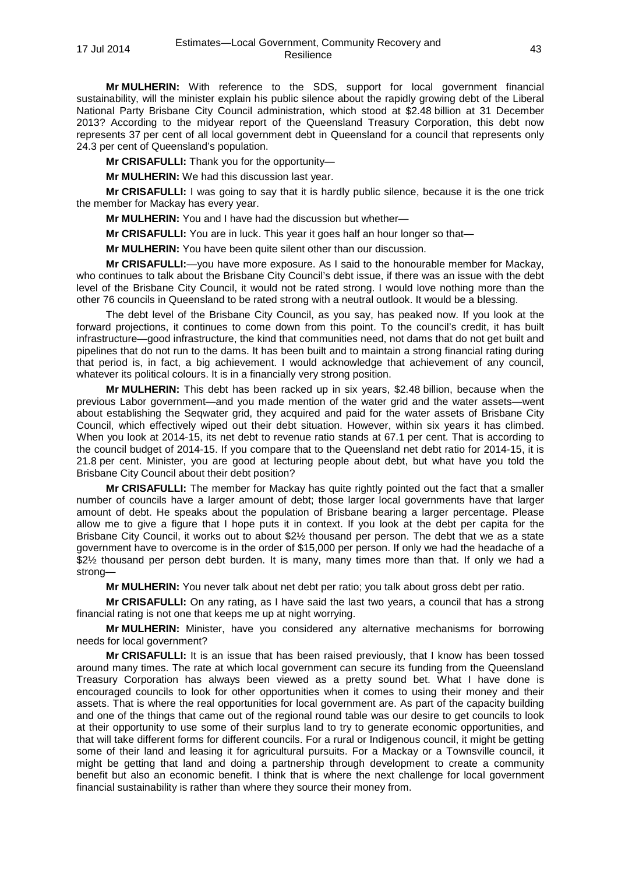**Mr MULHERIN:** With reference to the SDS, support for local government financial sustainability, will the minister explain his public silence about the rapidly growing debt of the Liberal National Party Brisbane City Council administration, which stood at \$2.48 billion at 31 December 2013? According to the midyear report of the Queensland Treasury Corporation, this debt now represents 37 per cent of all local government debt in Queensland for a council that represents only 24.3 per cent of Queensland's population.

**Mr CRISAFULLI:** Thank you for the opportunity—

**Mr MULHERIN:** We had this discussion last year.

**Mr CRISAFULLI:** I was going to say that it is hardly public silence, because it is the one trick the member for Mackay has every year.

**Mr MULHERIN:** You and I have had the discussion but whether—

**Mr CRISAFULLI:** You are in luck. This year it goes half an hour longer so that—

**Mr MULHERIN:** You have been quite silent other than our discussion.

**Mr CRISAFULLI:**—you have more exposure. As I said to the honourable member for Mackay, who continues to talk about the Brisbane City Council's debt issue, if there was an issue with the debt level of the Brisbane City Council, it would not be rated strong. I would love nothing more than the other 76 councils in Queensland to be rated strong with a neutral outlook. It would be a blessing.

The debt level of the Brisbane City Council, as you say, has peaked now. If you look at the forward projections, it continues to come down from this point. To the council's credit, it has built infrastructure—good infrastructure, the kind that communities need, not dams that do not get built and pipelines that do not run to the dams. It has been built and to maintain a strong financial rating during that period is, in fact, a big achievement. I would acknowledge that achievement of any council, whatever its political colours. It is in a financially very strong position.

**Mr MULHERIN:** This debt has been racked up in six years, \$2.48 billion, because when the previous Labor government—and you made mention of the water grid and the water assets—went about establishing the Seqwater grid, they acquired and paid for the water assets of Brisbane City Council, which effectively wiped out their debt situation. However, within six years it has climbed. When you look at 2014-15, its net debt to revenue ratio stands at 67.1 per cent. That is according to the council budget of 2014-15. If you compare that to the Queensland net debt ratio for 2014-15, it is 21.8 per cent. Minister, you are good at lecturing people about debt, but what have you told the Brisbane City Council about their debt position?

**Mr CRISAFULLI:** The member for Mackay has quite rightly pointed out the fact that a smaller number of councils have a larger amount of debt; those larger local governments have that larger amount of debt. He speaks about the population of Brisbane bearing a larger percentage. Please allow me to give a figure that I hope puts it in context. If you look at the debt per capita for the Brisbane City Council, it works out to about \$2½ thousand per person. The debt that we as a state government have to overcome is in the order of \$15,000 per person. If only we had the headache of a \$2½ thousand per person debt burden. It is many, many times more than that. If only we had a strong—

**Mr MULHERIN:** You never talk about net debt per ratio; you talk about gross debt per ratio.

**Mr CRISAFULLI:** On any rating, as I have said the last two years, a council that has a strong financial rating is not one that keeps me up at night worrying.

**Mr MULHERIN:** Minister, have you considered any alternative mechanisms for borrowing needs for local government?

**Mr CRISAFULLI:** It is an issue that has been raised previously, that I know has been tossed around many times. The rate at which local government can secure its funding from the Queensland Treasury Corporation has always been viewed as a pretty sound bet. What I have done is encouraged councils to look for other opportunities when it comes to using their money and their assets. That is where the real opportunities for local government are. As part of the capacity building and one of the things that came out of the regional round table was our desire to get councils to look at their opportunity to use some of their surplus land to try to generate economic opportunities, and that will take different forms for different councils. For a rural or Indigenous council, it might be getting some of their land and leasing it for agricultural pursuits. For a Mackay or a Townsville council, it might be getting that land and doing a partnership through development to create a community benefit but also an economic benefit. I think that is where the next challenge for local government financial sustainability is rather than where they source their money from.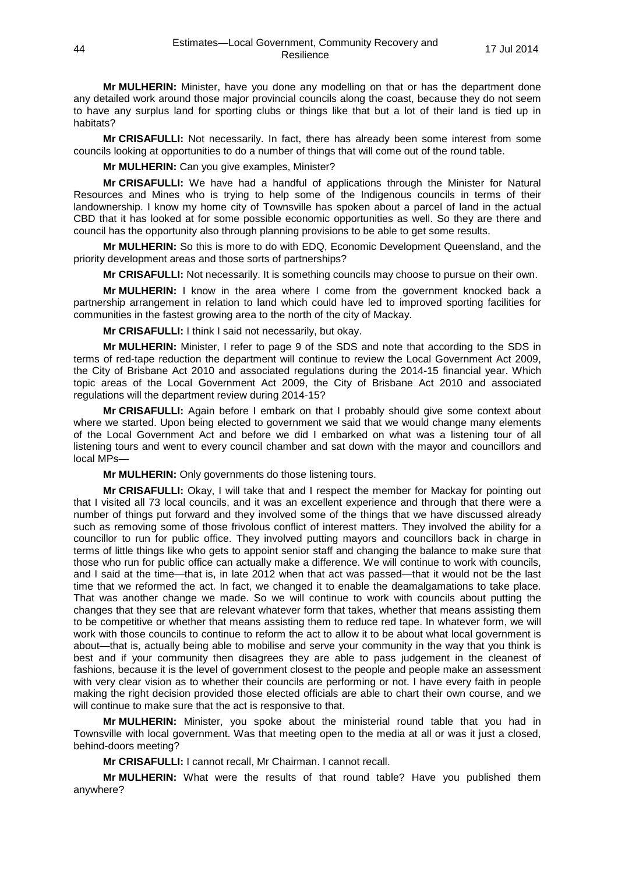**Mr MULHERIN:** Minister, have you done any modelling on that or has the department done any detailed work around those major provincial councils along the coast, because they do not seem to have any surplus land for sporting clubs or things like that but a lot of their land is tied up in habitats?

**Mr CRISAFULLI:** Not necessarily. In fact, there has already been some interest from some councils looking at opportunities to do a number of things that will come out of the round table.

**Mr MULHERIN:** Can you give examples, Minister?

**Mr CRISAFULLI:** We have had a handful of applications through the Minister for Natural Resources and Mines who is trying to help some of the Indigenous councils in terms of their landownership. I know my home city of Townsville has spoken about a parcel of land in the actual CBD that it has looked at for some possible economic opportunities as well. So they are there and council has the opportunity also through planning provisions to be able to get some results.

**Mr MULHERIN:** So this is more to do with EDQ, Economic Development Queensland, and the priority development areas and those sorts of partnerships?

**Mr CRISAFULLI:** Not necessarily. It is something councils may choose to pursue on their own.

**Mr MULHERIN:** I know in the area where I come from the government knocked back a partnership arrangement in relation to land which could have led to improved sporting facilities for communities in the fastest growing area to the north of the city of Mackay.

**Mr CRISAFULLI:** I think I said not necessarily, but okay.

**Mr MULHERIN:** Minister, I refer to page 9 of the SDS and note that according to the SDS in terms of red-tape reduction the department will continue to review the Local Government Act 2009, the City of Brisbane Act 2010 and associated regulations during the 2014-15 financial year. Which topic areas of the Local Government Act 2009, the City of Brisbane Act 2010 and associated regulations will the department review during 2014-15?

**Mr CRISAFULLI:** Again before I embark on that I probably should give some context about where we started. Upon being elected to government we said that we would change many elements of the Local Government Act and before we did I embarked on what was a listening tour of all listening tours and went to every council chamber and sat down with the mayor and councillors and local MPs—

**Mr MULHERIN:** Only governments do those listening tours.

**Mr CRISAFULLI:** Okay, I will take that and I respect the member for Mackay for pointing out that I visited all 73 local councils, and it was an excellent experience and through that there were a number of things put forward and they involved some of the things that we have discussed already such as removing some of those frivolous conflict of interest matters. They involved the ability for a councillor to run for public office. They involved putting mayors and councillors back in charge in terms of little things like who gets to appoint senior staff and changing the balance to make sure that those who run for public office can actually make a difference. We will continue to work with councils, and I said at the time—that is, in late 2012 when that act was passed—that it would not be the last time that we reformed the act. In fact, we changed it to enable the deamalgamations to take place. That was another change we made. So we will continue to work with councils about putting the changes that they see that are relevant whatever form that takes, whether that means assisting them to be competitive or whether that means assisting them to reduce red tape. In whatever form, we will work with those councils to continue to reform the act to allow it to be about what local government is about—that is, actually being able to mobilise and serve your community in the way that you think is best and if your community then disagrees they are able to pass judgement in the cleanest of fashions, because it is the level of government closest to the people and people make an assessment with very clear vision as to whether their councils are performing or not. I have every faith in people making the right decision provided those elected officials are able to chart their own course, and we will continue to make sure that the act is responsive to that.

**Mr MULHERIN:** Minister, you spoke about the ministerial round table that you had in Townsville with local government. Was that meeting open to the media at all or was it just a closed, behind-doors meeting?

**Mr CRISAFULLI:** I cannot recall, Mr Chairman. I cannot recall.

**Mr MULHERIN:** What were the results of that round table? Have you published them anywhere?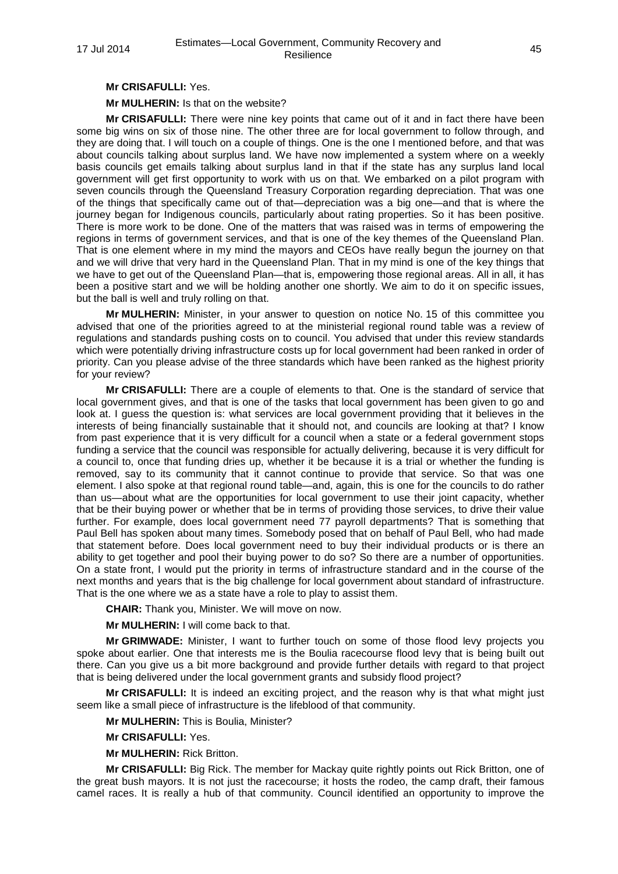### **Mr CRISAFULLI:** Yes.

**Mr MULHERIN:** Is that on the website?

**Mr CRISAFULLI:** There were nine key points that came out of it and in fact there have been some big wins on six of those nine. The other three are for local government to follow through, and they are doing that. I will touch on a couple of things. One is the one I mentioned before, and that was about councils talking about surplus land. We have now implemented a system where on a weekly basis councils get emails talking about surplus land in that if the state has any surplus land local government will get first opportunity to work with us on that. We embarked on a pilot program with seven councils through the Queensland Treasury Corporation regarding depreciation. That was one of the things that specifically came out of that—depreciation was a big one—and that is where the journey began for Indigenous councils, particularly about rating properties. So it has been positive. There is more work to be done. One of the matters that was raised was in terms of empowering the regions in terms of government services, and that is one of the key themes of the Queensland Plan. That is one element where in my mind the mayors and CEOs have really begun the journey on that and we will drive that very hard in the Queensland Plan. That in my mind is one of the key things that we have to get out of the Queensland Plan—that is, empowering those regional areas. All in all, it has been a positive start and we will be holding another one shortly. We aim to do it on specific issues, but the ball is well and truly rolling on that.

**Mr MULHERIN:** Minister, in your answer to question on notice No. 15 of this committee you advised that one of the priorities agreed to at the ministerial regional round table was a review of regulations and standards pushing costs on to council. You advised that under this review standards which were potentially driving infrastructure costs up for local government had been ranked in order of priority. Can you please advise of the three standards which have been ranked as the highest priority for your review?

**Mr CRISAFULLI:** There are a couple of elements to that. One is the standard of service that local government gives, and that is one of the tasks that local government has been given to go and look at. I guess the question is: what services are local government providing that it believes in the interests of being financially sustainable that it should not, and councils are looking at that? I know from past experience that it is very difficult for a council when a state or a federal government stops funding a service that the council was responsible for actually delivering, because it is very difficult for a council to, once that funding dries up, whether it be because it is a trial or whether the funding is removed, say to its community that it cannot continue to provide that service. So that was one element. I also spoke at that regional round table—and, again, this is one for the councils to do rather than us—about what are the opportunities for local government to use their joint capacity, whether that be their buying power or whether that be in terms of providing those services, to drive their value further. For example, does local government need 77 payroll departments? That is something that Paul Bell has spoken about many times. Somebody posed that on behalf of Paul Bell, who had made that statement before. Does local government need to buy their individual products or is there an ability to get together and pool their buying power to do so? So there are a number of opportunities. On a state front, I would put the priority in terms of infrastructure standard and in the course of the next months and years that is the big challenge for local government about standard of infrastructure. That is the one where we as a state have a role to play to assist them.

**CHAIR:** Thank you, Minister. We will move on now.

**Mr MULHERIN:** I will come back to that.

**Mr GRIMWADE:** Minister, I want to further touch on some of those flood levy projects you spoke about earlier. One that interests me is the Boulia racecourse flood levy that is being built out there. Can you give us a bit more background and provide further details with regard to that project that is being delivered under the local government grants and subsidy flood project?

**Mr CRISAFULLI:** It is indeed an exciting project, and the reason why is that what might just seem like a small piece of infrastructure is the lifeblood of that community.

**Mr MULHERIN:** This is Boulia, Minister?

**Mr CRISAFULLI:** Yes.

**Mr MULHERIN:** Rick Britton.

**Mr CRISAFULLI:** Big Rick. The member for Mackay quite rightly points out Rick Britton, one of the great bush mayors. It is not just the racecourse; it hosts the rodeo, the camp draft, their famous camel races. It is really a hub of that community. Council identified an opportunity to improve the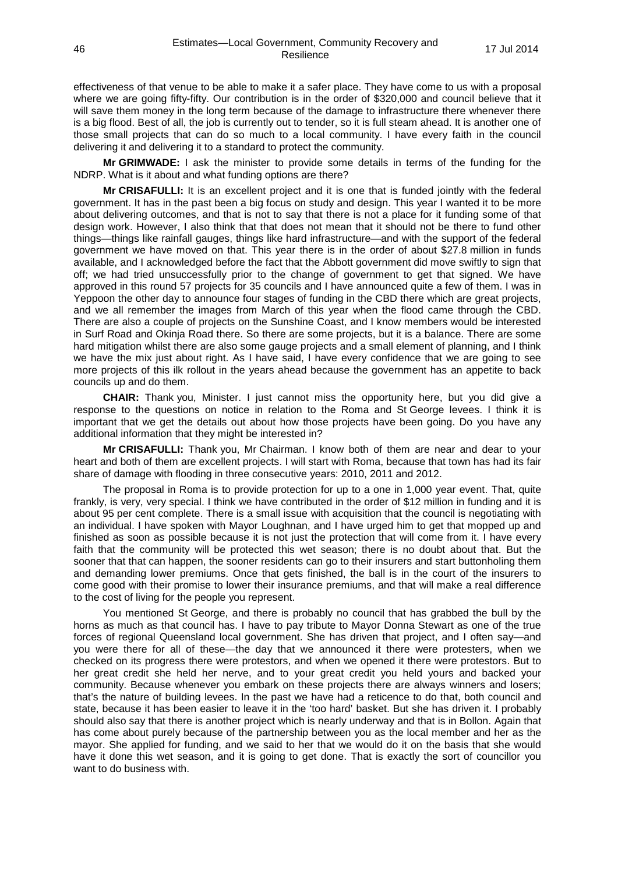effectiveness of that venue to be able to make it a safer place. They have come to us with a proposal where we are going fifty-fifty. Our contribution is in the order of \$320,000 and council believe that it will save them money in the long term because of the damage to infrastructure there whenever there is a big flood. Best of all, the job is currently out to tender, so it is full steam ahead. It is another one of those small projects that can do so much to a local community. I have every faith in the council delivering it and delivering it to a standard to protect the community.

**Mr GRIMWADE:** I ask the minister to provide some details in terms of the funding for the NDRP. What is it about and what funding options are there?

**Mr CRISAFULLI:** It is an excellent project and it is one that is funded jointly with the federal government. It has in the past been a big focus on study and design. This year I wanted it to be more about delivering outcomes, and that is not to say that there is not a place for it funding some of that design work. However, I also think that that does not mean that it should not be there to fund other things—things like rainfall gauges, things like hard infrastructure—and with the support of the federal government we have moved on that. This year there is in the order of about \$27.8 million in funds available, and I acknowledged before the fact that the Abbott government did move swiftly to sign that off; we had tried unsuccessfully prior to the change of government to get that signed. We have approved in this round 57 projects for 35 councils and I have announced quite a few of them. I was in Yeppoon the other day to announce four stages of funding in the CBD there which are great projects, and we all remember the images from March of this year when the flood came through the CBD. There are also a couple of projects on the Sunshine Coast, and I know members would be interested in Surf Road and Okinja Road there. So there are some projects, but it is a balance. There are some hard mitigation whilst there are also some gauge projects and a small element of planning, and I think we have the mix just about right. As I have said, I have every confidence that we are going to see more projects of this ilk rollout in the years ahead because the government has an appetite to back councils up and do them.

**CHAIR:** Thank you, Minister. I just cannot miss the opportunity here, but you did give a response to the questions on notice in relation to the Roma and St George levees. I think it is important that we get the details out about how those projects have been going. Do you have any additional information that they might be interested in?

**Mr CRISAFULLI:** Thank you, Mr Chairman. I know both of them are near and dear to your heart and both of them are excellent projects. I will start with Roma, because that town has had its fair share of damage with flooding in three consecutive years: 2010, 2011 and 2012.

The proposal in Roma is to provide protection for up to a one in 1,000 year event. That, quite frankly, is very, very special. I think we have contributed in the order of \$12 million in funding and it is about 95 per cent complete. There is a small issue with acquisition that the council is negotiating with an individual. I have spoken with Mayor Loughnan, and I have urged him to get that mopped up and finished as soon as possible because it is not just the protection that will come from it. I have every faith that the community will be protected this wet season; there is no doubt about that. But the sooner that that can happen, the sooner residents can go to their insurers and start buttonholing them and demanding lower premiums. Once that gets finished, the ball is in the court of the insurers to come good with their promise to lower their insurance premiums, and that will make a real difference to the cost of living for the people you represent.

You mentioned St George, and there is probably no council that has grabbed the bull by the horns as much as that council has. I have to pay tribute to Mayor Donna Stewart as one of the true forces of regional Queensland local government. She has driven that project, and I often say—and you were there for all of these—the day that we announced it there were protesters, when we checked on its progress there were protestors, and when we opened it there were protestors. But to her great credit she held her nerve, and to your great credit you held yours and backed your community. Because whenever you embark on these projects there are always winners and losers; that's the nature of building levees. In the past we have had a reticence to do that, both council and state, because it has been easier to leave it in the 'too hard' basket. But she has driven it. I probably should also say that there is another project which is nearly underway and that is in Bollon. Again that has come about purely because of the partnership between you as the local member and her as the mayor. She applied for funding, and we said to her that we would do it on the basis that she would have it done this wet season, and it is going to get done. That is exactly the sort of councillor you want to do business with.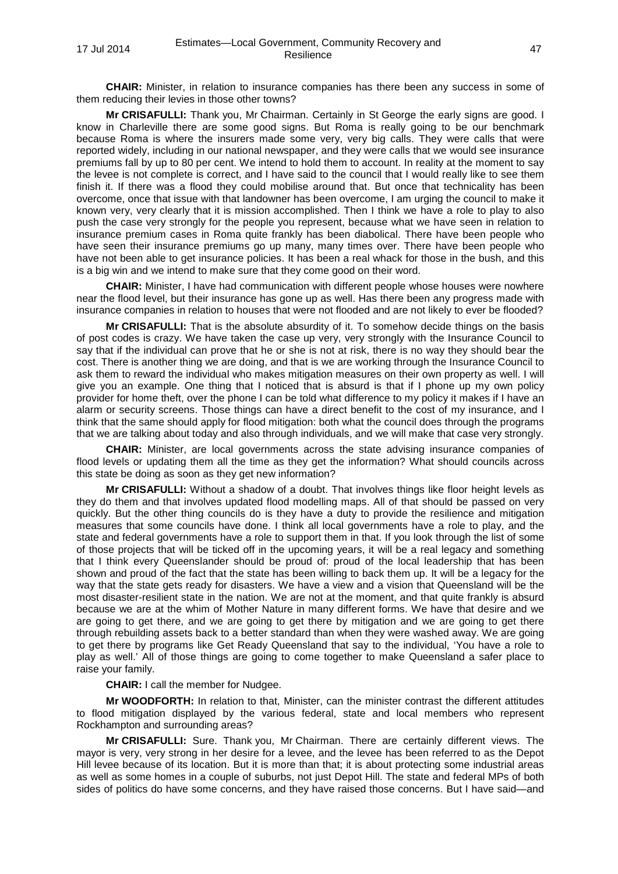**CHAIR:** Minister, in relation to insurance companies has there been any success in some of them reducing their levies in those other towns?

**Mr CRISAFULLI:** Thank you, Mr Chairman. Certainly in St George the early signs are good. I know in Charleville there are some good signs. But Roma is really going to be our benchmark because Roma is where the insurers made some very, very big calls. They were calls that were reported widely, including in our national newspaper, and they were calls that we would see insurance premiums fall by up to 80 per cent. We intend to hold them to account. In reality at the moment to say the levee is not complete is correct, and I have said to the council that I would really like to see them finish it. If there was a flood they could mobilise around that. But once that technicality has been overcome, once that issue with that landowner has been overcome, I am urging the council to make it known very, very clearly that it is mission accomplished. Then I think we have a role to play to also push the case very strongly for the people you represent, because what we have seen in relation to insurance premium cases in Roma quite frankly has been diabolical. There have been people who have seen their insurance premiums go up many, many times over. There have been people who have not been able to get insurance policies. It has been a real whack for those in the bush, and this is a big win and we intend to make sure that they come good on their word.

**CHAIR:** Minister, I have had communication with different people whose houses were nowhere near the flood level, but their insurance has gone up as well. Has there been any progress made with insurance companies in relation to houses that were not flooded and are not likely to ever be flooded?

**Mr CRISAFULLI:** That is the absolute absurdity of it. To somehow decide things on the basis of post codes is crazy. We have taken the case up very, very strongly with the Insurance Council to say that if the individual can prove that he or she is not at risk, there is no way they should bear the cost. There is another thing we are doing, and that is we are working through the Insurance Council to ask them to reward the individual who makes mitigation measures on their own property as well. I will give you an example. One thing that I noticed that is absurd is that if I phone up my own policy provider for home theft, over the phone I can be told what difference to my policy it makes if I have an alarm or security screens. Those things can have a direct benefit to the cost of my insurance, and I think that the same should apply for flood mitigation: both what the council does through the programs that we are talking about today and also through individuals, and we will make that case very strongly.

**CHAIR:** Minister, are local governments across the state advising insurance companies of flood levels or updating them all the time as they get the information? What should councils across this state be doing as soon as they get new information?

**Mr CRISAFULLI:** Without a shadow of a doubt. That involves things like floor height levels as they do them and that involves updated flood modelling maps. All of that should be passed on very quickly. But the other thing councils do is they have a duty to provide the resilience and mitigation measures that some councils have done. I think all local governments have a role to play, and the state and federal governments have a role to support them in that. If you look through the list of some of those projects that will be ticked off in the upcoming years, it will be a real legacy and something that I think every Queenslander should be proud of: proud of the local leadership that has been shown and proud of the fact that the state has been willing to back them up. It will be a legacy for the way that the state gets ready for disasters. We have a view and a vision that Queensland will be the most disaster-resilient state in the nation. We are not at the moment, and that quite frankly is absurd because we are at the whim of Mother Nature in many different forms. We have that desire and we are going to get there, and we are going to get there by mitigation and we are going to get there through rebuilding assets back to a better standard than when they were washed away. We are going to get there by programs like Get Ready Queensland that say to the individual, 'You have a role to play as well.' All of those things are going to come together to make Queensland a safer place to raise your family.

**CHAIR:** I call the member for Nudgee.

**Mr WOODFORTH:** In relation to that, Minister, can the minister contrast the different attitudes to flood mitigation displayed by the various federal, state and local members who represent Rockhampton and surrounding areas?

**Mr CRISAFULLI:** Sure. Thank you, Mr Chairman. There are certainly different views. The mayor is very, very strong in her desire for a levee, and the levee has been referred to as the Depot Hill levee because of its location. But it is more than that; it is about protecting some industrial areas as well as some homes in a couple of suburbs, not just Depot Hill. The state and federal MPs of both sides of politics do have some concerns, and they have raised those concerns. But I have said—and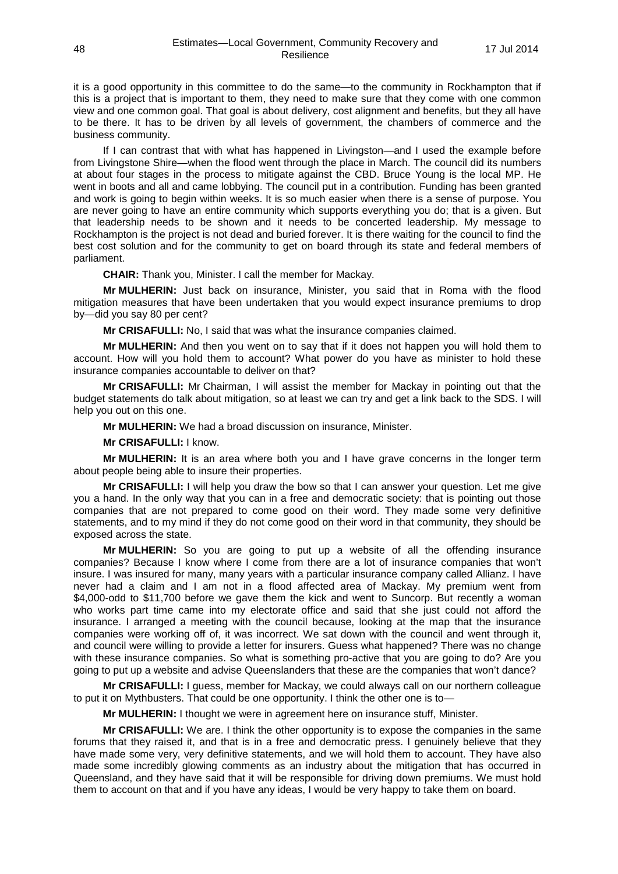it is a good opportunity in this committee to do the same—to the community in Rockhampton that if this is a project that is important to them, they need to make sure that they come with one common view and one common goal. That goal is about delivery, cost alignment and benefits, but they all have to be there. It has to be driven by all levels of government, the chambers of commerce and the business community.

If I can contrast that with what has happened in Livingston—and I used the example before from Livingstone Shire—when the flood went through the place in March. The council did its numbers at about four stages in the process to mitigate against the CBD. Bruce Young is the local MP. He went in boots and all and came lobbying. The council put in a contribution. Funding has been granted and work is going to begin within weeks. It is so much easier when there is a sense of purpose. You are never going to have an entire community which supports everything you do; that is a given. But that leadership needs to be shown and it needs to be concerted leadership. My message to Rockhampton is the project is not dead and buried forever. It is there waiting for the council to find the best cost solution and for the community to get on board through its state and federal members of parliament.

**CHAIR:** Thank you, Minister. I call the member for Mackay.

**Mr MULHERIN:** Just back on insurance, Minister, you said that in Roma with the flood mitigation measures that have been undertaken that you would expect insurance premiums to drop by—did you say 80 per cent?

**Mr CRISAFULLI:** No, I said that was what the insurance companies claimed.

**Mr MULHERIN:** And then you went on to say that if it does not happen you will hold them to account. How will you hold them to account? What power do you have as minister to hold these insurance companies accountable to deliver on that?

**Mr CRISAFULLI:** Mr Chairman, I will assist the member for Mackay in pointing out that the budget statements do talk about mitigation, so at least we can try and get a link back to the SDS. I will help you out on this one.

**Mr MULHERIN:** We had a broad discussion on insurance, Minister.

**Mr CRISAFULLI:** I know.

**Mr MULHERIN:** It is an area where both you and I have grave concerns in the longer term about people being able to insure their properties.

**Mr CRISAFULLI:** I will help you draw the bow so that I can answer your question. Let me give you a hand. In the only way that you can in a free and democratic society: that is pointing out those companies that are not prepared to come good on their word. They made some very definitive statements, and to my mind if they do not come good on their word in that community, they should be exposed across the state.

**Mr MULHERIN:** So you are going to put up a website of all the offending insurance companies? Because I know where I come from there are a lot of insurance companies that won't insure. I was insured for many, many years with a particular insurance company called Allianz. I have never had a claim and I am not in a flood affected area of Mackay. My premium went from \$4,000-odd to \$11,700 before we gave them the kick and went to Suncorp. But recently a woman who works part time came into my electorate office and said that she just could not afford the insurance. I arranged a meeting with the council because, looking at the map that the insurance companies were working off of, it was incorrect. We sat down with the council and went through it, and council were willing to provide a letter for insurers. Guess what happened? There was no change with these insurance companies. So what is something pro-active that you are going to do? Are you going to put up a website and advise Queenslanders that these are the companies that won't dance?

**Mr CRISAFULLI:** I guess, member for Mackay, we could always call on our northern colleague to put it on Mythbusters. That could be one opportunity. I think the other one is to—

**Mr MULHERIN:** I thought we were in agreement here on insurance stuff, Minister.

**Mr CRISAFULLI:** We are. I think the other opportunity is to expose the companies in the same forums that they raised it, and that is in a free and democratic press. I genuinely believe that they have made some very, very definitive statements, and we will hold them to account. They have also made some incredibly glowing comments as an industry about the mitigation that has occurred in Queensland, and they have said that it will be responsible for driving down premiums. We must hold them to account on that and if you have any ideas, I would be very happy to take them on board.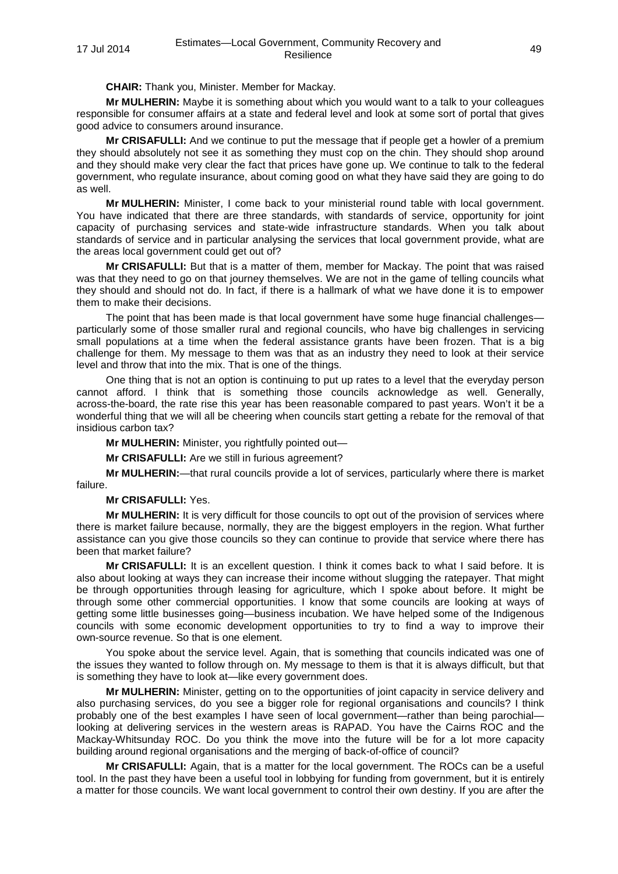**CHAIR:** Thank you, Minister. Member for Mackay.

**Mr MULHERIN:** Maybe it is something about which you would want to a talk to your colleagues responsible for consumer affairs at a state and federal level and look at some sort of portal that gives good advice to consumers around insurance.

**Mr CRISAFULLI:** And we continue to put the message that if people get a howler of a premium they should absolutely not see it as something they must cop on the chin. They should shop around and they should make very clear the fact that prices have gone up. We continue to talk to the federal government, who regulate insurance, about coming good on what they have said they are going to do as well.

**Mr MULHERIN:** Minister, I come back to your ministerial round table with local government. You have indicated that there are three standards, with standards of service, opportunity for joint capacity of purchasing services and state-wide infrastructure standards. When you talk about standards of service and in particular analysing the services that local government provide, what are the areas local government could get out of?

**Mr CRISAFULLI:** But that is a matter of them, member for Mackay. The point that was raised was that they need to go on that journey themselves. We are not in the game of telling councils what they should and should not do. In fact, if there is a hallmark of what we have done it is to empower them to make their decisions.

The point that has been made is that local government have some huge financial challenges particularly some of those smaller rural and regional councils, who have big challenges in servicing small populations at a time when the federal assistance grants have been frozen. That is a big challenge for them. My message to them was that as an industry they need to look at their service level and throw that into the mix. That is one of the things.

One thing that is not an option is continuing to put up rates to a level that the everyday person cannot afford. I think that is something those councils acknowledge as well. Generally, across-the-board, the rate rise this year has been reasonable compared to past years. Won't it be a wonderful thing that we will all be cheering when councils start getting a rebate for the removal of that insidious carbon tax?

**Mr MULHERIN:** Minister, you rightfully pointed out—

**Mr CRISAFULLI:** Are we still in furious agreement?

**Mr MULHERIN:**—that rural councils provide a lot of services, particularly where there is market failure.

### **Mr CRISAFULLI:** Yes.

**Mr MULHERIN:** It is very difficult for those councils to opt out of the provision of services where there is market failure because, normally, they are the biggest employers in the region. What further assistance can you give those councils so they can continue to provide that service where there has been that market failure?

**Mr CRISAFULLI:** It is an excellent question. I think it comes back to what I said before. It is also about looking at ways they can increase their income without slugging the ratepayer. That might be through opportunities through leasing for agriculture, which I spoke about before. It might be through some other commercial opportunities. I know that some councils are looking at ways of getting some little businesses going—business incubation. We have helped some of the Indigenous councils with some economic development opportunities to try to find a way to improve their own-source revenue. So that is one element.

You spoke about the service level. Again, that is something that councils indicated was one of the issues they wanted to follow through on. My message to them is that it is always difficult, but that is something they have to look at—like every government does.

**Mr MULHERIN:** Minister, getting on to the opportunities of joint capacity in service delivery and also purchasing services, do you see a bigger role for regional organisations and councils? I think probably one of the best examples I have seen of local government—rather than being parochial looking at delivering services in the western areas is RAPAD. You have the Cairns ROC and the Mackay-Whitsunday ROC. Do you think the move into the future will be for a lot more capacity building around regional organisations and the merging of back-of-office of council?

**Mr CRISAFULLI:** Again, that is a matter for the local government. The ROCs can be a useful tool. In the past they have been a useful tool in lobbying for funding from government, but it is entirely a matter for those councils. We want local government to control their own destiny. If you are after the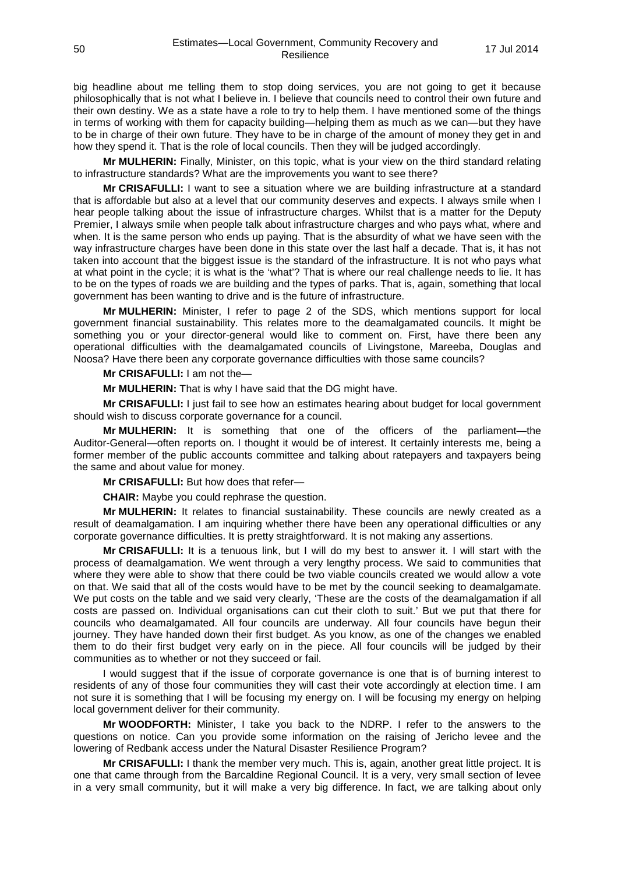big headline about me telling them to stop doing services, you are not going to get it because philosophically that is not what I believe in. I believe that councils need to control their own future and their own destiny. We as a state have a role to try to help them. I have mentioned some of the things in terms of working with them for capacity building—helping them as much as we can—but they have to be in charge of their own future. They have to be in charge of the amount of money they get in and how they spend it. That is the role of local councils. Then they will be judged accordingly.

**Mr MULHERIN:** Finally, Minister, on this topic, what is your view on the third standard relating to infrastructure standards? What are the improvements you want to see there?

**Mr CRISAFULLI:** I want to see a situation where we are building infrastructure at a standard that is affordable but also at a level that our community deserves and expects. I always smile when I hear people talking about the issue of infrastructure charges. Whilst that is a matter for the Deputy Premier, I always smile when people talk about infrastructure charges and who pays what, where and when. It is the same person who ends up paying. That is the absurdity of what we have seen with the way infrastructure charges have been done in this state over the last half a decade. That is, it has not taken into account that the biggest issue is the standard of the infrastructure. It is not who pays what at what point in the cycle; it is what is the 'what'? That is where our real challenge needs to lie. It has to be on the types of roads we are building and the types of parks. That is, again, something that local government has been wanting to drive and is the future of infrastructure.

**Mr MULHERIN:** Minister, I refer to page 2 of the SDS, which mentions support for local government financial sustainability. This relates more to the deamalgamated councils. It might be something you or your director-general would like to comment on. First, have there been any operational difficulties with the deamalgamated councils of Livingstone, Mareeba, Douglas and Noosa? Have there been any corporate governance difficulties with those same councils?

**Mr CRISAFULLI:** I am not the—

**Mr MULHERIN:** That is why I have said that the DG might have.

**Mr CRISAFULLI:** I just fail to see how an estimates hearing about budget for local government should wish to discuss corporate governance for a council.

**Mr MULHERIN:** It is something that one of the officers of the parliament—the Auditor-General—often reports on. I thought it would be of interest. It certainly interests me, being a former member of the public accounts committee and talking about ratepayers and taxpayers being the same and about value for money.

**Mr CRISAFULLI:** But how does that refer—

**CHAIR:** Maybe you could rephrase the question.

**Mr MULHERIN:** It relates to financial sustainability. These councils are newly created as a result of deamalgamation. I am inquiring whether there have been any operational difficulties or any corporate governance difficulties. It is pretty straightforward. It is not making any assertions.

**Mr CRISAFULLI:** It is a tenuous link, but I will do my best to answer it. I will start with the process of deamalgamation. We went through a very lengthy process. We said to communities that where they were able to show that there could be two viable councils created we would allow a vote on that. We said that all of the costs would have to be met by the council seeking to deamalgamate. We put costs on the table and we said very clearly, 'These are the costs of the deamalgamation if all costs are passed on. Individual organisations can cut their cloth to suit.' But we put that there for councils who deamalgamated. All four councils are underway. All four councils have begun their journey. They have handed down their first budget. As you know, as one of the changes we enabled them to do their first budget very early on in the piece. All four councils will be judged by their communities as to whether or not they succeed or fail.

I would suggest that if the issue of corporate governance is one that is of burning interest to residents of any of those four communities they will cast their vote accordingly at election time. I am not sure it is something that I will be focusing my energy on. I will be focusing my energy on helping local government deliver for their community.

**Mr WOODFORTH:** Minister, I take you back to the NDRP. I refer to the answers to the questions on notice. Can you provide some information on the raising of Jericho levee and the lowering of Redbank access under the Natural Disaster Resilience Program?

**Mr CRISAFULLI:** I thank the member very much. This is, again, another great little project. It is one that came through from the Barcaldine Regional Council. It is a very, very small section of levee in a very small community, but it will make a very big difference. In fact, we are talking about only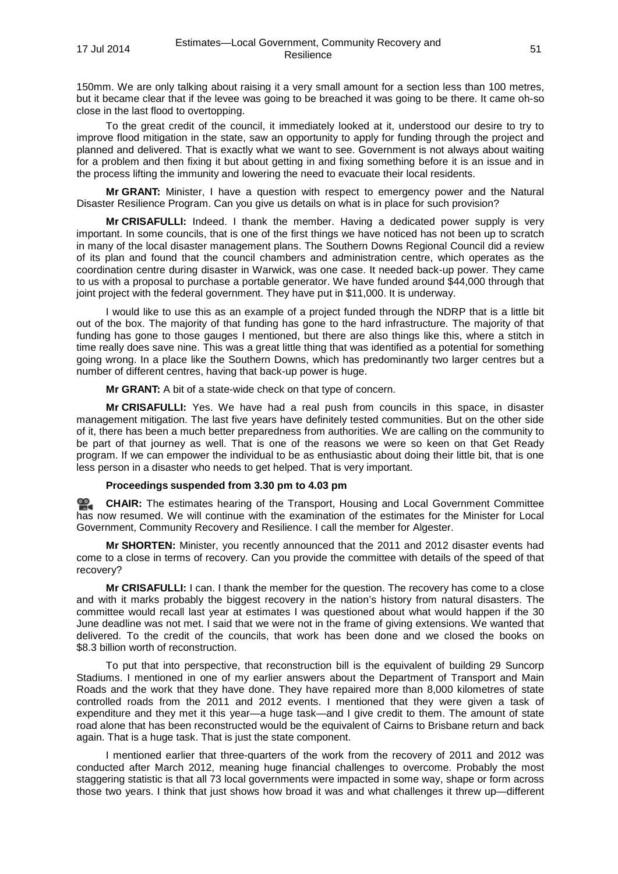150mm. We are only talking about raising it a very small amount for a section less than 100 metres, but it became clear that if the levee was going to be breached it was going to be there. It came oh-so close in the last flood to overtopping.

To the great credit of the council, it immediately looked at it, understood our desire to try to improve flood mitigation in the state, saw an opportunity to apply for funding through the project and planned and delivered. That is exactly what we want to see. Government is not always about waiting for a problem and then fixing it but about getting in and fixing something before it is an issue and in the process lifting the immunity and lowering the need to evacuate their local residents.

**Mr GRANT:** Minister, I have a question with respect to emergency power and the Natural Disaster Resilience Program. Can you give us details on what is in place for such provision?

**Mr CRISAFULLI:** Indeed. I thank the member. Having a dedicated power supply is very important. In some councils, that is one of the first things we have noticed has not been up to scratch in many of the local disaster management plans. The Southern Downs Regional Council did a review of its plan and found that the council chambers and administration centre, which operates as the coordination centre during disaster in Warwick, was one case. It needed back-up power. They came to us with a proposal to purchase a portable generator. We have funded around \$44,000 through that joint project with the federal government. They have put in \$11,000. It is underway.

I would like to use this as an example of a project funded through the NDRP that is a little bit out of the box. The majority of that funding has gone to the hard infrastructure. The majority of that funding has gone to those gauges I mentioned, but there are also things like this, where a stitch in time really does save nine. This was a great little thing that was identified as a potential for something going wrong. In a place like the Southern Downs, which has predominantly two larger centres but a number of different centres, having that back-up power is huge.

**Mr GRANT:** A bit of a state-wide check on that type of concern.

**Mr CRISAFULLI:** Yes. We have had a real push from councils in this space, in disaster management mitigation. The last five years have definitely tested communities. But on the other side of it, there has been a much better preparedness from authorities. We are calling on the community to be part of that journey as well. That is one of the reasons we were so keen on that Get Ready program. If we can empower the individual to be as enthusiastic about doing their little bit, that is one less person in a disaster who needs to get helped. That is very important.

### **Proceedings suspended from 3.30 pm to 4.03 pm**

≌. **[CHAIR:](http://www.parliament.qld.gov.au/docs/find.aspx?id=0MbaTHLGC20140717_160256)** The estimates hearing of the Transport, Housing and Local Government Committee has now resumed. We will continue with the examination of the estimates for the Minister for Local Government, Community Recovery and Resilience. I call the member for Algester.

**Mr SHORTEN:** Minister, you recently announced that the 2011 and 2012 disaster events had come to a close in terms of recovery. Can you provide the committee with details of the speed of that recovery?

**Mr CRISAFULLI:** I can. I thank the member for the question. The recovery has come to a close and with it marks probably the biggest recovery in the nation's history from natural disasters. The committee would recall last year at estimates I was questioned about what would happen if the 30 June deadline was not met. I said that we were not in the frame of giving extensions. We wanted that delivered. To the credit of the councils, that work has been done and we closed the books on \$8.3 billion worth of reconstruction.

To put that into perspective, that reconstruction bill is the equivalent of building 29 Suncorp Stadiums. I mentioned in one of my earlier answers about the Department of Transport and Main Roads and the work that they have done. They have repaired more than 8,000 kilometres of state controlled roads from the 2011 and 2012 events. I mentioned that they were given a task of expenditure and they met it this year—a huge task—and I give credit to them. The amount of state road alone that has been reconstructed would be the equivalent of Cairns to Brisbane return and back again. That is a huge task. That is just the state component.

I mentioned earlier that three-quarters of the work from the recovery of 2011 and 2012 was conducted after March 2012, meaning huge financial challenges to overcome. Probably the most staggering statistic is that all 73 local governments were impacted in some way, shape or form across those two years. I think that just shows how broad it was and what challenges it threw up—different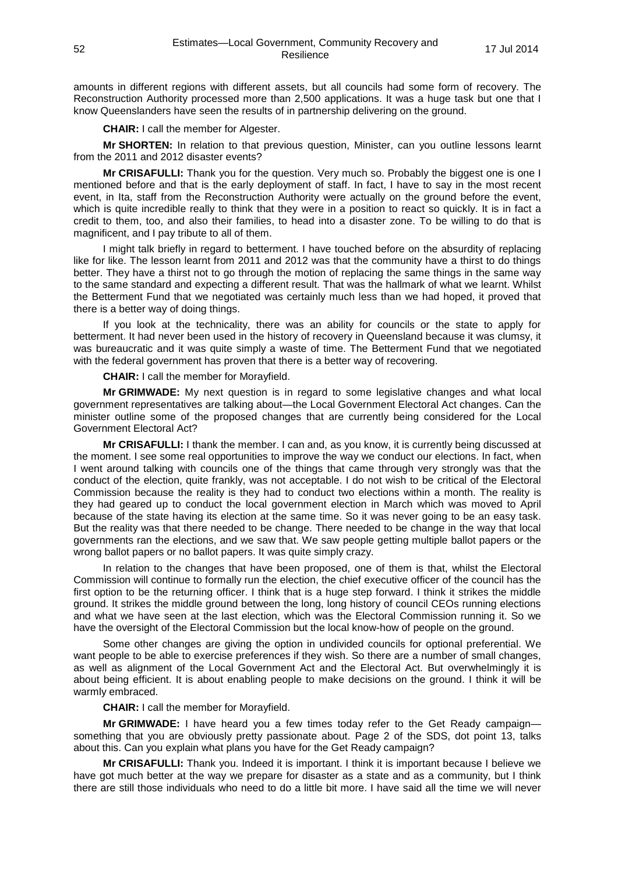amounts in different regions with different assets, but all councils had some form of recovery. The Reconstruction Authority processed more than 2,500 applications. It was a huge task but one that I know Queenslanders have seen the results of in partnership delivering on the ground.

**CHAIR:** I call the member for Algester.

**Mr SHORTEN:** In relation to that previous question, Minister, can you outline lessons learnt from the 2011 and 2012 disaster events?

**Mr CRISAFULLI:** Thank you for the question. Very much so. Probably the biggest one is one I mentioned before and that is the early deployment of staff. In fact, I have to say in the most recent event, in Ita, staff from the Reconstruction Authority were actually on the ground before the event, which is quite incredible really to think that they were in a position to react so quickly. It is in fact a credit to them, too, and also their families, to head into a disaster zone. To be willing to do that is magnificent, and I pay tribute to all of them.

I might talk briefly in regard to betterment. I have touched before on the absurdity of replacing like for like. The lesson learnt from 2011 and 2012 was that the community have a thirst to do things better. They have a thirst not to go through the motion of replacing the same things in the same way to the same standard and expecting a different result. That was the hallmark of what we learnt. Whilst the Betterment Fund that we negotiated was certainly much less than we had hoped, it proved that there is a better way of doing things.

If you look at the technicality, there was an ability for councils or the state to apply for betterment. It had never been used in the history of recovery in Queensland because it was clumsy, it was bureaucratic and it was quite simply a waste of time. The Betterment Fund that we negotiated with the federal government has proven that there is a better way of recovering.

**CHAIR:** I call the member for Morayfield.

**Mr GRIMWADE:** My next question is in regard to some legislative changes and what local government representatives are talking about—the Local Government Electoral Act changes. Can the minister outline some of the proposed changes that are currently being considered for the Local Government Electoral Act?

**Mr CRISAFULLI:** I thank the member. I can and, as you know, it is currently being discussed at the moment. I see some real opportunities to improve the way we conduct our elections. In fact, when I went around talking with councils one of the things that came through very strongly was that the conduct of the election, quite frankly, was not acceptable. I do not wish to be critical of the Electoral Commission because the reality is they had to conduct two elections within a month. The reality is they had geared up to conduct the local government election in March which was moved to April because of the state having its election at the same time. So it was never going to be an easy task. But the reality was that there needed to be change. There needed to be change in the way that local governments ran the elections, and we saw that. We saw people getting multiple ballot papers or the wrong ballot papers or no ballot papers. It was quite simply crazy.

In relation to the changes that have been proposed, one of them is that, whilst the Electoral Commission will continue to formally run the election, the chief executive officer of the council has the first option to be the returning officer. I think that is a huge step forward. I think it strikes the middle ground. It strikes the middle ground between the long, long history of council CEOs running elections and what we have seen at the last election, which was the Electoral Commission running it. So we have the oversight of the Electoral Commission but the local know-how of people on the ground.

Some other changes are giving the option in undivided councils for optional preferential. We want people to be able to exercise preferences if they wish. So there are a number of small changes, as well as alignment of the Local Government Act and the Electoral Act. But overwhelmingly it is about being efficient. It is about enabling people to make decisions on the ground. I think it will be warmly embraced.

#### **CHAIR:** I call the member for Morayfield.

**Mr GRIMWADE:** I have heard you a few times today refer to the Get Ready campaign something that you are obviously pretty passionate about. Page 2 of the SDS, dot point 13, talks about this. Can you explain what plans you have for the Get Ready campaign?

**Mr CRISAFULLI:** Thank you. Indeed it is important. I think it is important because I believe we have got much better at the way we prepare for disaster as a state and as a community, but I think there are still those individuals who need to do a little bit more. I have said all the time we will never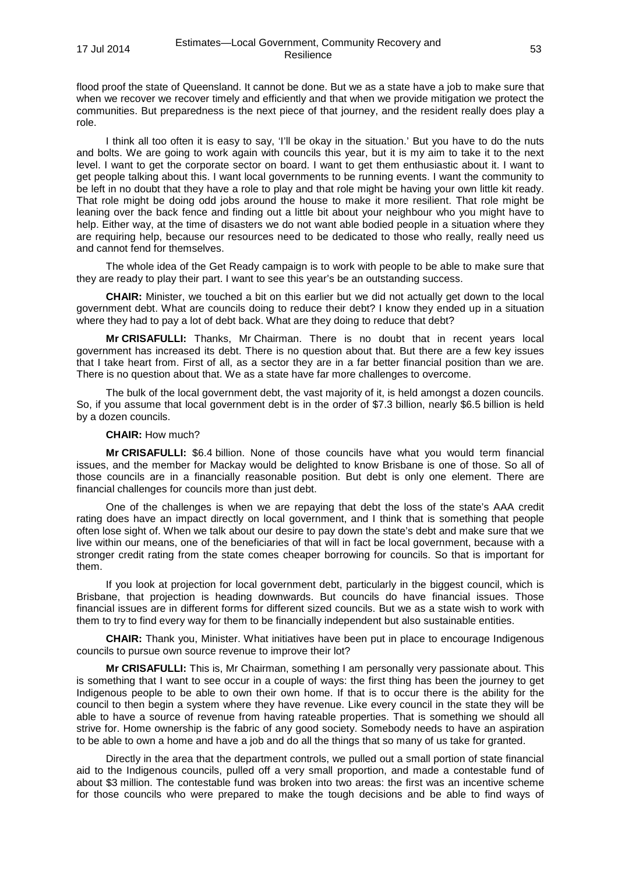flood proof the state of Queensland. It cannot be done. But we as a state have a job to make sure that when we recover we recover timely and efficiently and that when we provide mitigation we protect the communities. But preparedness is the next piece of that journey, and the resident really does play a role.

I think all too often it is easy to say, 'I'll be okay in the situation.' But you have to do the nuts and bolts. We are going to work again with councils this year, but it is my aim to take it to the next level. I want to get the corporate sector on board. I want to get them enthusiastic about it. I want to get people talking about this. I want local governments to be running events. I want the community to be left in no doubt that they have a role to play and that role might be having your own little kit ready. That role might be doing odd jobs around the house to make it more resilient. That role might be leaning over the back fence and finding out a little bit about your neighbour who you might have to help. Either way, at the time of disasters we do not want able bodied people in a situation where they are requiring help, because our resources need to be dedicated to those who really, really need us and cannot fend for themselves.

The whole idea of the Get Ready campaign is to work with people to be able to make sure that they are ready to play their part. I want to see this year's be an outstanding success.

**CHAIR:** Minister, we touched a bit on this earlier but we did not actually get down to the local government debt. What are councils doing to reduce their debt? I know they ended up in a situation where they had to pay a lot of debt back. What are they doing to reduce that debt?

**Mr CRISAFULLI:** Thanks, Mr Chairman. There is no doubt that in recent years local government has increased its debt. There is no question about that. But there are a few key issues that I take heart from. First of all, as a sector they are in a far better financial position than we are. There is no question about that. We as a state have far more challenges to overcome.

The bulk of the local government debt, the vast majority of it, is held amongst a dozen councils. So, if you assume that local government debt is in the order of \$7.3 billion, nearly \$6.5 billion is held by a dozen councils.

### **CHAIR:** How much?

**Mr CRISAFULLI:** \$6.4 billion. None of those councils have what you would term financial issues, and the member for Mackay would be delighted to know Brisbane is one of those. So all of those councils are in a financially reasonable position. But debt is only one element. There are financial challenges for councils more than just debt.

One of the challenges is when we are repaying that debt the loss of the state's AAA credit rating does have an impact directly on local government, and I think that is something that people often lose sight of. When we talk about our desire to pay down the state's debt and make sure that we live within our means, one of the beneficiaries of that will in fact be local government, because with a stronger credit rating from the state comes cheaper borrowing for councils. So that is important for them.

If you look at projection for local government debt, particularly in the biggest council, which is Brisbane, that projection is heading downwards. But councils do have financial issues. Those financial issues are in different forms for different sized councils. But we as a state wish to work with them to try to find every way for them to be financially independent but also sustainable entities.

**CHAIR:** Thank you, Minister. What initiatives have been put in place to encourage Indigenous councils to pursue own source revenue to improve their lot?

**Mr CRISAFULLI:** This is, Mr Chairman, something I am personally very passionate about. This is something that I want to see occur in a couple of ways: the first thing has been the journey to get Indigenous people to be able to own their own home. If that is to occur there is the ability for the council to then begin a system where they have revenue. Like every council in the state they will be able to have a source of revenue from having rateable properties. That is something we should all strive for. Home ownership is the fabric of any good society. Somebody needs to have an aspiration to be able to own a home and have a job and do all the things that so many of us take for granted.

Directly in the area that the department controls, we pulled out a small portion of state financial aid to the Indigenous councils, pulled off a very small proportion, and made a contestable fund of about \$3 million. The contestable fund was broken into two areas: the first was an incentive scheme for those councils who were prepared to make the tough decisions and be able to find ways of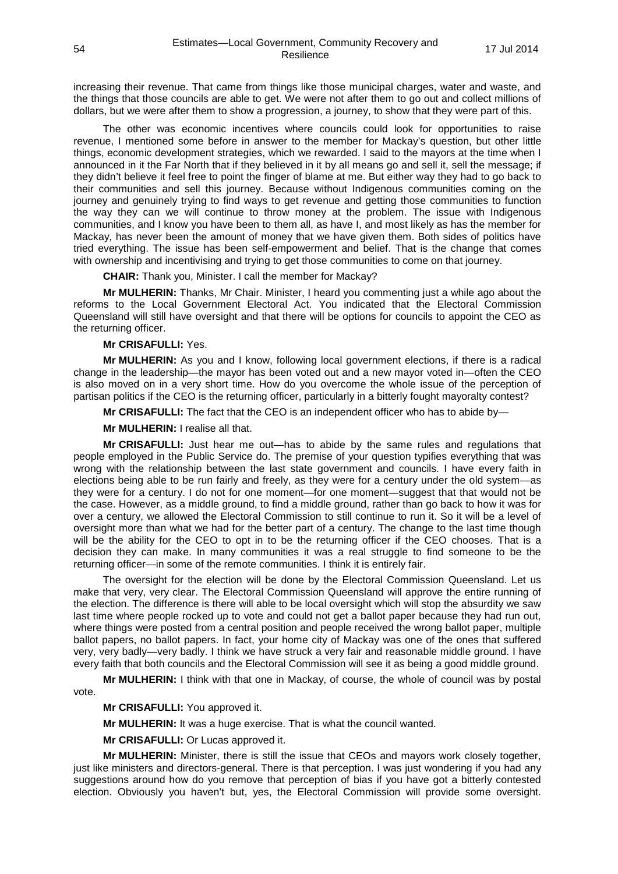increasing their revenue. That came from things like those municipal charges, water and waste, and the things that those councils are able to get. We were not after them to go out and collect millions of dollars, but we were after them to show a progression, a journey, to show that they were part of this.

The other was economic incentives where councils could look for opportunities to raise revenue, I mentioned some before in answer to the member for Mackay's question, but other little things, economic development strategies, which we rewarded. I said to the mayors at the time when I announced in it the Far North that if they believed in it by all means go and sell it, sell the message; if they didn't believe it feel free to point the finger of blame at me. But either way they had to go back to their communities and sell this journey. Because without Indigenous communities coming on the journey and genuinely trying to find ways to get revenue and getting those communities to function the way they can we will continue to throw money at the problem. The issue with Indigenous communities, and I know you have been to them all, as have I, and most likely as has the member for Mackay, has never been the amount of money that we have given them. Both sides of politics have tried everything. The issue has been self-empowerment and belief. That is the change that comes with ownership and incentivising and trying to get those communities to come on that journey.

**CHAIR:** Thank you, Minister. I call the member for Mackay?

**Mr MULHERIN:** Thanks, Mr Chair. Minister, I heard you commenting just a while ago about the reforms to the Local Government Electoral Act. You indicated that the Electoral Commission Queensland will still have oversight and that there will be options for councils to appoint the CEO as the returning officer.

### **Mr CRISAFULLI:** Yes.

**Mr MULHERIN:** As you and I know, following local government elections, if there is a radical change in the leadership—the mayor has been voted out and a new mayor voted in—often the CEO is also moved on in a very short time. How do you overcome the whole issue of the perception of partisan politics if the CEO is the returning officer, particularly in a bitterly fought mayoralty contest?

**Mr CRISAFULLI:** The fact that the CEO is an independent officer who has to abide by—

**Mr MULHERIN:** I realise all that.

**Mr CRISAFULLI:** Just hear me out—has to abide by the same rules and regulations that people employed in the Public Service do. The premise of your question typifies everything that was wrong with the relationship between the last state government and councils. I have every faith in elections being able to be run fairly and freely, as they were for a century under the old system—as they were for a century. I do not for one moment—for one moment—suggest that that would not be the case. However, as a middle ground, to find a middle ground, rather than go back to how it was for over a century, we allowed the Electoral Commission to still continue to run it. So it will be a level of oversight more than what we had for the better part of a century. The change to the last time though will be the ability for the CEO to opt in to be the returning officer if the CEO chooses. That is a decision they can make. In many communities it was a real struggle to find someone to be the returning officer—in some of the remote communities. I think it is entirely fair.

The oversight for the election will be done by the Electoral Commission Queensland. Let us make that very, very clear. The Electoral Commission Queensland will approve the entire running of the election. The difference is there will able to be local oversight which will stop the absurdity we saw last time where people rocked up to vote and could not get a ballot paper because they had run out, where things were posted from a central position and people received the wrong ballot paper, multiple ballot papers, no ballot papers. In fact, your home city of Mackay was one of the ones that suffered very, very badly—very badly. I think we have struck a very fair and reasonable middle ground. I have every faith that both councils and the Electoral Commission will see it as being a good middle ground.

**Mr MULHERIN:** I think with that one in Mackay, of course, the whole of council was by postal vote.

**Mr CRISAFULLI:** You approved it.

**Mr MULHERIN:** It was a huge exercise. That is what the council wanted.

**Mr CRISAFULLI:** Or Lucas approved it.

**Mr MULHERIN:** Minister, there is still the issue that CEOs and mayors work closely together, just like ministers and directors-general. There is that perception. I was just wondering if you had any suggestions around how do you remove that perception of bias if you have got a bitterly contested election. Obviously you haven't but, yes, the Electoral Commission will provide some oversight.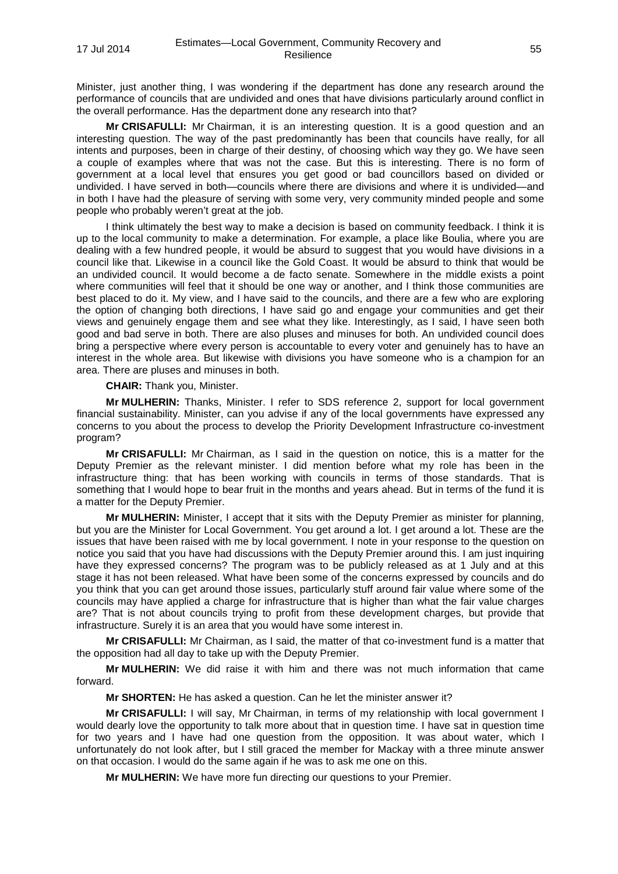Minister, just another thing, I was wondering if the department has done any research around the performance of councils that are undivided and ones that have divisions particularly around conflict in the overall performance. Has the department done any research into that?

**Mr CRISAFULLI:** Mr Chairman, it is an interesting question. It is a good question and an interesting question. The way of the past predominantly has been that councils have really, for all intents and purposes, been in charge of their destiny, of choosing which way they go. We have seen a couple of examples where that was not the case. But this is interesting. There is no form of government at a local level that ensures you get good or bad councillors based on divided or undivided. I have served in both—councils where there are divisions and where it is undivided—and in both I have had the pleasure of serving with some very, very community minded people and some people who probably weren't great at the job.

I think ultimately the best way to make a decision is based on community feedback. I think it is up to the local community to make a determination. For example, a place like Boulia, where you are dealing with a few hundred people, it would be absurd to suggest that you would have divisions in a council like that. Likewise in a council like the Gold Coast. It would be absurd to think that would be an undivided council. It would become a de facto senate. Somewhere in the middle exists a point where communities will feel that it should be one way or another, and I think those communities are best placed to do it. My view, and I have said to the councils, and there are a few who are exploring the option of changing both directions, I have said go and engage your communities and get their views and genuinely engage them and see what they like. Interestingly, as I said, I have seen both good and bad serve in both. There are also pluses and minuses for both. An undivided council does bring a perspective where every person is accountable to every voter and genuinely has to have an interest in the whole area. But likewise with divisions you have someone who is a champion for an area. There are pluses and minuses in both.

**CHAIR:** Thank you, Minister.

**Mr MULHERIN:** Thanks, Minister. I refer to SDS reference 2, support for local government financial sustainability. Minister, can you advise if any of the local governments have expressed any concerns to you about the process to develop the Priority Development Infrastructure co-investment program?

**Mr CRISAFULLI:** Mr Chairman, as I said in the question on notice, this is a matter for the Deputy Premier as the relevant minister. I did mention before what my role has been in the infrastructure thing: that has been working with councils in terms of those standards. That is something that I would hope to bear fruit in the months and years ahead. But in terms of the fund it is a matter for the Deputy Premier.

**Mr MULHERIN:** Minister, I accept that it sits with the Deputy Premier as minister for planning, but you are the Minister for Local Government. You get around a lot. I get around a lot. These are the issues that have been raised with me by local government. I note in your response to the question on notice you said that you have had discussions with the Deputy Premier around this. I am just inquiring have they expressed concerns? The program was to be publicly released as at 1 July and at this stage it has not been released. What have been some of the concerns expressed by councils and do you think that you can get around those issues, particularly stuff around fair value where some of the councils may have applied a charge for infrastructure that is higher than what the fair value charges are? That is not about councils trying to profit from these development charges, but provide that infrastructure. Surely it is an area that you would have some interest in.

**Mr CRISAFULLI:** Mr Chairman, as I said, the matter of that co-investment fund is a matter that the opposition had all day to take up with the Deputy Premier.

**Mr MULHERIN:** We did raise it with him and there was not much information that came forward.

**Mr SHORTEN:** He has asked a question. Can he let the minister answer it?

**Mr CRISAFULLI:** I will say, Mr Chairman, in terms of my relationship with local government I would dearly love the opportunity to talk more about that in question time. I have sat in question time for two years and I have had one question from the opposition. It was about water, which I unfortunately do not look after, but I still graced the member for Mackay with a three minute answer on that occasion. I would do the same again if he was to ask me one on this.

**Mr MULHERIN:** We have more fun directing our questions to your Premier.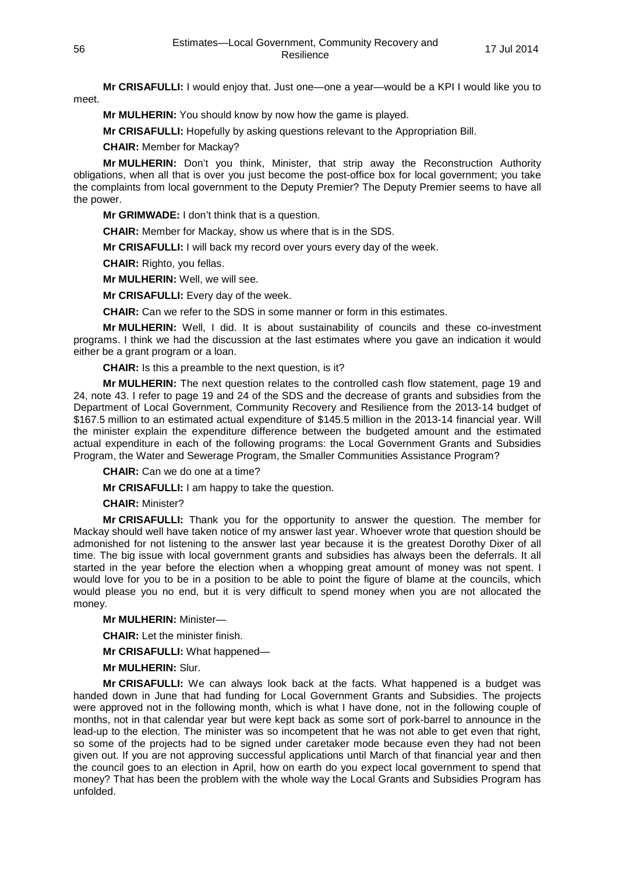**Mr CRISAFULLI:** I would enjoy that. Just one—one a year—would be a KPI I would like you to meet.

**Mr MULHERIN:** You should know by now how the game is played.

**Mr CRISAFULLI:** Hopefully by asking questions relevant to the Appropriation Bill.

**CHAIR:** Member for Mackay?

**Mr MULHERIN:** Don't you think, Minister, that strip away the Reconstruction Authority obligations, when all that is over you just become the post-office box for local government; you take the complaints from local government to the Deputy Premier? The Deputy Premier seems to have all the power.

**Mr GRIMWADE:** I don't think that is a question.

**CHAIR:** Member for Mackay, show us where that is in the SDS.

**Mr CRISAFULLI:** I will back my record over yours every day of the week.

**CHAIR:** Righto, you fellas.

**Mr MULHERIN:** Well, we will see.

**Mr CRISAFULLI:** Every day of the week.

**CHAIR:** Can we refer to the SDS in some manner or form in this estimates.

**Mr MULHERIN:** Well, I did. It is about sustainability of councils and these co-investment programs. I think we had the discussion at the last estimates where you gave an indication it would either be a grant program or a loan.

**CHAIR:** Is this a preamble to the next question, is it?

**Mr MULHERIN:** The next question relates to the controlled cash flow statement, page 19 and 24, note 43. I refer to page 19 and 24 of the SDS and the decrease of grants and subsidies from the Department of Local Government, Community Recovery and Resilience from the 2013-14 budget of \$167.5 million to an estimated actual expenditure of \$145.5 million in the 2013-14 financial year. Will the minister explain the expenditure difference between the budgeted amount and the estimated actual expenditure in each of the following programs: the Local Government Grants and Subsidies Program, the Water and Sewerage Program, the Smaller Communities Assistance Program?

**CHAIR:** Can we do one at a time?

**Mr CRISAFULLI:** I am happy to take the question.

**CHAIR:** Minister?

**Mr CRISAFULLI:** Thank you for the opportunity to answer the question. The member for Mackay should well have taken notice of my answer last year. Whoever wrote that question should be admonished for not listening to the answer last year because it is the greatest Dorothy Dixer of all time. The big issue with local government grants and subsidies has always been the deferrals. It all started in the year before the election when a whopping great amount of money was not spent. I would love for you to be in a position to be able to point the figure of blame at the councils, which would please you no end, but it is very difficult to spend money when you are not allocated the money.

**Mr MULHERIN:** Minister—

**CHAIR:** Let the minister finish.

**Mr CRISAFULLI:** What happened—

**Mr MULHERIN:** Slur.

**Mr CRISAFULLI:** We can always look back at the facts. What happened is a budget was handed down in June that had funding for Local Government Grants and Subsidies. The projects were approved not in the following month, which is what I have done, not in the following couple of months, not in that calendar year but were kept back as some sort of pork-barrel to announce in the lead-up to the election. The minister was so incompetent that he was not able to get even that right, so some of the projects had to be signed under caretaker mode because even they had not been given out. If you are not approving successful applications until March of that financial year and then the council goes to an election in April, how on earth do you expect local government to spend that money? That has been the problem with the whole way the Local Grants and Subsidies Program has unfolded.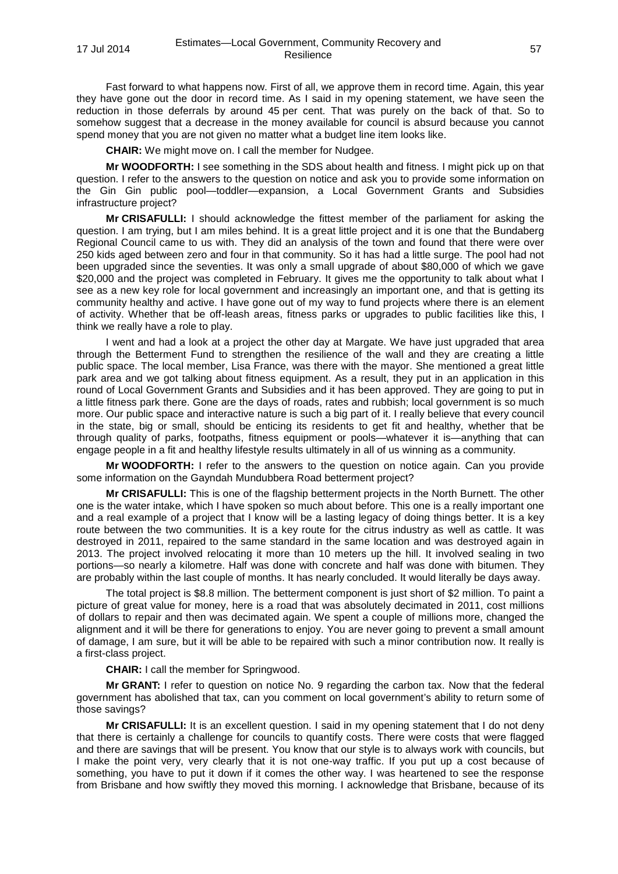Fast forward to what happens now. First of all, we approve them in record time. Again, this year they have gone out the door in record time. As I said in my opening statement, we have seen the reduction in those deferrals by around 45 per cent. That was purely on the back of that. So to somehow suggest that a decrease in the money available for council is absurd because you cannot spend money that you are not given no matter what a budget line item looks like.

**CHAIR:** We might move on. I call the member for Nudgee.

**Mr WOODFORTH:** I see something in the SDS about health and fitness. I might pick up on that question. I refer to the answers to the question on notice and ask you to provide some information on the Gin Gin public pool—toddler—expansion, a Local Government Grants and Subsidies infrastructure project?

**Mr CRISAFULLI:** I should acknowledge the fittest member of the parliament for asking the question. I am trying, but I am miles behind. It is a great little project and it is one that the Bundaberg Regional Council came to us with. They did an analysis of the town and found that there were over 250 kids aged between zero and four in that community. So it has had a little surge. The pool had not been upgraded since the seventies. It was only a small upgrade of about \$80,000 of which we gave \$20,000 and the project was completed in February. It gives me the opportunity to talk about what I see as a new key role for local government and increasingly an important one, and that is getting its community healthy and active. I have gone out of my way to fund projects where there is an element of activity. Whether that be off-leash areas, fitness parks or upgrades to public facilities like this, I think we really have a role to play.

I went and had a look at a project the other day at Margate. We have just upgraded that area through the Betterment Fund to strengthen the resilience of the wall and they are creating a little public space. The local member, Lisa France, was there with the mayor. She mentioned a great little park area and we got talking about fitness equipment. As a result, they put in an application in this round of Local Government Grants and Subsidies and it has been approved. They are going to put in a little fitness park there. Gone are the days of roads, rates and rubbish; local government is so much more. Our public space and interactive nature is such a big part of it. I really believe that every council in the state, big or small, should be enticing its residents to get fit and healthy, whether that be through quality of parks, footpaths, fitness equipment or pools—whatever it is—anything that can engage people in a fit and healthy lifestyle results ultimately in all of us winning as a community.

**Mr WOODFORTH:** I refer to the answers to the question on notice again. Can you provide some information on the Gayndah Mundubbera Road betterment project?

**Mr CRISAFULLI:** This is one of the flagship betterment projects in the North Burnett. The other one is the water intake, which I have spoken so much about before. This one is a really important one and a real example of a project that I know will be a lasting legacy of doing things better. It is a key route between the two communities. It is a key route for the citrus industry as well as cattle. It was destroyed in 2011, repaired to the same standard in the same location and was destroyed again in 2013. The project involved relocating it more than 10 meters up the hill. It involved sealing in two portions—so nearly a kilometre. Half was done with concrete and half was done with bitumen. They are probably within the last couple of months. It has nearly concluded. It would literally be days away.

The total project is \$8.8 million. The betterment component is just short of \$2 million. To paint a picture of great value for money, here is a road that was absolutely decimated in 2011, cost millions of dollars to repair and then was decimated again. We spent a couple of millions more, changed the alignment and it will be there for generations to enjoy. You are never going to prevent a small amount of damage, I am sure, but it will be able to be repaired with such a minor contribution now. It really is a first-class project.

**CHAIR:** I call the member for Springwood.

**Mr GRANT:** I refer to question on notice No. 9 regarding the carbon tax. Now that the federal government has abolished that tax, can you comment on local government's ability to return some of those savings?

**Mr CRISAFULLI:** It is an excellent question. I said in my opening statement that I do not deny that there is certainly a challenge for councils to quantify costs. There were costs that were flagged and there are savings that will be present. You know that our style is to always work with councils, but I make the point very, very clearly that it is not one-way traffic. If you put up a cost because of something, you have to put it down if it comes the other way. I was heartened to see the response from Brisbane and how swiftly they moved this morning. I acknowledge that Brisbane, because of its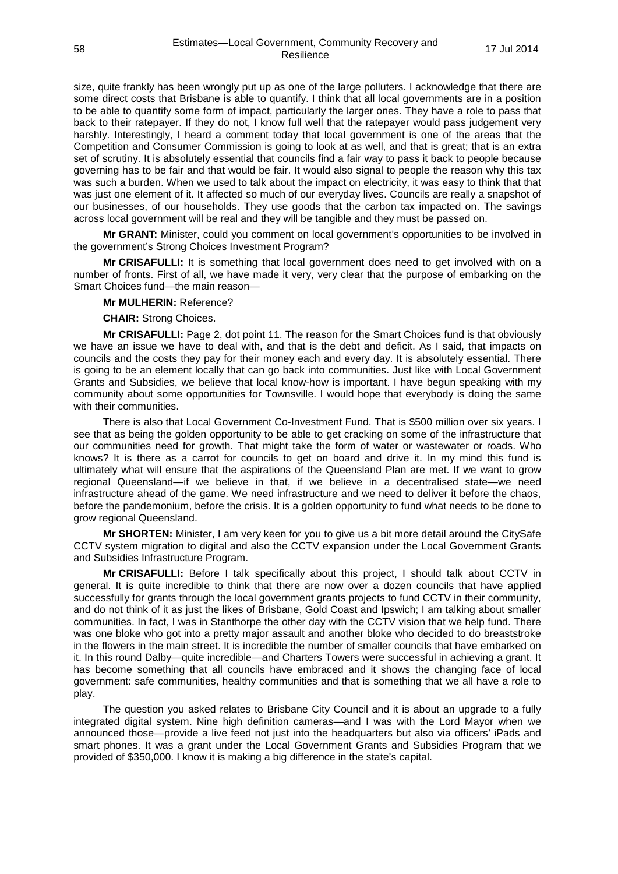size, quite frankly has been wrongly put up as one of the large polluters. I acknowledge that there are some direct costs that Brisbane is able to quantify. I think that all local governments are in a position to be able to quantify some form of impact, particularly the larger ones. They have a role to pass that back to their ratepayer. If they do not, I know full well that the ratepayer would pass judgement very harshly. Interestingly, I heard a comment today that local government is one of the areas that the Competition and Consumer Commission is going to look at as well, and that is great; that is an extra set of scrutiny. It is absolutely essential that councils find a fair way to pass it back to people because governing has to be fair and that would be fair. It would also signal to people the reason why this tax was such a burden. When we used to talk about the impact on electricity, it was easy to think that that was just one element of it. It affected so much of our everyday lives. Councils are really a snapshot of our businesses, of our households. They use goods that the carbon tax impacted on. The savings across local government will be real and they will be tangible and they must be passed on.

**Mr GRANT:** Minister, could you comment on local government's opportunities to be involved in the government's Strong Choices Investment Program?

**Mr CRISAFULLI:** It is something that local government does need to get involved with on a number of fronts. First of all, we have made it very, very clear that the purpose of embarking on the Smart Choices fund—the main reason—

### **Mr MULHERIN:** Reference?

**CHAIR:** Strong Choices.

**Mr CRISAFULLI:** Page 2, dot point 11. The reason for the Smart Choices fund is that obviously we have an issue we have to deal with, and that is the debt and deficit. As I said, that impacts on councils and the costs they pay for their money each and every day. It is absolutely essential. There is going to be an element locally that can go back into communities. Just like with Local Government Grants and Subsidies, we believe that local know-how is important. I have begun speaking with my community about some opportunities for Townsville. I would hope that everybody is doing the same with their communities.

There is also that Local Government Co-Investment Fund. That is \$500 million over six years. I see that as being the golden opportunity to be able to get cracking on some of the infrastructure that our communities need for growth. That might take the form of water or wastewater or roads. Who knows? It is there as a carrot for councils to get on board and drive it. In my mind this fund is ultimately what will ensure that the aspirations of the Queensland Plan are met. If we want to grow regional Queensland—if we believe in that, if we believe in a decentralised state—we need infrastructure ahead of the game. We need infrastructure and we need to deliver it before the chaos, before the pandemonium, before the crisis. It is a golden opportunity to fund what needs to be done to grow regional Queensland.

**Mr SHORTEN:** Minister, I am very keen for you to give us a bit more detail around the CitySafe CCTV system migration to digital and also the CCTV expansion under the Local Government Grants and Subsidies Infrastructure Program.

**Mr CRISAFULLI:** Before I talk specifically about this project, I should talk about CCTV in general. It is quite incredible to think that there are now over a dozen councils that have applied successfully for grants through the local government grants projects to fund CCTV in their community, and do not think of it as just the likes of Brisbane, Gold Coast and Ipswich; I am talking about smaller communities. In fact, I was in Stanthorpe the other day with the CCTV vision that we help fund. There was one bloke who got into a pretty major assault and another bloke who decided to do breaststroke in the flowers in the main street. It is incredible the number of smaller councils that have embarked on it. In this round Dalby—quite incredible—and Charters Towers were successful in achieving a grant. It has become something that all councils have embraced and it shows the changing face of local government: safe communities, healthy communities and that is something that we all have a role to play.

The question you asked relates to Brisbane City Council and it is about an upgrade to a fully integrated digital system. Nine high definition cameras—and I was with the Lord Mayor when we announced those—provide a live feed not just into the headquarters but also via officers' iPads and smart phones. It was a grant under the Local Government Grants and Subsidies Program that we provided of \$350,000. I know it is making a big difference in the state's capital.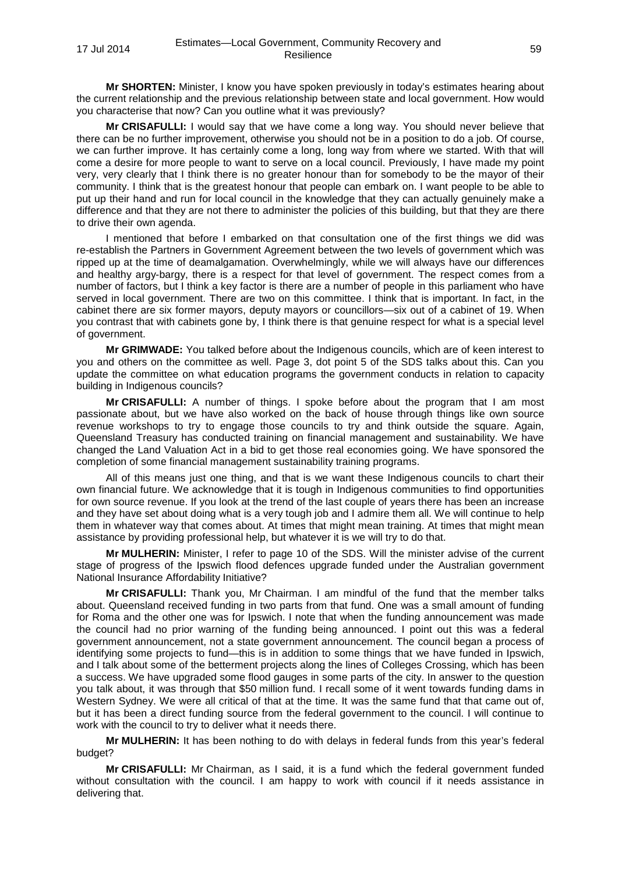**Mr SHORTEN:** Minister, I know you have spoken previously in today's estimates hearing about the current relationship and the previous relationship between state and local government. How would you characterise that now? Can you outline what it was previously?

**Mr CRISAFULLI:** I would say that we have come a long way. You should never believe that there can be no further improvement, otherwise you should not be in a position to do a job. Of course, we can further improve. It has certainly come a long, long way from where we started. With that will come a desire for more people to want to serve on a local council. Previously, I have made my point very, very clearly that I think there is no greater honour than for somebody to be the mayor of their community. I think that is the greatest honour that people can embark on. I want people to be able to put up their hand and run for local council in the knowledge that they can actually genuinely make a difference and that they are not there to administer the policies of this building, but that they are there to drive their own agenda.

I mentioned that before I embarked on that consultation one of the first things we did was re-establish the Partners in Government Agreement between the two levels of government which was ripped up at the time of deamalgamation. Overwhelmingly, while we will always have our differences and healthy argy-bargy, there is a respect for that level of government. The respect comes from a number of factors, but I think a key factor is there are a number of people in this parliament who have served in local government. There are two on this committee. I think that is important. In fact, in the cabinet there are six former mayors, deputy mayors or councillors—six out of a cabinet of 19. When you contrast that with cabinets gone by, I think there is that genuine respect for what is a special level of government.

**Mr GRIMWADE:** You talked before about the Indigenous councils, which are of keen interest to you and others on the committee as well. Page 3, dot point 5 of the SDS talks about this. Can you update the committee on what education programs the government conducts in relation to capacity building in Indigenous councils?

**Mr CRISAFULLI:** A number of things. I spoke before about the program that I am most passionate about, but we have also worked on the back of house through things like own source revenue workshops to try to engage those councils to try and think outside the square. Again. Queensland Treasury has conducted training on financial management and sustainability. We have changed the Land Valuation Act in a bid to get those real economies going. We have sponsored the completion of some financial management sustainability training programs.

All of this means just one thing, and that is we want these Indigenous councils to chart their own financial future. We acknowledge that it is tough in Indigenous communities to find opportunities for own source revenue. If you look at the trend of the last couple of years there has been an increase and they have set about doing what is a very tough job and I admire them all. We will continue to help them in whatever way that comes about. At times that might mean training. At times that might mean assistance by providing professional help, but whatever it is we will try to do that.

**Mr MULHERIN:** Minister, I refer to page 10 of the SDS. Will the minister advise of the current stage of progress of the Ipswich flood defences upgrade funded under the Australian government National Insurance Affordability Initiative?

**Mr CRISAFULLI:** Thank you, Mr Chairman. I am mindful of the fund that the member talks about. Queensland received funding in two parts from that fund. One was a small amount of funding for Roma and the other one was for Ipswich. I note that when the funding announcement was made the council had no prior warning of the funding being announced. I point out this was a federal government announcement, not a state government announcement. The council began a process of identifying some projects to fund—this is in addition to some things that we have funded in Ipswich, and I talk about some of the betterment projects along the lines of Colleges Crossing, which has been a success. We have upgraded some flood gauges in some parts of the city. In answer to the question you talk about, it was through that \$50 million fund. I recall some of it went towards funding dams in Western Sydney. We were all critical of that at the time. It was the same fund that that came out of, but it has been a direct funding source from the federal government to the council. I will continue to work with the council to try to deliver what it needs there.

**Mr MULHERIN:** It has been nothing to do with delays in federal funds from this year's federal budget?

**Mr CRISAFULLI:** Mr Chairman, as I said, it is a fund which the federal government funded without consultation with the council. I am happy to work with council if it needs assistance in delivering that.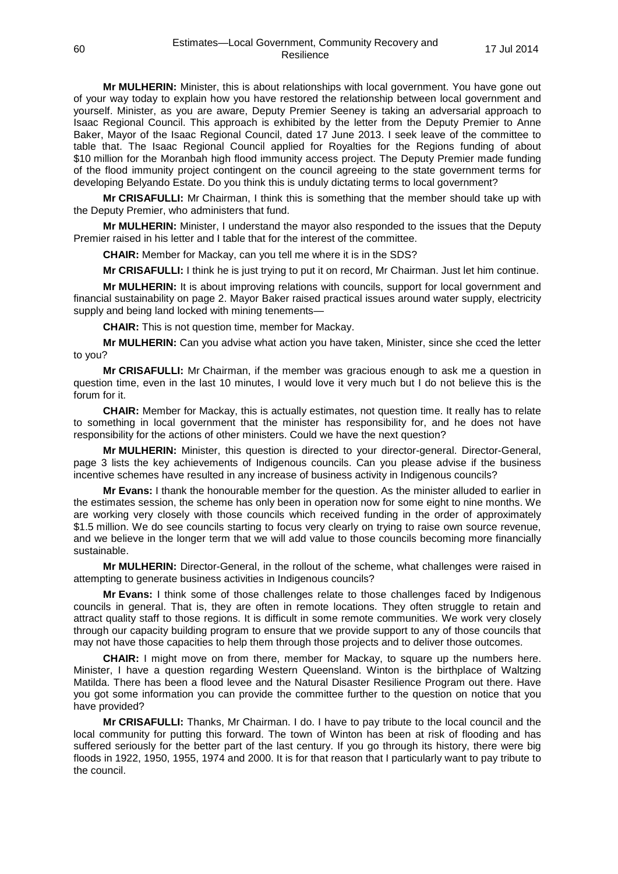**Mr MULHERIN:** Minister, this is about relationships with local government. You have gone out of your way today to explain how you have restored the relationship between local government and yourself. Minister, as you are aware, Deputy Premier Seeney is taking an adversarial approach to Isaac Regional Council. This approach is exhibited by the letter from the Deputy Premier to Anne Baker, Mayor of the Isaac Regional Council, dated 17 June 2013. I seek leave of the committee to table that. The Isaac Regional Council applied for Royalties for the Regions funding of about \$10 million for the Moranbah high flood immunity access project. The Deputy Premier made funding of the flood immunity project contingent on the council agreeing to the state government terms for developing Belyando Estate. Do you think this is unduly dictating terms to local government?

**Mr CRISAFULLI:** Mr Chairman, I think this is something that the member should take up with the Deputy Premier, who administers that fund.

**Mr MULHERIN:** Minister, I understand the mayor also responded to the issues that the Deputy Premier raised in his letter and I table that for the interest of the committee.

**CHAIR:** Member for Mackay, can you tell me where it is in the SDS?

**Mr CRISAFULLI:** I think he is just trying to put it on record, Mr Chairman. Just let him continue.

**Mr MULHERIN:** It is about improving relations with councils, support for local government and financial sustainability on page 2. Mayor Baker raised practical issues around water supply, electricity supply and being land locked with mining tenements—

**CHAIR:** This is not question time, member for Mackay.

**Mr MULHERIN:** Can you advise what action you have taken, Minister, since she cced the letter to you?

**Mr CRISAFULLI:** Mr Chairman, if the member was gracious enough to ask me a question in question time, even in the last 10 minutes, I would love it very much but I do not believe this is the forum for it.

**CHAIR:** Member for Mackay, this is actually estimates, not question time. It really has to relate to something in local government that the minister has responsibility for, and he does not have responsibility for the actions of other ministers. Could we have the next question?

**Mr MULHERIN:** Minister, this question is directed to your director-general. Director-General, page 3 lists the key achievements of Indigenous councils. Can you please advise if the business incentive schemes have resulted in any increase of business activity in Indigenous councils?

**Mr Evans:** I thank the honourable member for the question. As the minister alluded to earlier in the estimates session, the scheme has only been in operation now for some eight to nine months. We are working very closely with those councils which received funding in the order of approximately \$1.5 million. We do see councils starting to focus very clearly on trying to raise own source revenue, and we believe in the longer term that we will add value to those councils becoming more financially sustainable.

**Mr MULHERIN:** Director-General, in the rollout of the scheme, what challenges were raised in attempting to generate business activities in Indigenous councils?

**Mr Evans:** I think some of those challenges relate to those challenges faced by Indigenous councils in general. That is, they are often in remote locations. They often struggle to retain and attract quality staff to those regions. It is difficult in some remote communities. We work very closely through our capacity building program to ensure that we provide support to any of those councils that may not have those capacities to help them through those projects and to deliver those outcomes.

**CHAIR:** I might move on from there, member for Mackay, to square up the numbers here. Minister, I have a question regarding Western Queensland. Winton is the birthplace of Waltzing Matilda. There has been a flood levee and the Natural Disaster Resilience Program out there. Have you got some information you can provide the committee further to the question on notice that you have provided?

**Mr CRISAFULLI:** Thanks, Mr Chairman. I do. I have to pay tribute to the local council and the local community for putting this forward. The town of Winton has been at risk of flooding and has suffered seriously for the better part of the last century. If you go through its history, there were big floods in 1922, 1950, 1955, 1974 and 2000. It is for that reason that I particularly want to pay tribute to the council.